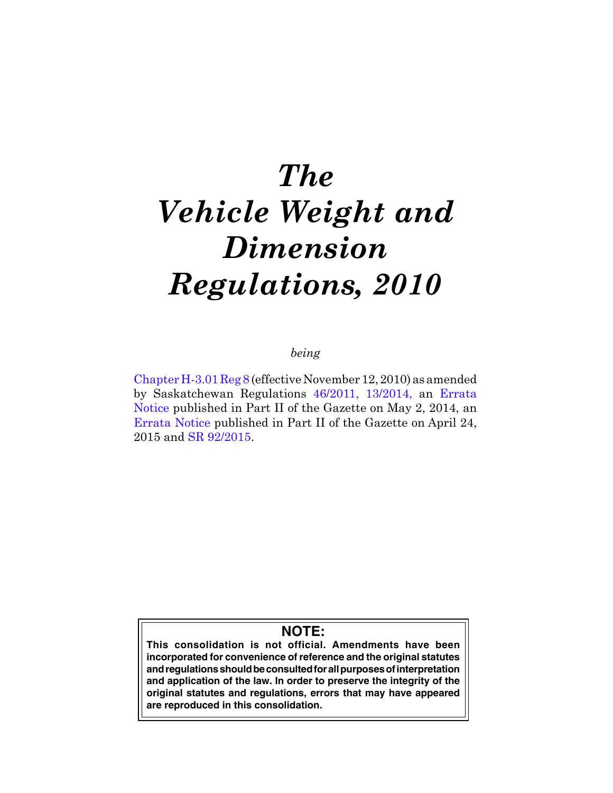# *The Vehicle Weight and Dimension Regulations, 2010*

## *being*

[Chapter H-3.01 Reg 8](http://www.qp.gov.sk.ca/documents/gazette/part2/2014/G2201418.pdf) (effective November 12, 2010) as amended by Saskatchewan Regulations [46/2011,](http://www.qp.gov.sk.ca/documents/gazette/part2/2011/G2201126.pdf) [13/2014,](http://www.qp.gov.sk.ca/documents/gazette/part2/2014/G2201415.pdf) an [Errata](http://www.qp.gov.sk.ca/documents/gazette/part2/2014/G2201418.pdf)  [Notice](http://www.qp.gov.sk.ca/documents/gazette/part2/2014/G2201418.pdf) published in Part II of the Gazette on May 2, 2014, an Errata Notice published in Part II of the Gazette on April 24, 2015 and [SR 92/2015.](http://www.qp.gov.sk.ca/documents/gazette/part2/2015/G2201544.pdf)

## **NOTE:**

**This consolidation is not official. Amendments have been incorporated for convenience of reference and the original statutes and regulations should be consulted for all purposes of interpretation and application of the law. In order to preserve the integrity of the original statutes and regulations, errors that may have appeared are reproduced in this consolidation.**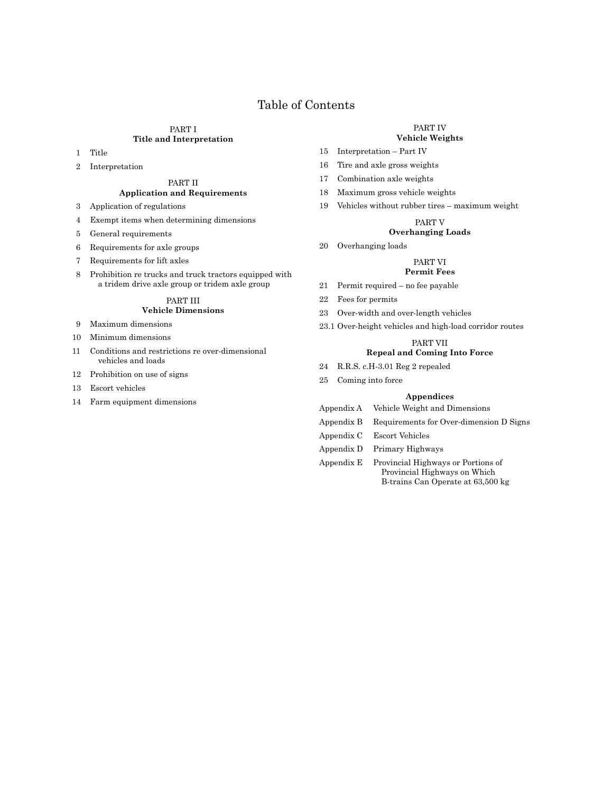## Table of Contents

#### PART I **Title and Interpretation**

- 1 Title
- 2 Interpretation

#### PART II **Application and Requirements**

- 3 Application of regulations
- 4 Exempt items when determining dimensions
- 5 General requirements
- 6 Requirements for axle groups
- 7 Requirements for lift axles
- 8 Prohibition re trucks and truck tractors equipped with a tridem drive axle group or tridem axle group

#### PART III **Vehicle Dimensions**

- 9 Maximum dimensions
- 10 Minimum dimensions
- 11 Conditions and restrictions re over-dimensional vehicles and loads
- 12 Prohibition on use of signs
- 13 Escort vehicles
- 14 Farm equipment dimensions

#### PART IV

## **Vehicle Weights**

- 15 Interpretation Part IV
- 16 Tire and axle gross weights
- 17 Combination axle weights
- 18 Maximum gross vehicle weights
- 19 Vehicles without rubber tires maximum weight

#### PART V

#### **Overhanging Loads**

20 Overhanging loads

#### PART VI

#### **Permit Fees**

- 21 Permit required no fee payable
- 22 Fees for permits
- 23 Over-width and over-length vehicles
- 23.1 Over-height vehicles and high-load corridor routes

#### PART VII

#### **Repeal and Coming Into Force**

- 24 R.R.S. c.H-3.01 Reg 2 repealed
- 25 Coming into force

#### **Appendices**

- Appendix A Vehicle Weight and Dimensions
- Appendix B Requirements for Over-dimension D Signs
- Appendix C Escort Vehicles
- Appendix D Primary Highways
- Appendix E Provincial Highways or Portions of Provincial Highways on Which B-trains Can Operate at 63,500 kg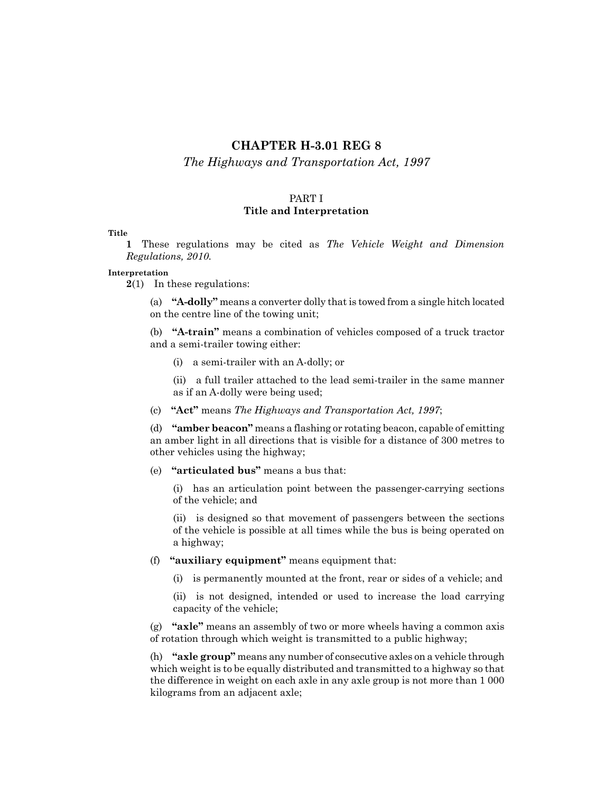## **CHAPTER H-3.01 REG 8**

#### *The Highways and Transportation Act, 1997*

#### PART I **Title and Interpretation**

#### **Title**

**1** These regulations may be cited as *The Vehicle Weight and Dimension Regulations, 2010.*

#### **Interpretation**

**2**(1) In these regulations:

(a) **"A-dolly"** means a converter dolly that is towed from a single hitch located on the centre line of the towing unit;

(b) **"A-train"** means a combination of vehicles composed of a truck tractor and a semi-trailer towing either:

(i) a semi-trailer with an A-dolly; or

(ii) a full trailer attached to the lead semi-trailer in the same manner as if an A-dolly were being used;

(c) **"Act"** means *The Highways and Transportation Act, 1997*;

(d) **"amber beacon"** means a flashing or rotating beacon, capable of emitting an amber light in all directions that is visible for a distance of 300 metres to other vehicles using the highway;

(e) **"articulated bus"** means a bus that:

(i) has an articulation point between the passenger-carrying sections of the vehicle; and

(ii) is designed so that movement of passengers between the sections of the vehicle is possible at all times while the bus is being operated on a highway;

- (f) **"auxiliary equipment"** means equipment that:
	- (i) is permanently mounted at the front, rear or sides of a vehicle; and

(ii) is not designed, intended or used to increase the load carrying capacity of the vehicle;

(g) **"axle"** means an assembly of two or more wheels having a common axis of rotation through which weight is transmitted to a public highway;

(h) **"axle group"** means any number of consecutive axles on a vehicle through which weight is to be equally distributed and transmitted to a highway so that the difference in weight on each axle in any axle group is not more than 1 000 kilograms from an adjacent axle;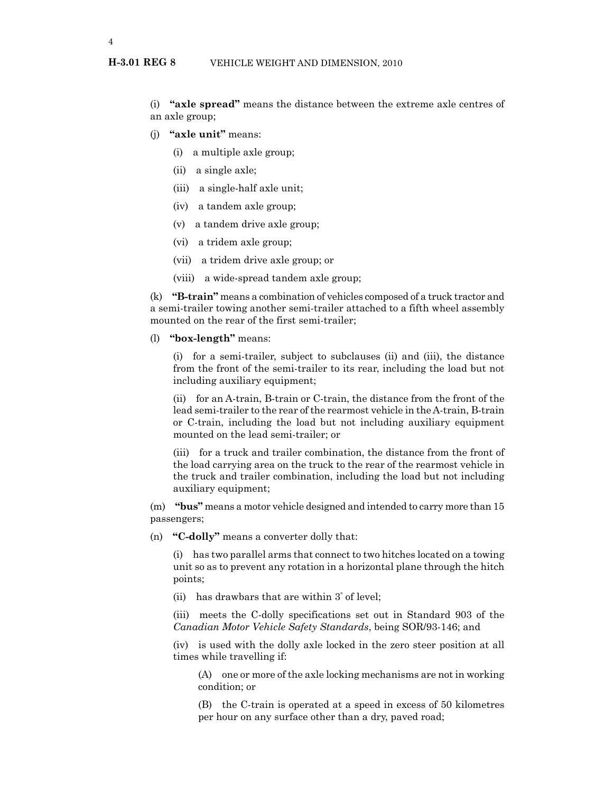(i) **"axle spread"** means the distance between the extreme axle centres of an axle group;

- (j) **"axle unit"** means:
	- (i) a multiple axle group;
	- (ii) a single axle;
	- (iii) a single-half axle unit;
	- (iv) a tandem axle group;
	- (v) a tandem drive axle group;
	- (vi) a tridem axle group;
	- (vii) a tridem drive axle group; or
	- (viii) a wide-spread tandem axle group;

(k) **"B-train"** means a combination of vehicles composed of a truck tractor and a semi-trailer towing another semi-trailer attached to a fifth wheel assembly mounted on the rear of the first semi-trailer;

#### (l) **"box-length"** means:

(i) for a semi-trailer, subject to subclauses (ii) and (iii), the distance from the front of the semi-trailer to its rear, including the load but not including auxiliary equipment;

(ii) for an A-train, B-train or C-train, the distance from the front of the lead semi-trailer to the rear of the rearmost vehicle in the A-train, B-train or C-train, including the load but not including auxiliary equipment mounted on the lead semi-trailer; or

(iii) for a truck and trailer combination, the distance from the front of the load carrying area on the truck to the rear of the rearmost vehicle in the truck and trailer combination, including the load but not including auxiliary equipment;

(m) **"bus"** means a motor vehicle designed and intended to carry more than 15 passengers;

(n) **"C-dolly"** means a converter dolly that:

(i) has two parallel arms that connect to two hitches located on a towing unit so as to prevent any rotation in a horizontal plane through the hitch points;

(ii) has drawbars that are within 3° of level;

(iii) meets the C-dolly specifications set out in Standard 903 of the *Canadian Motor Vehicle Safety Standards*, being SOR/93-146; and

(iv) is used with the dolly axle locked in the zero steer position at all times while travelling if:

(A) one or more of the axle locking mechanisms are not in working condition; or

(B) the C-train is operated at a speed in excess of 50 kilometres per hour on any surface other than a dry, paved road;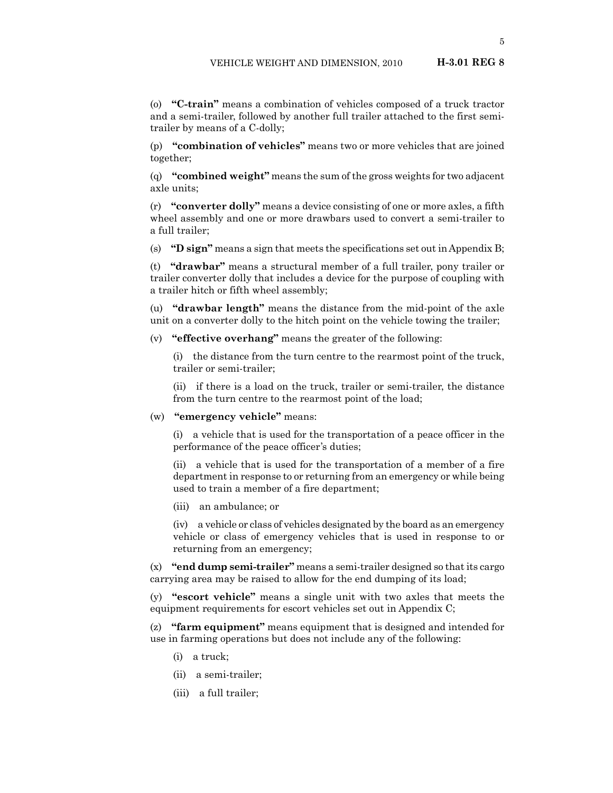(o) **"C-train"** means a combination of vehicles composed of a truck tractor and a semi-trailer, followed by another full trailer attached to the first semitrailer by means of a C-dolly;

(p) **"combination of vehicles"** means two or more vehicles that are joined together;

(q) **"combined weight"** means the sum of the gross weights for two adjacent axle units;

(r) **"converter dolly"** means a device consisting of one or more axles, a fifth wheel assembly and one or more drawbars used to convert a semi-trailer to a full trailer;

(s) **"D sign"** means a sign that meets the specifications set out in Appendix B;

(t) **"drawbar"** means a structural member of a full trailer, pony trailer or trailer converter dolly that includes a device for the purpose of coupling with a trailer hitch or fifth wheel assembly;

(u) **"drawbar length"** means the distance from the mid-point of the axle unit on a converter dolly to the hitch point on the vehicle towing the trailer;

(v) **"effective overhang"** means the greater of the following:

(i) the distance from the turn centre to the rearmost point of the truck, trailer or semi-trailer;

(ii) if there is a load on the truck, trailer or semi-trailer, the distance from the turn centre to the rearmost point of the load;

#### (w) **"emergency vehicle"** means:

(i) a vehicle that is used for the transportation of a peace officer in the performance of the peace officer's duties;

(ii) a vehicle that is used for the transportation of a member of a fire department in response to or returning from an emergency or while being used to train a member of a fire department;

(iii) an ambulance; or

(iv) a vehicle or class of vehicles designated by the board as an emergency vehicle or class of emergency vehicles that is used in response to or returning from an emergency;

(x) **"end dump semi-trailer"** means a semi-trailer designed so that its cargo carrying area may be raised to allow for the end dumping of its load;

(y) **"escort vehicle"** means a single unit with two axles that meets the equipment requirements for escort vehicles set out in Appendix C;

(z) **"farm equipment"** means equipment that is designed and intended for use in farming operations but does not include any of the following:

- (i) a truck;
- (ii) a semi-trailer;
- (iii) a full trailer;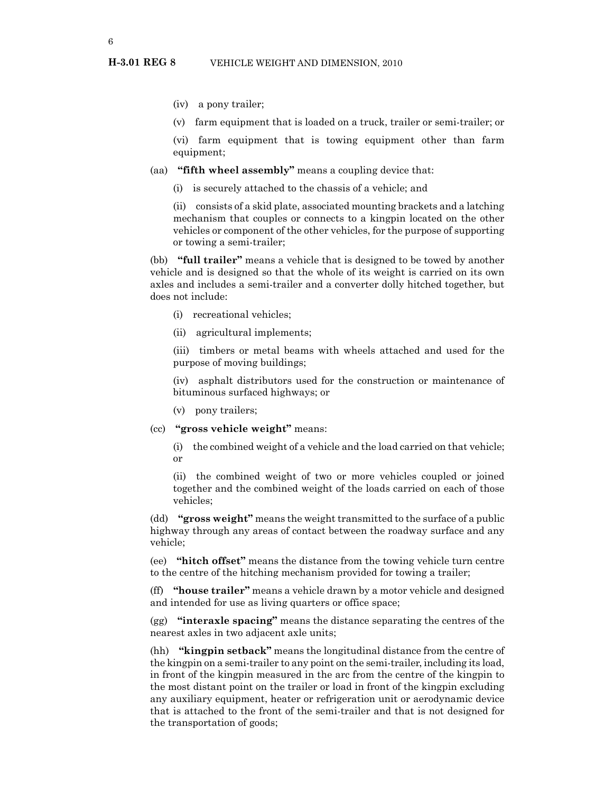- (iv) a pony trailer;
- (v) farm equipment that is loaded on a truck, trailer or semi-trailer; or

(vi) farm equipment that is towing equipment other than farm equipment;

#### (aa) **"fifth wheel assembly"** means a coupling device that:

(i) is securely attached to the chassis of a vehicle; and

(ii) consists of a skid plate, associated mounting brackets and a latching mechanism that couples or connects to a kingpin located on the other vehicles or component of the other vehicles, for the purpose of supporting or towing a semi-trailer;

(bb) **"full trailer"** means a vehicle that is designed to be towed by another vehicle and is designed so that the whole of its weight is carried on its own axles and includes a semi-trailer and a converter dolly hitched together, but does not include:

- (i) recreational vehicles;
- (ii) agricultural implements;

(iii) timbers or metal beams with wheels attached and used for the purpose of moving buildings;

(iv) asphalt distributors used for the construction or maintenance of bituminous surfaced highways; or

(v) pony trailers;

(cc) **"gross vehicle weight"** means:

(i) the combined weight of a vehicle and the load carried on that vehicle; or

(ii) the combined weight of two or more vehicles coupled or joined together and the combined weight of the loads carried on each of those vehicles;

(dd) **"gross weight"** means the weight transmitted to the surface of a public highway through any areas of contact between the roadway surface and any vehicle;

(ee) **"hitch offset"** means the distance from the towing vehicle turn centre to the centre of the hitching mechanism provided for towing a trailer;

(ff) **"house trailer"** means a vehicle drawn by a motor vehicle and designed and intended for use as living quarters or office space;

(gg) **"interaxle spacing"** means the distance separating the centres of the nearest axles in two adjacent axle units;

(hh) **"kingpin setback"** means the longitudinal distance from the centre of the kingpin on a semi-trailer to any point on the semi-trailer, including its load, in front of the kingpin measured in the arc from the centre of the kingpin to the most distant point on the trailer or load in front of the kingpin excluding any auxiliary equipment, heater or refrigeration unit or aerodynamic device that is attached to the front of the semi-trailer and that is not designed for the transportation of goods;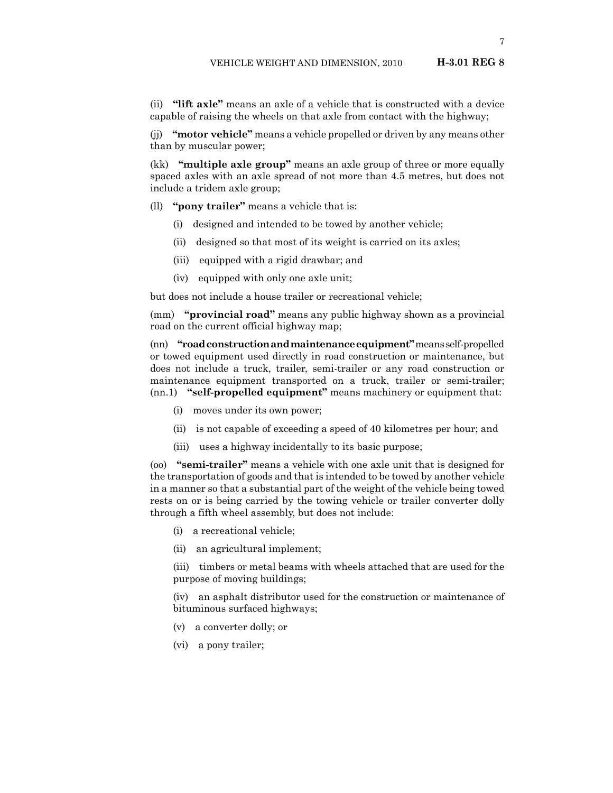(ii) **"lift axle"** means an axle of a vehicle that is constructed with a device capable of raising the wheels on that axle from contact with the highway;

(jj) **"motor vehicle"** means a vehicle propelled or driven by any means other than by muscular power;

(kk) **"multiple axle group"** means an axle group of three or more equally spaced axles with an axle spread of not more than 4.5 metres, but does not include a tridem axle group;

- (ll) **"pony trailer"** means a vehicle that is:
	- (i) designed and intended to be towed by another vehicle;
	- (ii) designed so that most of its weight is carried on its axles;
	- (iii) equipped with a rigid drawbar; and
	- (iv) equipped with only one axle unit;

but does not include a house trailer or recreational vehicle;

(mm) **"provincial road"** means any public highway shown as a provincial road on the current official highway map;

(nn) **"road construction and maintenance equipment"** means self-propelled or towed equipment used directly in road construction or maintenance, but does not include a truck, trailer, semi-trailer or any road construction or maintenance equipment transported on a truck, trailer or semi-trailer; (nn.1) **"self-propelled equipment"** means machinery or equipment that:

- (i) moves under its own power;
- (ii) is not capable of exceeding a speed of 40 kilometres per hour; and
- (iii) uses a highway incidentally to its basic purpose;

(oo) **"semi-trailer"** means a vehicle with one axle unit that is designed for the transportation of goods and that is intended to be towed by another vehicle in a manner so that a substantial part of the weight of the vehicle being towed rests on or is being carried by the towing vehicle or trailer converter dolly through a fifth wheel assembly, but does not include:

- (i) a recreational vehicle;
- (ii) an agricultural implement;

(iii) timbers or metal beams with wheels attached that are used for the purpose of moving buildings;

(iv) an asphalt distributor used for the construction or maintenance of bituminous surfaced highways;

- (v) a converter dolly; or
- (vi) a pony trailer;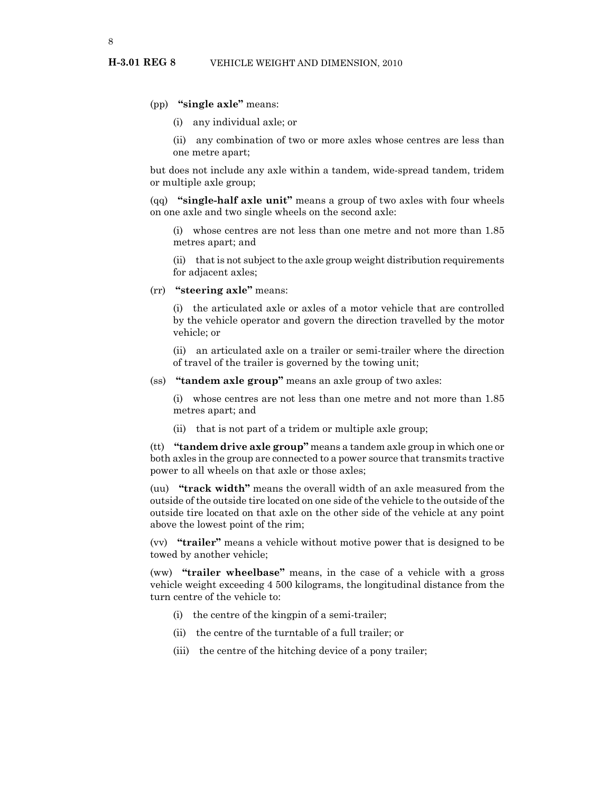#### (pp) **"single axle"** means:

(i) any individual axle; or

(ii) any combination of two or more axles whose centres are less than one metre apart;

but does not include any axle within a tandem, wide-spread tandem, tridem or multiple axle group;

(qq) **"single-half axle unit"** means a group of two axles with four wheels on one axle and two single wheels on the second axle:

(i) whose centres are not less than one metre and not more than 1.85 metres apart; and

(ii) that is not subject to the axle group weight distribution requirements for adjacent axles;

(rr) **"steering axle"** means:

(i) the articulated axle or axles of a motor vehicle that are controlled by the vehicle operator and govern the direction travelled by the motor vehicle; or

(ii) an articulated axle on a trailer or semi-trailer where the direction of travel of the trailer is governed by the towing unit;

(ss) **"tandem axle group"** means an axle group of two axles:

(i) whose centres are not less than one metre and not more than 1.85 metres apart; and

(ii) that is not part of a tridem or multiple axle group;

(tt) **"tandem drive axle group"** means a tandem axle group in which one or both axles in the group are connected to a power source that transmits tractive power to all wheels on that axle or those axles;

(uu) **"track width"** means the overall width of an axle measured from the outside of the outside tire located on one side of the vehicle to the outside of the outside tire located on that axle on the other side of the vehicle at any point above the lowest point of the rim;

(vv) **"trailer"** means a vehicle without motive power that is designed to be towed by another vehicle;

(ww) **"trailer wheelbase"** means, in the case of a vehicle with a gross vehicle weight exceeding 4 500 kilograms, the longitudinal distance from the turn centre of the vehicle to:

- (i) the centre of the kingpin of a semi-trailer;
- (ii) the centre of the turntable of a full trailer; or
- (iii) the centre of the hitching device of a pony trailer;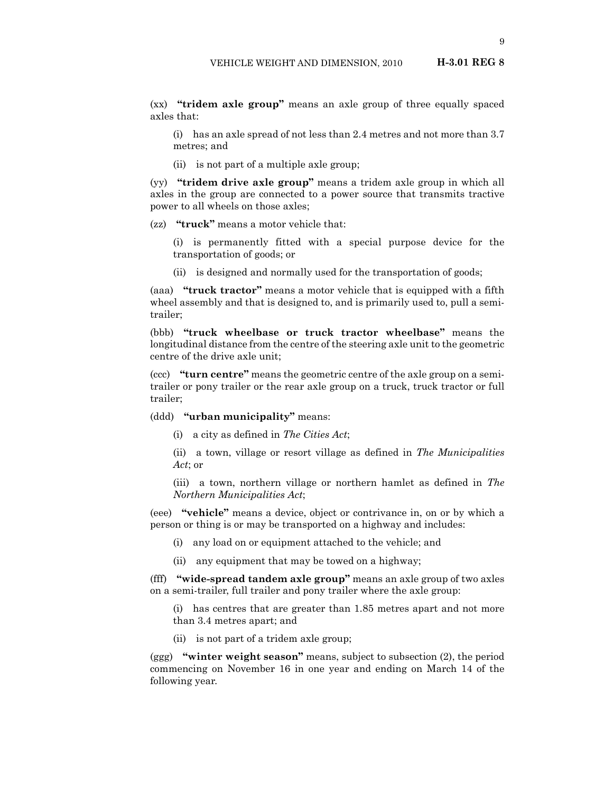(i) has an axle spread of not less than 2.4 metres and not more than 3.7 metres; and

(ii) is not part of a multiple axle group;

(yy) **"tridem drive axle group"** means a tridem axle group in which all axles in the group are connected to a power source that transmits tractive power to all wheels on those axles;

(zz) **"truck"** means a motor vehicle that:

axles that:

- (i) is permanently fitted with a special purpose device for the transportation of goods; or
- (ii) is designed and normally used for the transportation of goods;

(aaa) **"truck tractor"** means a motor vehicle that is equipped with a fifth wheel assembly and that is designed to, and is primarily used to, pull a semitrailer;

(bbb) **"truck wheelbase or truck tractor wheelbase"** means the longitudinal distance from the centre of the steering axle unit to the geometric centre of the drive axle unit;

(ccc) **"turn centre"** means the geometric centre of the axle group on a semitrailer or pony trailer or the rear axle group on a truck, truck tractor or full trailer;

(ddd) **"urban municipality"** means:

(i) a city as defined in *The Cities Act*;

(ii) a town, village or resort village as defined in *The Municipalities Act*; or

(iii) a town, northern village or northern hamlet as defined in *The Northern Municipalities Act*;

(eee) **"vehicle"** means a device, object or contrivance in, on or by which a person or thing is or may be transported on a highway and includes:

- (i) any load on or equipment attached to the vehicle; and
- (ii) any equipment that may be towed on a highway;

(fff) **"wide-spread tandem axle group"** means an axle group of two axles on a semi-trailer, full trailer and pony trailer where the axle group:

(i) has centres that are greater than 1.85 metres apart and not more than 3.4 metres apart; and

(ii) is not part of a tridem axle group;

(ggg) **"winter weight season"** means, subject to subsection (2), the period commencing on November 16 in one year and ending on March 14 of the following year.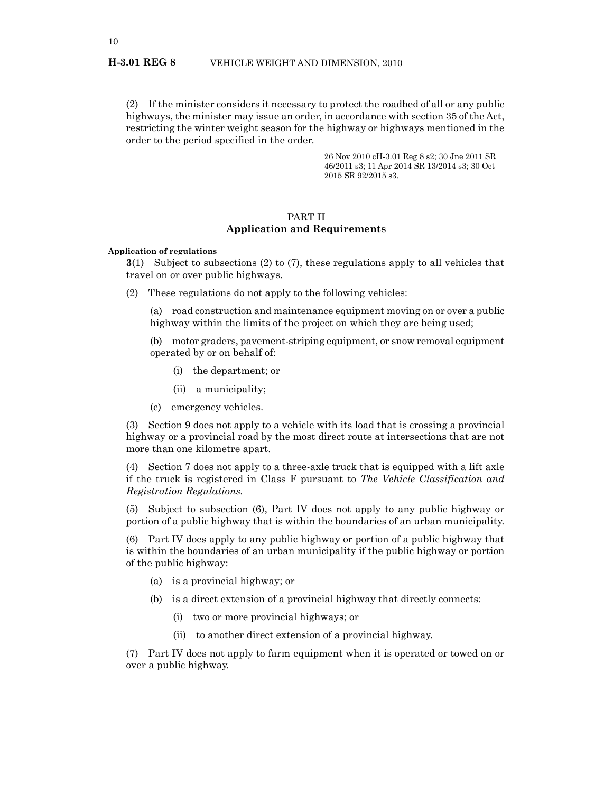(2) If the minister considers it necessary to protect the roadbed of all or any public highways, the minister may issue an order, in accordance with section 35 of the Act, restricting the winter weight season for the highway or highways mentioned in the order to the period specified in the order.

> 26 Nov 2010 cH-3.01 Reg 8 s2; 30 Jne 2011 SR 46/2011 s3; 11 Apr 2014 SR 13/2014 s3; 30 Oct 2015 SR 92/2015 s3.

#### PART II **Application and Requirements**

#### **Application of regulations**

**3**(1) Subject to subsections (2) to (7), these regulations apply to all vehicles that travel on or over public highways.

(2) These regulations do not apply to the following vehicles:

(a) road construction and maintenance equipment moving on or over a public highway within the limits of the project on which they are being used;

(b) motor graders, pavement-striping equipment, or snow removal equipment operated by or on behalf of:

- (i) the department; or
- (ii) a municipality;
- (c) emergency vehicles.

(3) Section 9 does not apply to a vehicle with its load that is crossing a provincial highway or a provincial road by the most direct route at intersections that are not more than one kilometre apart.

(4) Section 7 does not apply to a three-axle truck that is equipped with a lift axle if the truck is registered in Class F pursuant to *The Vehicle Classification and Registration Regulations.*

(5) Subject to subsection (6), Part IV does not apply to any public highway or portion of a public highway that is within the boundaries of an urban municipality.

(6) Part IV does apply to any public highway or portion of a public highway that is within the boundaries of an urban municipality if the public highway or portion of the public highway:

- (a) is a provincial highway; or
- (b) is a direct extension of a provincial highway that directly connects:
	- (i) two or more provincial highways; or
	- (ii) to another direct extension of a provincial highway.

(7) Part IV does not apply to farm equipment when it is operated or towed on or over a public highway.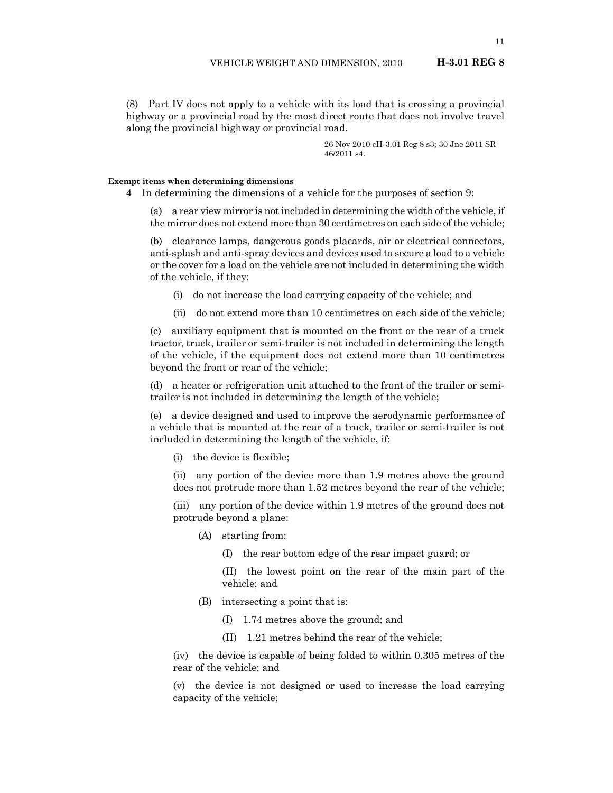(8) Part IV does not apply to a vehicle with its load that is crossing a provincial highway or a provincial road by the most direct route that does not involve travel along the provincial highway or provincial road.

> 26 Nov 2010 cH-3.01 Reg 8 s3; 30 Jne 2011 SR 46/2011 s4.

#### **Exempt items when determining dimensions**

**4** In determining the dimensions of a vehicle for the purposes of section 9:

(a) a rear view mirror is not included in determining the width of the vehicle, if the mirror does not extend more than 30 centimetres on each side of the vehicle;

(b) clearance lamps, dangerous goods placards, air or electrical connectors, anti-splash and anti-spray devices and devices used to secure a load to a vehicle or the cover for a load on the vehicle are not included in determining the width of the vehicle, if they:

- (i) do not increase the load carrying capacity of the vehicle; and
- (ii) do not extend more than 10 centimetres on each side of the vehicle;

(c) auxiliary equipment that is mounted on the front or the rear of a truck tractor, truck, trailer or semi-trailer is not included in determining the length of the vehicle, if the equipment does not extend more than 10 centimetres beyond the front or rear of the vehicle;

(d) a heater or refrigeration unit attached to the front of the trailer or semitrailer is not included in determining the length of the vehicle;

(e) a device designed and used to improve the aerodynamic performance of a vehicle that is mounted at the rear of a truck, trailer or semi-trailer is not included in determining the length of the vehicle, if:

(i) the device is flexible;

(ii) any portion of the device more than 1.9 metres above the ground does not protrude more than 1.52 metres beyond the rear of the vehicle;

(iii) any portion of the device within 1.9 metres of the ground does not protrude beyond a plane:

- (A) starting from:
	- (I) the rear bottom edge of the rear impact guard; or

(II) the lowest point on the rear of the main part of the vehicle; and

- (B) intersecting a point that is:
	- (I) 1.74 metres above the ground; and
	- (II) 1.21 metres behind the rear of the vehicle;

(iv) the device is capable of being folded to within 0.305 metres of the rear of the vehicle; and

(v) the device is not designed or used to increase the load carrying capacity of the vehicle;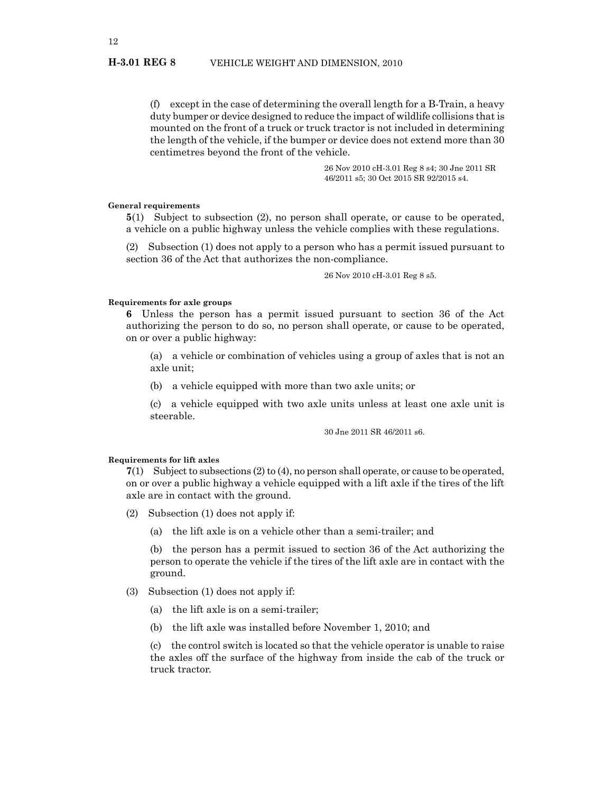(f) except in the case of determining the overall length for a B-Train, a heavy duty bumper or device designed to reduce the impact of wildlife collisions that is mounted on the front of a truck or truck tractor is not included in determining the length of the vehicle, if the bumper or device does not extend more than 30 centimetres beyond the front of the vehicle.

> 26 Nov 2010 cH-3.01 Reg 8 s4; 30 Jne 2011 SR 46/2011 s5; 30 Oct 2015 SR 92/2015 s4.

#### **General requirements**

**5**(1) Subject to subsection (2), no person shall operate, or cause to be operated, a vehicle on a public highway unless the vehicle complies with these regulations.

(2) Subsection (1) does not apply to a person who has a permit issued pursuant to section 36 of the Act that authorizes the non-compliance.

26 Nov 2010 cH-3.01 Reg 8 s5.

#### **Requirements for axle groups**

**6** Unless the person has a permit issued pursuant to section 36 of the Act authorizing the person to do so, no person shall operate, or cause to be operated, on or over a public highway:

(a) a vehicle or combination of vehicles using a group of axles that is not an axle unit;

(b) a vehicle equipped with more than two axle units; or

(c) a vehicle equipped with two axle units unless at least one axle unit is steerable.

30 Jne 2011 SR 46/2011 s6.

#### **Requirements for lift axles**

**7**(1) Subject to subsections (2) to (4), no person shall operate, or cause to be operated, on or over a public highway a vehicle equipped with a lift axle if the tires of the lift axle are in contact with the ground.

- (2) Subsection (1) does not apply if:
	- (a) the lift axle is on a vehicle other than a semi-trailer; and

(b) the person has a permit issued to section 36 of the Act authorizing the person to operate the vehicle if the tires of the lift axle are in contact with the ground.

- (3) Subsection (1) does not apply if:
	- (a) the lift axle is on a semi-trailer;
	- (b) the lift axle was installed before November 1, 2010; and

(c) the control switch is located so that the vehicle operator is unable to raise the axles off the surface of the highway from inside the cab of the truck or truck tractor.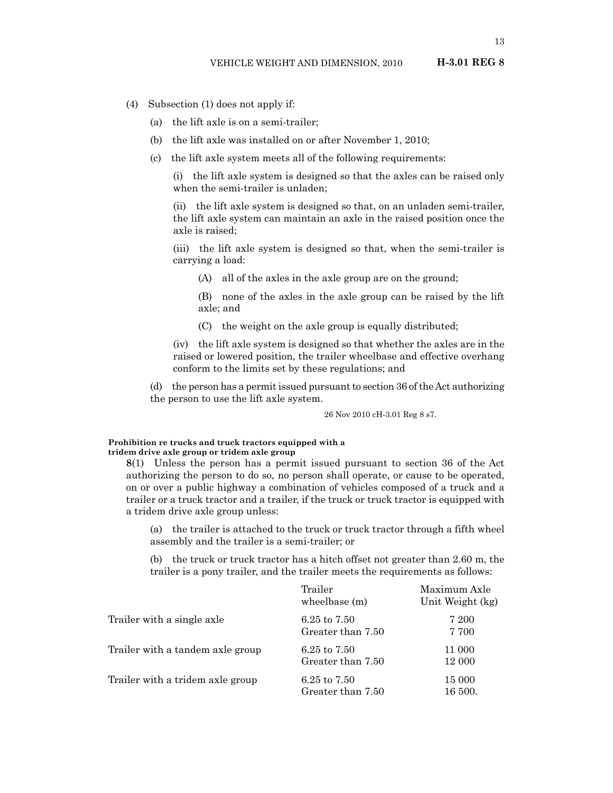- (4) Subsection (1) does not apply if:
	- (a) the lift axle is on a semi-trailer;
	- (b) the lift axle was installed on or after November 1, 2010;
	- (c) the lift axle system meets all of the following requirements:

(i) the lift axle system is designed so that the axles can be raised only when the semi-trailer is unladen;

(ii) the lift axle system is designed so that, on an unladen semi-trailer, the lift axle system can maintain an axle in the raised position once the axle is raised;

(iii) the lift axle system is designed so that, when the semi-trailer is carrying a load:

(A) all of the axles in the axle group are on the ground;

(B) none of the axles in the axle group can be raised by the lift axle; and

(C) the weight on the axle group is equally distributed;

(iv) the lift axle system is designed so that whether the axles are in the raised or lowered position, the trailer wheelbase and effective overhang conform to the limits set by these regulations; and

(d) the person has a permit issued pursuant to section 36 of the Act authorizing the person to use the lift axle system.

26 Nov 2010 cH-3.01 Reg 8 s7.

#### **Prohibition re trucks and truck tractors equipped with a tridem drive axle group or tridem axle group**

**8**(1) Unless the person has a permit issued pursuant to section 36 of the Act authorizing the person to do so, no person shall operate, or cause to be operated, on or over a public highway a combination of vehicles composed of a truck and a trailer or a truck tractor and a trailer, if the truck or truck tractor is equipped with a tridem drive axle group unless:

(a) the trailer is attached to the truck or truck tractor through a fifth wheel assembly and the trailer is a semi-trailer; or

(b) the truck or truck tractor has a hitch offset not greater than 2.60 m, the trailer is a pony trailer, and the trailer meets the requirements as follows:

|                                  | Trailer<br>wheelbase (m)            | Maximum Axle<br>Unit Weight (kg) |
|----------------------------------|-------------------------------------|----------------------------------|
| Trailer with a single axle       | 6.25 to 7.50<br>Greater than 7.50   | 7 200<br>7 700                   |
| Trailer with a tandem axle group | 6.25 to $7.50$<br>Greater than 7.50 | 11 000<br>12 000                 |
| Trailer with a tridem axle group | 6.25 to 7.50<br>Greater than 7.50   | 15 000<br>16 500.                |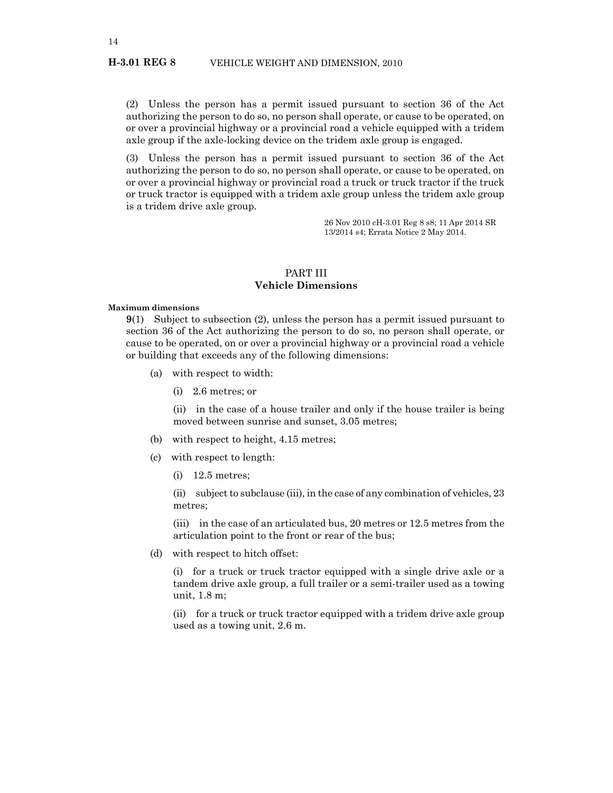#### **H-3.01 REG 8** VEHICLE WEIGHT AND DIMENSION, 2010

(2) Unless the person has a permit issued pursuant to section 36 of the Act authorizing the person to do so, no person shall operate, or cause to be operated, on or over a provincial highway or a provincial road a vehicle equipped with a tridem axle group if the axle-locking device on the tridem axle group is engaged.

(3) Unless the person has a permit issued pursuant to section 36 of the Act authorizing the person to do so, no person shall operate, or cause to be operated, on or over a provincial highway or provincial road a truck or truck tractor if the truck or truck tractor is equipped with a tridem axle group unless the tridem axle group is a tridem drive axle group.

> 26 Nov 2010 cH-3.01 Reg 8 s8; 11 Apr 2014 SR 13/2014 s4; Errata Notice 2 May 2014.

#### PART III **Vehicle Dimensions**

#### **Maximum dimensions**

**9**(1) Subject to subsection (2), unless the person has a permit issued pursuant to section 36 of the Act authorizing the person to do so, no person shall operate, or cause to be operated, on or over a provincial highway or a provincial road a vehicle or building that exceeds any of the following dimensions:

- (a) with respect to width:
	- (i) 2.6 metres; or

(ii) in the case of a house trailer and only if the house trailer is being moved between sunrise and sunset, 3.05 metres;

- (b) with respect to height, 4.15 metres;
- (c) with respect to length:
	- (i) 12.5 metres;

(ii) subject to subclause (iii), in the case of any combination of vehicles,  $23$ metres;

(iii) in the case of an articulated bus, 20 metres or 12.5 metres from the articulation point to the front or rear of the bus;

(d) with respect to hitch offset:

(i) for a truck or truck tractor equipped with a single drive axle or a tandem drive axle group, a full trailer or a semi-trailer used as a towing unit, 1.8 m;

(ii) for a truck or truck tractor equipped with a tridem drive axle group used as a towing unit, 2.6 m.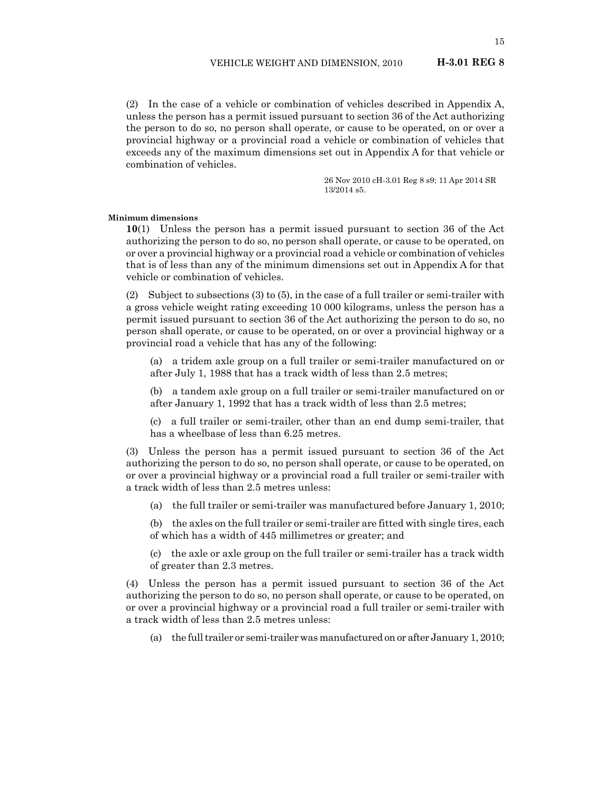(2) In the case of a vehicle or combination of vehicles described in Appendix A, unless the person has a permit issued pursuant to section 36 of the Act authorizing the person to do so, no person shall operate, or cause to be operated, on or over a provincial highway or a provincial road a vehicle or combination of vehicles that exceeds any of the maximum dimensions set out in Appendix A for that vehicle or combination of vehicles.

> 26 Nov 2010 cH-3.01 Reg 8 s9; 11 Apr 2014 SR 13/2014 s5.

#### **Minimum dimensions**

**10**(1) Unless the person has a permit issued pursuant to section 36 of the Act authorizing the person to do so, no person shall operate, or cause to be operated, on or over a provincial highway or a provincial road a vehicle or combination of vehicles that is of less than any of the minimum dimensions set out in Appendix A for that vehicle or combination of vehicles.

(2) Subject to subsections (3) to (5), in the case of a full trailer or semi-trailer with a gross vehicle weight rating exceeding 10 000 kilograms, unless the person has a permit issued pursuant to section 36 of the Act authorizing the person to do so, no person shall operate, or cause to be operated, on or over a provincial highway or a provincial road a vehicle that has any of the following:

(a) a tridem axle group on a full trailer or semi-trailer manufactured on or after July 1, 1988 that has a track width of less than 2.5 metres;

(b) a tandem axle group on a full trailer or semi-trailer manufactured on or after January 1, 1992 that has a track width of less than 2.5 metres;

(c) a full trailer or semi-trailer, other than an end dump semi-trailer, that has a wheelbase of less than 6.25 metres.

(3) Unless the person has a permit issued pursuant to section 36 of the Act authorizing the person to do so, no person shall operate, or cause to be operated, on or over a provincial highway or a provincial road a full trailer or semi-trailer with a track width of less than 2.5 metres unless:

(a) the full trailer or semi-trailer was manufactured before January 1, 2010;

(b) the axles on the full trailer or semi-trailer are fitted with single tires, each of which has a width of 445 millimetres or greater; and

(c) the axle or axle group on the full trailer or semi-trailer has a track width of greater than 2.3 metres.

(4) Unless the person has a permit issued pursuant to section 36 of the Act authorizing the person to do so, no person shall operate, or cause to be operated, on or over a provincial highway or a provincial road a full trailer or semi-trailer with a track width of less than 2.5 metres unless:

(a) the full trailer or semi-trailer was manufactured on or after January 1, 2010;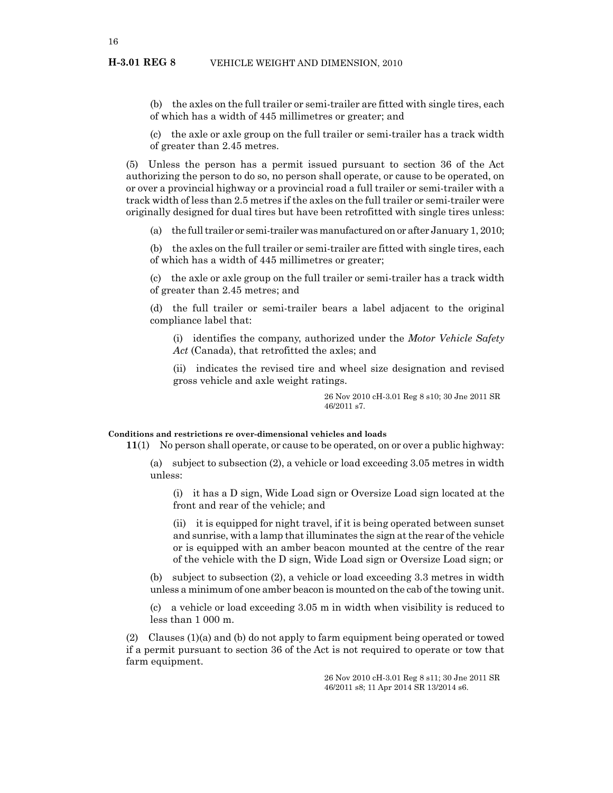(b) the axles on the full trailer or semi-trailer are fitted with single tires, each of which has a width of 445 millimetres or greater; and

(c) the axle or axle group on the full trailer or semi-trailer has a track width of greater than 2.45 metres.

(5) Unless the person has a permit issued pursuant to section 36 of the Act authorizing the person to do so, no person shall operate, or cause to be operated, on or over a provincial highway or a provincial road a full trailer or semi-trailer with a track width of less than 2.5 metres if the axles on the full trailer or semi-trailer were originally designed for dual tires but have been retrofitted with single tires unless:

(a) the full trailer or semi-trailer was manufactured on or after January 1, 2010;

(b) the axles on the full trailer or semi-trailer are fitted with single tires, each of which has a width of 445 millimetres or greater;

(c) the axle or axle group on the full trailer or semi-trailer has a track width of greater than 2.45 metres; and

(d) the full trailer or semi-trailer bears a label adjacent to the original compliance label that:

(i) identifies the company, authorized under the *Motor Vehicle Safety Act* (Canada), that retrofitted the axles; and

(ii) indicates the revised tire and wheel size designation and revised gross vehicle and axle weight ratings.

> 26 Nov 2010 cH-3.01 Reg 8 s10; 30 Jne 2011 SR 46/2011 s7.

#### **Conditions and restrictions re over-dimensional vehicles and loads**

**11**(1) No person shall operate, or cause to be operated, on or over a public highway:

(a) subject to subsection (2), a vehicle or load exceeding 3.05 metres in width unless:

(i) it has a D sign, Wide Load sign or Oversize Load sign located at the front and rear of the vehicle; and

(ii) it is equipped for night travel, if it is being operated between sunset and sunrise, with a lamp that illuminates the sign at the rear of the vehicle or is equipped with an amber beacon mounted at the centre of the rear of the vehicle with the D sign, Wide Load sign or Oversize Load sign; or

(b) subject to subsection (2), a vehicle or load exceeding 3.3 metres in width unless a minimum of one amber beacon is mounted on the cab of the towing unit.

(c) a vehicle or load exceeding 3.05 m in width when visibility is reduced to less than 1 000 m.

(2) Clauses (1)(a) and (b) do not apply to farm equipment being operated or towed if a permit pursuant to section 36 of the Act is not required to operate or tow that farm equipment.

> 26 Nov 2010 cH-3.01 Reg 8 s11; 30 Jne 2011 SR 46/2011 s8; 11 Apr 2014 SR 13/2014 s6.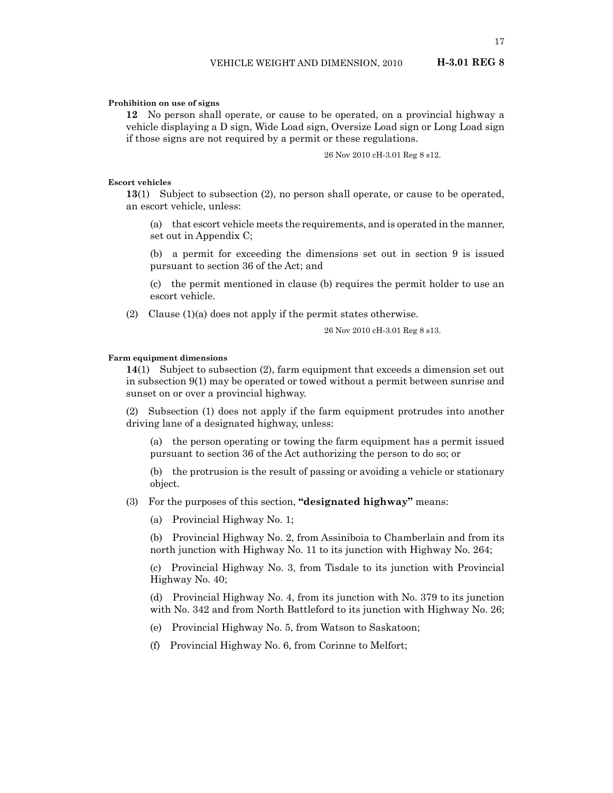#### **Prohibition on use of signs**

**12** No person shall operate, or cause to be operated, on a provincial highway a vehicle displaying a D sign, Wide Load sign, Oversize Load sign or Long Load sign if those signs are not required by a permit or these regulations.

26 Nov 2010 cH-3.01 Reg 8 s12.

#### **Escort vehicles**

**13**(1) Subject to subsection (2), no person shall operate, or cause to be operated, an escort vehicle, unless:

(a) that escort vehicle meets the requirements, and is operated in the manner, set out in Appendix C;

(b) a permit for exceeding the dimensions set out in section 9 is issued pursuant to section 36 of the Act; and

(c) the permit mentioned in clause (b) requires the permit holder to use an escort vehicle.

(2) Clause (1)(a) does not apply if the permit states otherwise.

26 Nov 2010 cH-3.01 Reg 8 s13.

#### **Farm equipment dimensions**

**14**(1) Subject to subsection (2), farm equipment that exceeds a dimension set out in subsection 9(1) may be operated or towed without a permit between sunrise and sunset on or over a provincial highway.

(2) Subsection (1) does not apply if the farm equipment protrudes into another driving lane of a designated highway, unless:

(a) the person operating or towing the farm equipment has a permit issued pursuant to section 36 of the Act authorizing the person to do so; or

(b) the protrusion is the result of passing or avoiding a vehicle or stationary object.

(3) For the purposes of this section, **"designated highway"** means:

(a) Provincial Highway No. 1;

(b) Provincial Highway No. 2, from Assiniboia to Chamberlain and from its north junction with Highway No. 11 to its junction with Highway No. 264;

(c) Provincial Highway No. 3, from Tisdale to its junction with Provincial Highway No. 40;

(d) Provincial Highway No. 4, from its junction with No. 379 to its junction with No. 342 and from North Battleford to its junction with Highway No. 26;

(e) Provincial Highway No. 5, from Watson to Saskatoon;

(f) Provincial Highway No. 6, from Corinne to Melfort;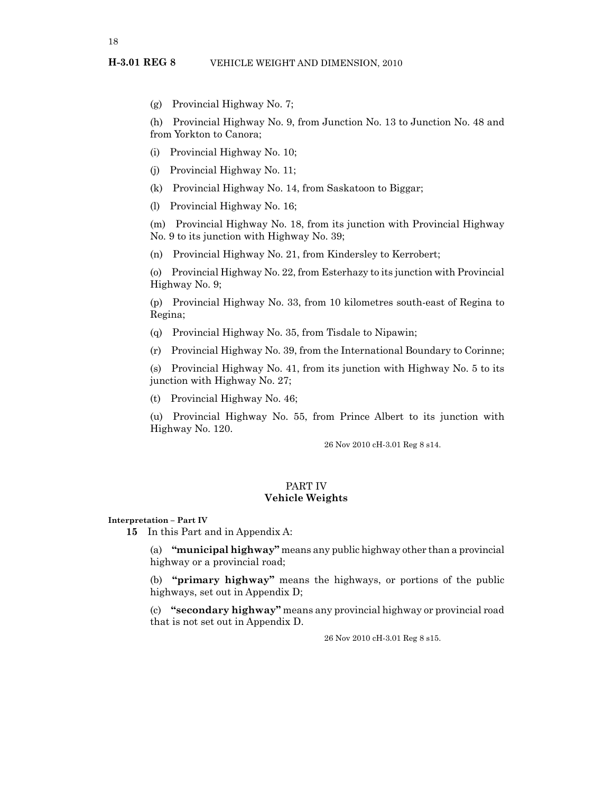(g) Provincial Highway No. 7;

(h) Provincial Highway No. 9, from Junction No. 13 to Junction No. 48 and from Yorkton to Canora;

- (i) Provincial Highway No. 10;
- (j) Provincial Highway No. 11;
- (k) Provincial Highway No. 14, from Saskatoon to Biggar;
- (l) Provincial Highway No. 16;

(m) Provincial Highway No. 18, from its junction with Provincial Highway No. 9 to its junction with Highway No. 39;

(n) Provincial Highway No. 21, from Kindersley to Kerrobert;

(o) Provincial Highway No. 22, from Esterhazy to its junction with Provincial Highway No. 9;

(p) Provincial Highway No. 33, from 10 kilometres south-east of Regina to Regina;

- (q) Provincial Highway No. 35, from Tisdale to Nipawin;
- (r) Provincial Highway No. 39, from the International Boundary to Corinne;

(s) Provincial Highway No. 41, from its junction with Highway No. 5 to its junction with Highway No. 27;

(t) Provincial Highway No. 46;

(u) Provincial Highway No. 55, from Prince Albert to its junction with Highway No. 120.

26 Nov 2010 cH-3.01 Reg 8 s14.

### PART IV **Vehicle Weights**

**Interpretation – Part IV**

**15** In this Part and in Appendix A:

(a) **"municipal highway"** means any public highway other than a provincial highway or a provincial road;

(b) **"primary highway"** means the highways, or portions of the public highways, set out in Appendix D;

(c) **"secondary highway"** means any provincial highway or provincial road that is not set out in Appendix D.

26 Nov 2010 cH-3.01 Reg 8 s15.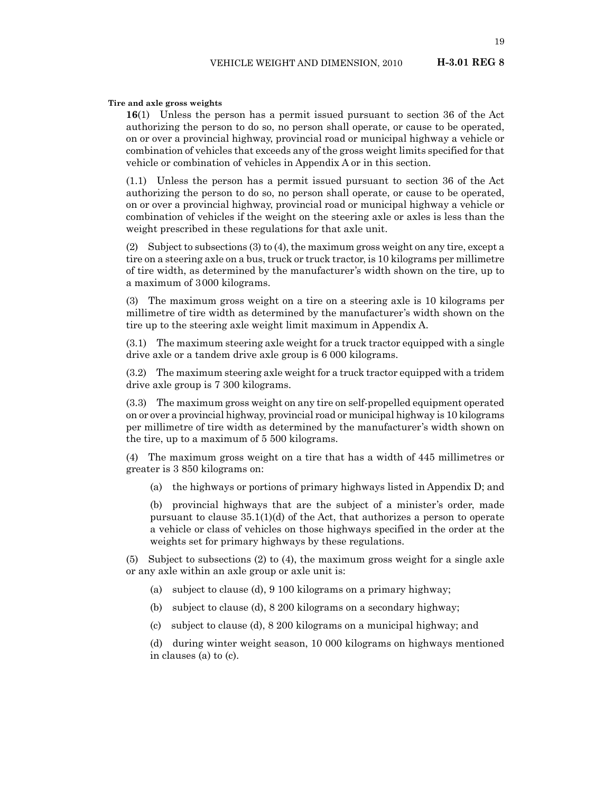19

#### **Tire and axle gross weights**

**16**(1) Unless the person has a permit issued pursuant to section 36 of the Act authorizing the person to do so, no person shall operate, or cause to be operated, on or over a provincial highway, provincial road or municipal highway a vehicle or combination of vehicles that exceeds any of the gross weight limits specified for that vehicle or combination of vehicles in Appendix A or in this section.

(1.1) Unless the person has a permit issued pursuant to section 36 of the Act authorizing the person to do so, no person shall operate, or cause to be operated, on or over a provincial highway, provincial road or municipal highway a vehicle or combination of vehicles if the weight on the steering axle or axles is less than the weight prescribed in these regulations for that axle unit.

(2) Subject to subsections (3) to (4), the maximum gross weight on any tire, except a tire on a steering axle on a bus, truck or truck tractor, is 10 kilograms per millimetre of tire width, as determined by the manufacturer's width shown on the tire, up to a maximum of 3000 kilograms.

(3) The maximum gross weight on a tire on a steering axle is 10 kilograms per millimetre of tire width as determined by the manufacturer's width shown on the tire up to the steering axle weight limit maximum in Appendix A.

(3.1) The maximum steering axle weight for a truck tractor equipped with a single drive axle or a tandem drive axle group is 6 000 kilograms.

(3.2) The maximum steering axle weight for a truck tractor equipped with a tridem drive axle group is 7 300 kilograms.

(3.3) The maximum gross weight on any tire on self-propelled equipment operated on or over a provincial highway, provincial road or municipal highway is 10 kilograms per millimetre of tire width as determined by the manufacturer's width shown on the tire, up to a maximum of 5 500 kilograms.

(4) The maximum gross weight on a tire that has a width of 445 millimetres or greater is 3 850 kilograms on:

(a) the highways or portions of primary highways listed in Appendix D; and

(b) provincial highways that are the subject of a minister's order, made pursuant to clause  $35.1(1)(d)$  of the Act, that authorizes a person to operate a vehicle or class of vehicles on those highways specified in the order at the weights set for primary highways by these regulations.

(5) Subject to subsections (2) to (4), the maximum gross weight for a single axle or any axle within an axle group or axle unit is:

- (a) subject to clause (d), 9 100 kilograms on a primary highway;
- (b) subject to clause (d), 8 200 kilograms on a secondary highway;
- (c) subject to clause (d), 8 200 kilograms on a municipal highway; and

(d) during winter weight season, 10 000 kilograms on highways mentioned in clauses (a) to (c).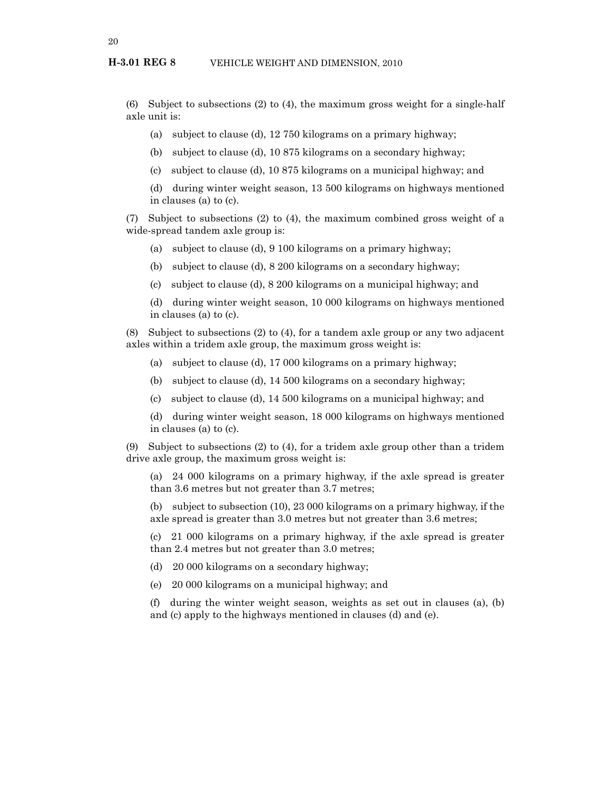(6) Subject to subsections (2) to (4), the maximum gross weight for a single-half axle unit is:

- (a) subject to clause (d), 12 750 kilograms on a primary highway;
- (b) subject to clause (d), 10 875 kilograms on a secondary highway;
- (c) subject to clause (d), 10 875 kilograms on a municipal highway; and

(d) during winter weight season, 13 500 kilograms on highways mentioned in clauses (a) to (c).

(7) Subject to subsections (2) to (4), the maximum combined gross weight of a wide-spread tandem axle group is:

- (a) subject to clause (d), 9 100 kilograms on a primary highway;
- (b) subject to clause (d), 8 200 kilograms on a secondary highway;
- (c) subject to clause (d), 8 200 kilograms on a municipal highway; and

(d) during winter weight season, 10 000 kilograms on highways mentioned in clauses (a) to (c).

(8) Subject to subsections (2) to (4), for a tandem axle group or any two adjacent axles within a tridem axle group, the maximum gross weight is:

- (a) subject to clause (d), 17 000 kilograms on a primary highway;
- (b) subject to clause (d), 14 500 kilograms on a secondary highway;
- (c) subject to clause (d), 14 500 kilograms on a municipal highway; and
- (d) during winter weight season, 18 000 kilograms on highways mentioned in clauses (a) to (c).

(9) Subject to subsections (2) to (4), for a tridem axle group other than a tridem drive axle group, the maximum gross weight is:

(a) 24 000 kilograms on a primary highway, if the axle spread is greater than 3.6 metres but not greater than 3.7 metres;

(b) subject to subsection (10), 23 000 kilograms on a primary highway, if the axle spread is greater than 3.0 metres but not greater than 3.6 metres;

(c) 21 000 kilograms on a primary highway, if the axle spread is greater than 2.4 metres but not greater than 3.0 metres;

- (d) 20 000 kilograms on a secondary highway;
- (e) 20 000 kilograms on a municipal highway; and

(f) during the winter weight season, weights as set out in clauses (a), (b) and (c) apply to the highways mentioned in clauses (d) and (e).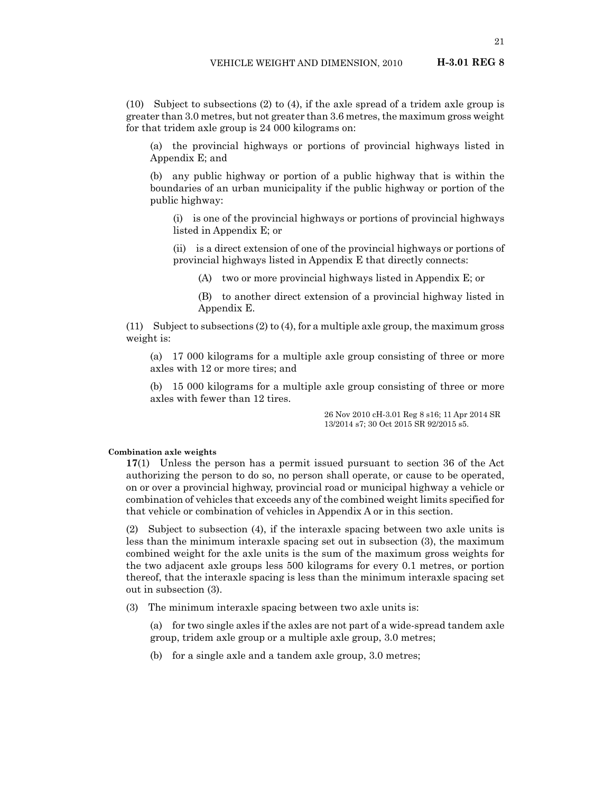(10) Subject to subsections (2) to (4), if the axle spread of a tridem axle group is greater than 3.0 metres, but not greater than 3.6 metres, the maximum gross weight for that tridem axle group is 24 000 kilograms on:

(a) the provincial highways or portions of provincial highways listed in Appendix E; and

(b) any public highway or portion of a public highway that is within the boundaries of an urban municipality if the public highway or portion of the public highway:

(i) is one of the provincial highways or portions of provincial highways listed in Appendix E; or

(ii) is a direct extension of one of the provincial highways or portions of provincial highways listed in Appendix E that directly connects:

(A) two or more provincial highways listed in Appendix E; or

(B) to another direct extension of a provincial highway listed in Appendix E.

(11) Subject to subsections (2) to (4), for a multiple axle group, the maximum gross weight is:

(a) 17 000 kilograms for a multiple axle group consisting of three or more axles with 12 or more tires; and

(b) 15 000 kilograms for a multiple axle group consisting of three or more axles with fewer than 12 tires.

> 26 Nov 2010 cH-3.01 Reg 8 s16; 11 Apr 2014 SR 13/2014 s7; 30 Oct 2015 SR 92/2015 s5.

#### **Combination axle weights**

**17**(1) Unless the person has a permit issued pursuant to section 36 of the Act authorizing the person to do so, no person shall operate, or cause to be operated, on or over a provincial highway, provincial road or municipal highway a vehicle or combination of vehicles that exceeds any of the combined weight limits specified for that vehicle or combination of vehicles in Appendix A or in this section.

(2) Subject to subsection (4), if the interaxle spacing between two axle units is less than the minimum interaxle spacing set out in subsection (3), the maximum combined weight for the axle units is the sum of the maximum gross weights for the two adjacent axle groups less 500 kilograms for every 0.1 metres, or portion thereof, that the interaxle spacing is less than the minimum interaxle spacing set out in subsection (3).

(3) The minimum interaxle spacing between two axle units is:

(a) for two single axles if the axles are not part of a wide-spread tandem axle group, tridem axle group or a multiple axle group, 3.0 metres;

(b) for a single axle and a tandem axle group, 3.0 metres;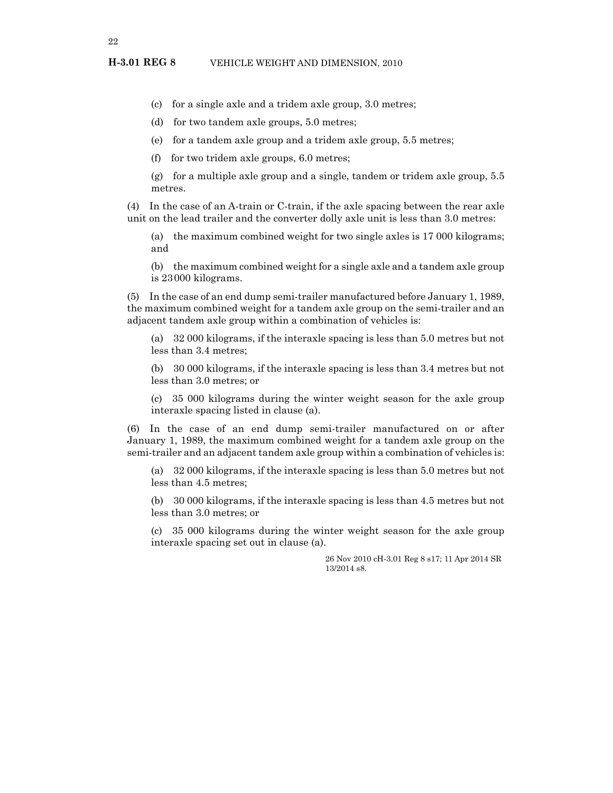- (c) for a single axle and a tridem axle group, 3.0 metres;
- (d) for two tandem axle groups, 5.0 metres;
- (e) for a tandem axle group and a tridem axle group, 5.5 metres;
- (f) for two tridem axle groups, 6.0 metres;

(g) for a multiple axle group and a single, tandem or tridem axle group, 5.5 metres.

(4) In the case of an A-train or C-train, if the axle spacing between the rear axle unit on the lead trailer and the converter dolly axle unit is less than 3.0 metres:

(a) the maximum combined weight for two single axles is 17 000 kilograms; and

(b) the maximum combined weight for a single axle and a tandem axle group is 23000 kilograms.

(5) In the case of an end dump semi-trailer manufactured before January 1, 1989, the maximum combined weight for a tandem axle group on the semi-trailer and an adjacent tandem axle group within a combination of vehicles is:

(a) 32 000 kilograms, if the interaxle spacing is less than 5.0 metres but not less than 3.4 metres;

(b) 30 000 kilograms, if the interaxle spacing is less than 3.4 metres but not less than 3.0 metres; or

(c) 35 000 kilograms during the winter weight season for the axle group interaxle spacing listed in clause (a).

(6) In the case of an end dump semi-trailer manufactured on or after January 1, 1989, the maximum combined weight for a tandem axle group on the semi-trailer and an adjacent tandem axle group within a combination of vehicles is:

(a) 32 000 kilograms, if the interaxle spacing is less than 5.0 metres but not less than 4.5 metres;

(b) 30 000 kilograms, if the interaxle spacing is less than 4.5 metres but not less than 3.0 metres; or

(c) 35 000 kilograms during the winter weight season for the axle group interaxle spacing set out in clause (a).

> 26 Nov 2010 cH-3.01 Reg 8 s17; 11 Apr 2014 SR 13/2014 s8.

22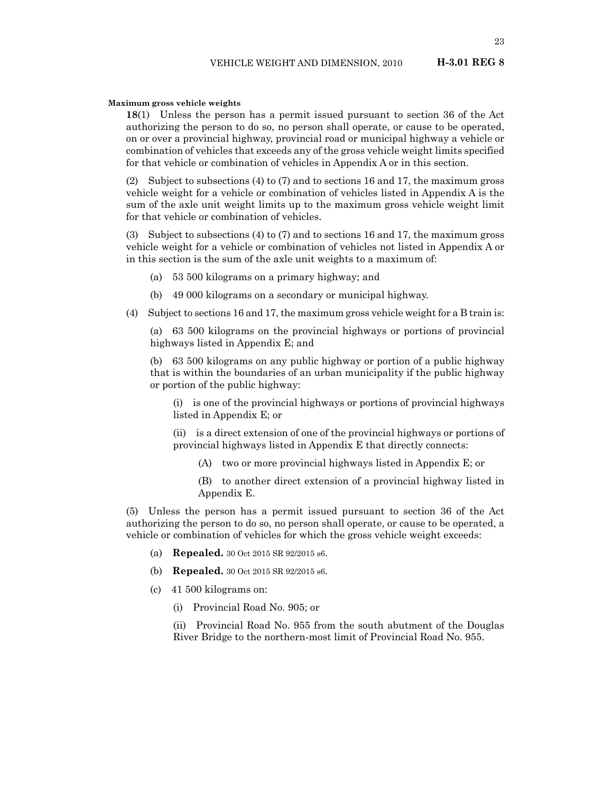#### **Maximum gross vehicle weights**

**18**(1) Unless the person has a permit issued pursuant to section 36 of the Act authorizing the person to do so, no person shall operate, or cause to be operated, on or over a provincial highway, provincial road or municipal highway a vehicle or combination of vehicles that exceeds any of the gross vehicle weight limits specified for that vehicle or combination of vehicles in Appendix A or in this section.

(2) Subject to subsections (4) to (7) and to sections 16 and 17, the maximum gross vehicle weight for a vehicle or combination of vehicles listed in Appendix A is the sum of the axle unit weight limits up to the maximum gross vehicle weight limit for that vehicle or combination of vehicles.

(3) Subject to subsections (4) to (7) and to sections 16 and 17, the maximum gross vehicle weight for a vehicle or combination of vehicles not listed in Appendix A or in this section is the sum of the axle unit weights to a maximum of:

- (a) 53 500 kilograms on a primary highway; and
- (b) 49 000 kilograms on a secondary or municipal highway.
- (4) Subject to sections 16 and 17, the maximum gross vehicle weight for a B train is:

(a) 63 500 kilograms on the provincial highways or portions of provincial highways listed in Appendix E; and

(b) 63 500 kilograms on any public highway or portion of a public highway that is within the boundaries of an urban municipality if the public highway or portion of the public highway:

(i) is one of the provincial highways or portions of provincial highways listed in Appendix E; or

(ii) is a direct extension of one of the provincial highways or portions of provincial highways listed in Appendix E that directly connects:

(A) two or more provincial highways listed in Appendix E; or

(B) to another direct extension of a provincial highway listed in Appendix E.

(5) Unless the person has a permit issued pursuant to section 36 of the Act authorizing the person to do so, no person shall operate, or cause to be operated, a vehicle or combination of vehicles for which the gross vehicle weight exceeds:

- (a) **Repealed.** 30 Oct 2015 SR 92/2015 s6.
- (b) **Repealed.** 30 Oct 2015 SR 92/2015 s6.
- (c) 41 500 kilograms on:
	- (i) Provincial Road No. 905; or

(ii) Provincial Road No. 955 from the south abutment of the Douglas River Bridge to the northern-most limit of Provincial Road No. 955.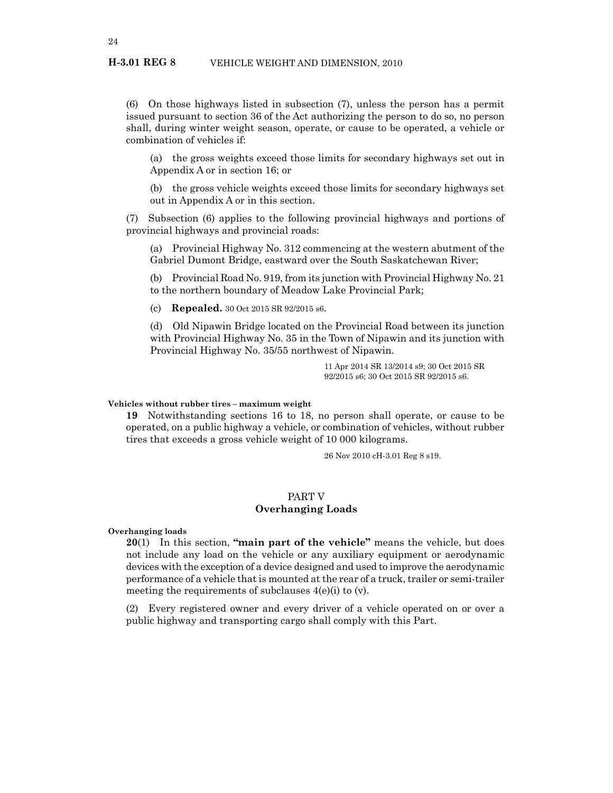(6) On those highways listed in subsection (7), unless the person has a permit issued pursuant to section 36 of the Act authorizing the person to do so, no person shall, during winter weight season, operate, or cause to be operated, a vehicle or combination of vehicles if:

(a) the gross weights exceed those limits for secondary highways set out in Appendix A or in section 16; or

(b) the gross vehicle weights exceed those limits for secondary highways set out in Appendix A or in this section.

(7) Subsection (6) applies to the following provincial highways and portions of provincial highways and provincial roads:

(a) Provincial Highway No. 312 commencing at the western abutment of the Gabriel Dumont Bridge, eastward over the South Saskatchewan River;

(b) Provincial Road No. 919, from its junction with Provincial Highway No. 21 to the northern boundary of Meadow Lake Provincial Park;

(c) **Repealed.** 30 Oct 2015 SR 92/2015 s6.

(d) Old Nipawin Bridge located on the Provincial Road between its junction with Provincial Highway No. 35 in the Town of Nipawin and its junction with Provincial Highway No. 35/55 northwest of Nipawin.

> 11 Apr 2014 SR 13/2014 s9; 30 Oct 2015 SR 92/2015 s6; 30 Oct 2015 SR 92/2015 s6.

#### **Vehicles without rubber tires – maximum weight**

**19** Notwithstanding sections 16 to 18, no person shall operate, or cause to be operated, on a public highway a vehicle, or combination of vehicles, without rubber tires that exceeds a gross vehicle weight of 10 000 kilograms.

26 Nov 2010 cH-3.01 Reg 8 s19.

#### PART V **Overhanging Loads**

**Overhanging loads**

**20**(1) In this section, **"main part of the vehicle"** means the vehicle, but does not include any load on the vehicle or any auxiliary equipment or aerodynamic devices with the exception of a device designed and used to improve the aerodynamic performance of a vehicle that is mounted at the rear of a truck, trailer or semi-trailer meeting the requirements of subclauses 4(e)(i) to (v).

(2) Every registered owner and every driver of a vehicle operated on or over a public highway and transporting cargo shall comply with this Part.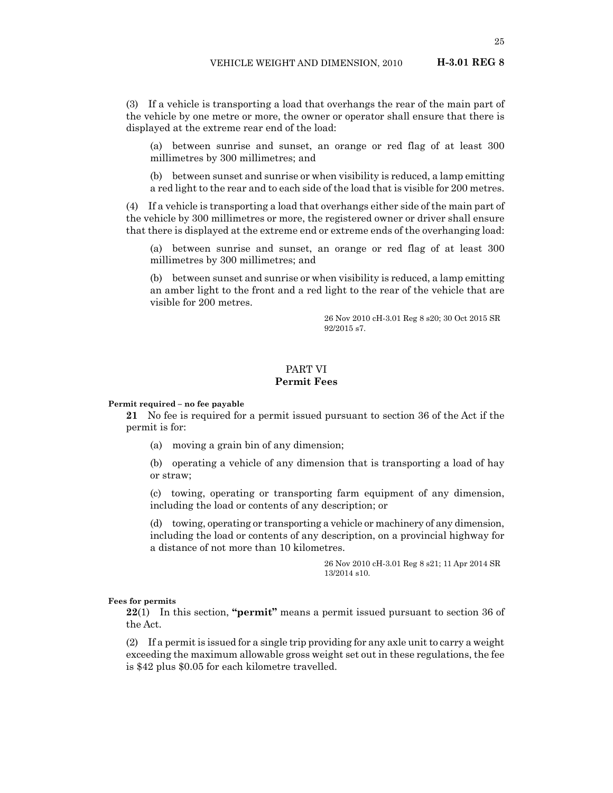(3) If a vehicle is transporting a load that overhangs the rear of the main part of the vehicle by one metre or more, the owner or operator shall ensure that there is displayed at the extreme rear end of the load:

(a) between sunrise and sunset, an orange or red flag of at least 300 millimetres by 300 millimetres; and

(b) between sunset and sunrise or when visibility is reduced, a lamp emitting a red light to the rear and to each side of the load that is visible for 200 metres.

(4) If a vehicle is transporting a load that overhangs either side of the main part of the vehicle by 300 millimetres or more, the registered owner or driver shall ensure that there is displayed at the extreme end or extreme ends of the overhanging load:

(a) between sunrise and sunset, an orange or red flag of at least 300 millimetres by 300 millimetres; and

(b) between sunset and sunrise or when visibility is reduced, a lamp emitting an amber light to the front and a red light to the rear of the vehicle that are visible for 200 metres.

> 26 Nov 2010 cH-3.01 Reg 8 s20; 30 Oct 2015 SR 92/2015 s7.

#### PART VI **Permit Fees**

#### **Permit required – no fee payable**

**21** No fee is required for a permit issued pursuant to section 36 of the Act if the permit is for:

(a) moving a grain bin of any dimension;

(b) operating a vehicle of any dimension that is transporting a load of hay or straw;

(c) towing, operating or transporting farm equipment of any dimension, including the load or contents of any description; or

(d) towing, operating or transporting a vehicle or machinery of any dimension, including the load or contents of any description, on a provincial highway for a distance of not more than 10 kilometres.

> 26 Nov 2010 cH-3.01 Reg 8 s21; 11 Apr 2014 SR 13/2014 s10.

#### **Fees for permits**

**22**(1) In this section, **"permit"** means a permit issued pursuant to section 36 of the Act.

(2) If a permit is issued for a single trip providing for any axle unit to carry a weight exceeding the maximum allowable gross weight set out in these regulations, the fee is \$42 plus \$0.05 for each kilometre travelled.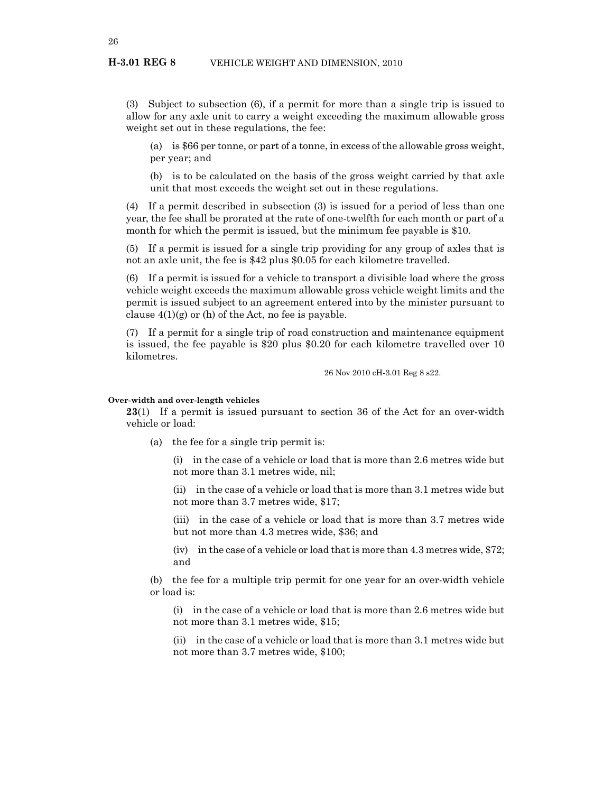#### **H-3.01 REG 8** VEHICLE WEIGHT AND DIMENSION, 2010

(3) Subject to subsection (6), if a permit for more than a single trip is issued to allow for any axle unit to carry a weight exceeding the maximum allowable gross weight set out in these regulations, the fee:

(a) is \$66 per tonne, or part of a tonne, in excess of the allowable gross weight, per year; and

(b) is to be calculated on the basis of the gross weight carried by that axle unit that most exceeds the weight set out in these regulations.

(4) If a permit described in subsection (3) is issued for a period of less than one year, the fee shall be prorated at the rate of one-twelfth for each month or part of a month for which the permit is issued, but the minimum fee payable is \$10.

(5) If a permit is issued for a single trip providing for any group of axles that is not an axle unit, the fee is \$42 plus \$0.05 for each kilometre travelled.

(6) If a permit is issued for a vehicle to transport a divisible load where the gross vehicle weight exceeds the maximum allowable gross vehicle weight limits and the permit is issued subject to an agreement entered into by the minister pursuant to clause  $4(1)(g)$  or (h) of the Act, no fee is payable.

(7) If a permit for a single trip of road construction and maintenance equipment is issued, the fee payable is \$20 plus \$0.20 for each kilometre travelled over 10 kilometres.

26 Nov 2010 cH-3.01 Reg 8 s22.

#### **Over-width and over-length vehicles**

**23**(1) If a permit is issued pursuant to section 36 of the Act for an over-width vehicle or load:

(a) the fee for a single trip permit is:

(i) in the case of a vehicle or load that is more than 2.6 metres wide but not more than 3.1 metres wide, nil;

(ii) in the case of a vehicle or load that is more than 3.1 metres wide but not more than 3.7 metres wide, \$17;

(iii) in the case of a vehicle or load that is more than 3.7 metres wide but not more than 4.3 metres wide, \$36; and

(iv) in the case of a vehicle or load that is more than 4.3 metres wide, \$72; and

(b) the fee for a multiple trip permit for one year for an over-width vehicle or load is:

(i) in the case of a vehicle or load that is more than 2.6 metres wide but not more than 3.1 metres wide, \$15;

(ii) in the case of a vehicle or load that is more than 3.1 metres wide but not more than 3.7 metres wide, \$100;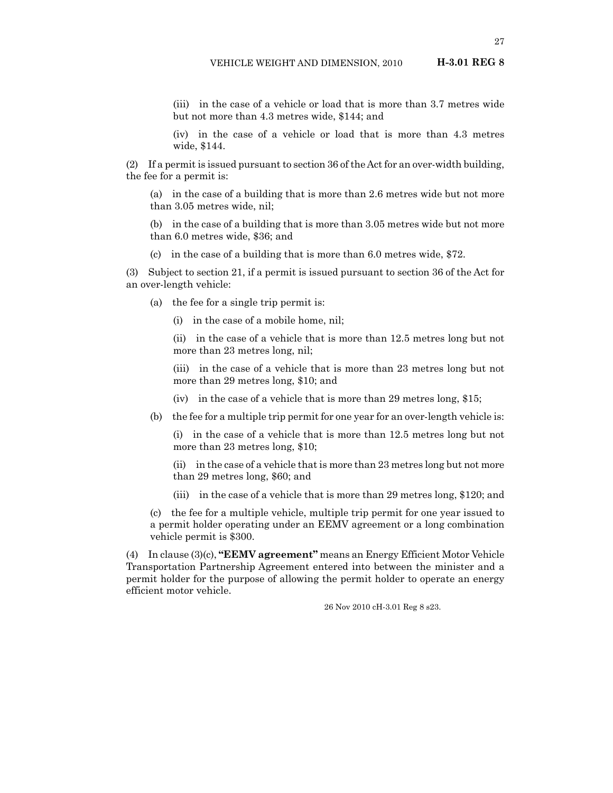(iii) in the case of a vehicle or load that is more than 3.7 metres wide but not more than 4.3 metres wide, \$144; and

(iv) in the case of a vehicle or load that is more than 4.3 metres wide, \$144.

(2) If a permit is issued pursuant to section 36 of the Act for an over-width building, the fee for a permit is:

(a) in the case of a building that is more than 2.6 metres wide but not more than 3.05 metres wide, nil;

(b) in the case of a building that is more than 3.05 metres wide but not more than 6.0 metres wide, \$36; and

(c) in the case of a building that is more than 6.0 metres wide, \$72.

(3) Subject to section 21, if a permit is issued pursuant to section 36 of the Act for an over-length vehicle:

(a) the fee for a single trip permit is:

(i) in the case of a mobile home, nil;

(ii) in the case of a vehicle that is more than 12.5 metres long but not more than 23 metres long, nil;

(iii) in the case of a vehicle that is more than 23 metres long but not more than 29 metres long, \$10; and

(iv) in the case of a vehicle that is more than 29 metres long, \$15;

(b) the fee for a multiple trip permit for one year for an over-length vehicle is:

(i) in the case of a vehicle that is more than 12.5 metres long but not more than 23 metres long, \$10;

(ii) in the case of a vehicle that is more than 23 metres long but not more than 29 metres long, \$60; and

(iii) in the case of a vehicle that is more than 29 metres long, \$120; and

(c) the fee for a multiple vehicle, multiple trip permit for one year issued to a permit holder operating under an EEMV agreement or a long combination vehicle permit is \$300.

(4) In clause (3)(c), **"EEMV agreement"** means an Energy Efficient Motor Vehicle Transportation Partnership Agreement entered into between the minister and a permit holder for the purpose of allowing the permit holder to operate an energy efficient motor vehicle.

26 Nov 2010 cH-3.01 Reg 8 s23.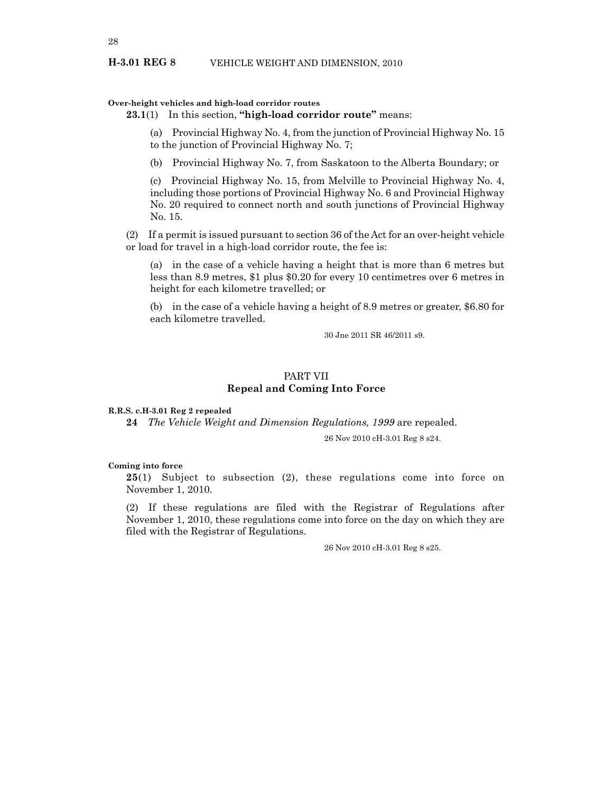#### **H-3.01 REG 8** VEHICLE WEIGHT AND DIMENSION, 2010

#### **Over-height vehicles and high-load corridor routes**

#### **23.1**(1) In this section, **"high-load corridor route"** means:

(a) Provincial Highway No. 4, from the junction of Provincial Highway No. 15 to the junction of Provincial Highway No. 7;

(b) Provincial Highway No. 7, from Saskatoon to the Alberta Boundary; or

(c) Provincial Highway No. 15, from Melville to Provincial Highway No. 4, including those portions of Provincial Highway No. 6 and Provincial Highway No. 20 required to connect north and south junctions of Provincial Highway No. 15.

(2) If a permit is issued pursuant to section 36 of the Act for an over-height vehicle or load for travel in a high-load corridor route, the fee is:

(a) in the case of a vehicle having a height that is more than 6 metres but less than 8.9 metres, \$1 plus \$0.20 for every 10 centimetres over 6 metres in height for each kilometre travelled; or

(b) in the case of a vehicle having a height of 8.9 metres or greater, \$6.80 for each kilometre travelled.

30 Jne 2011 SR 46/2011 s9.

#### PART VII **Repeal and Coming Into Force**

#### **R.R.S. c.H-3.01 Reg 2 repealed**

**24** *The Vehicle Weight and Dimension Regulations, 1999* are repealed.

26 Nov 2010 cH-3.01 Reg 8 s24.

#### **Coming into force**

**25**(1) Subject to subsection (2), these regulations come into force on November 1, 2010.

(2) If these regulations are filed with the Registrar of Regulations after November 1, 2010, these regulations come into force on the day on which they are filed with the Registrar of Regulations.

26 Nov 2010 cH-3.01 Reg 8 s25.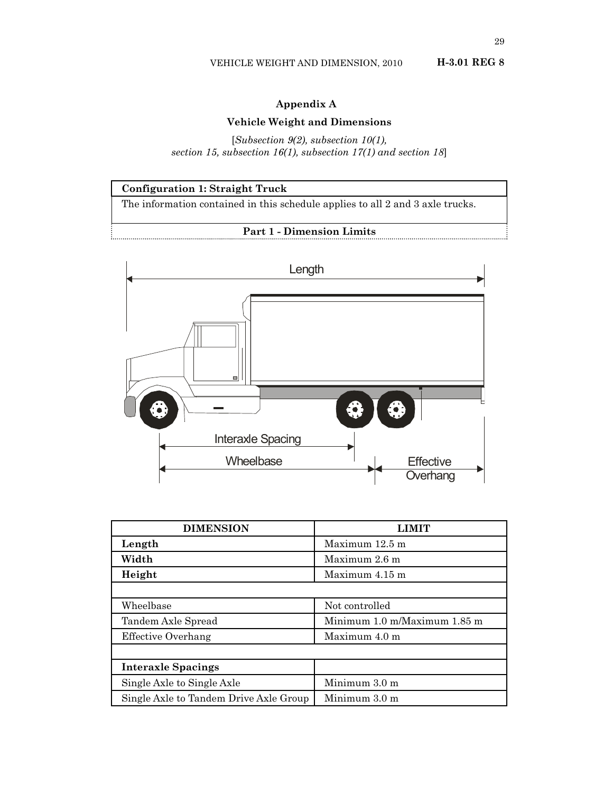## **Appendix A**

### **Vehicle Weight and Dimensions**

[*Subsection 9(2), subsection 10(1), section 15, subsection 16(1), subsection 17(1) and section 18*]





| <b>DIMENSION</b>                       |                              |
|----------------------------------------|------------------------------|
| Length                                 | Maximum $12.5$ m             |
| Width                                  | Maximum 2.6 m                |
| Height                                 | Maximum 4.15 m               |
|                                        |                              |
| Wheelbase                              | Not controlled               |
| Tandem Axle Spread                     | Minimum 1.0 m/Maximum 1.85 m |
| Effective Overhang                     | Maximum $4.0 \text{ m}$      |
|                                        |                              |
| <b>Interaxle Spacings</b>              |                              |
| Single Axle to Single Axle             | Minimum 3.0 m                |
| Single Axle to Tandem Drive Axle Group | Minimum 3.0 m                |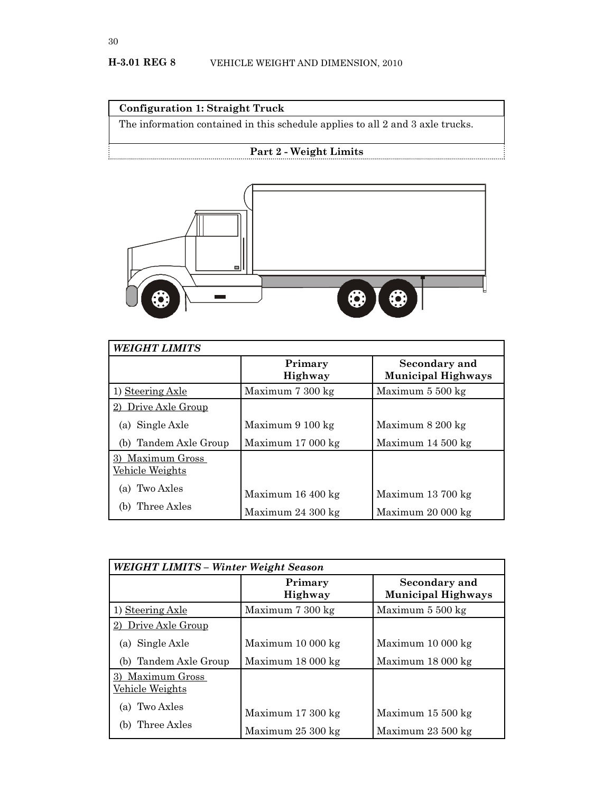## **Configuration 1: Straight Truck**

The information contained in this schedule applies to all 2 and 3 axle trucks.

## **Part 2 - Weight Limits**



| <b>WEIGHT LIMITS</b>                       |                            |                                            |
|--------------------------------------------|----------------------------|--------------------------------------------|
|                                            | Primary<br>Highway         | Secondary and<br><b>Municipal Highways</b> |
| 1) Steering Axle                           | Maximum 7 300 kg           | Maximum 5 500 kg                           |
| Drive Axle Group                           |                            |                                            |
| (a) Single Axle                            | Maximum 9 100 kg           | Maximum 8 200 kg                           |
| (b) Tandem Axle Group                      | Maximum $17000 \text{ kg}$ | Maximum $14\,500\,\mathrm{kg}$             |
| 3) Maximum Gross<br><u>Vehicle Weights</u> |                            |                                            |
| Two Axles<br>(a)                           | Maximum $16400 \text{ kg}$ | Maximum 13 700 kg                          |
| Three Axles                                | Maximum $24300 \text{ kg}$ | Maximum 20 000 kg                          |

| WEIGHT LIMITS - Winter Weight Season   |                                                          |                                                 |
|----------------------------------------|----------------------------------------------------------|-------------------------------------------------|
|                                        | Primary<br><b>Highway</b>                                | Secondary and<br><b>Municipal Highways</b>      |
| 1) Steering Axle                       | Maximum 7 300 kg                                         | Maximum 5 500 kg                                |
| 2) Drive Axle Group                    |                                                          |                                                 |
| (a) Single Axle                        | Maximum 10 000 kg                                        | Maximum 10 000 kg                               |
| (b) Tandem Axle Group                  | Maximum 18 000 kg                                        | Maximum 18 000 kg                               |
| Maximum Gross<br>3)<br>Vehicle Weights |                                                          |                                                 |
| (a) Two Axles<br>Three Axles           | Maximum $17300 \text{ kg}$<br>Maximum $25300 \text{ kg}$ | Maximum 15 500 kg<br>Maximum $23500 \text{ kg}$ |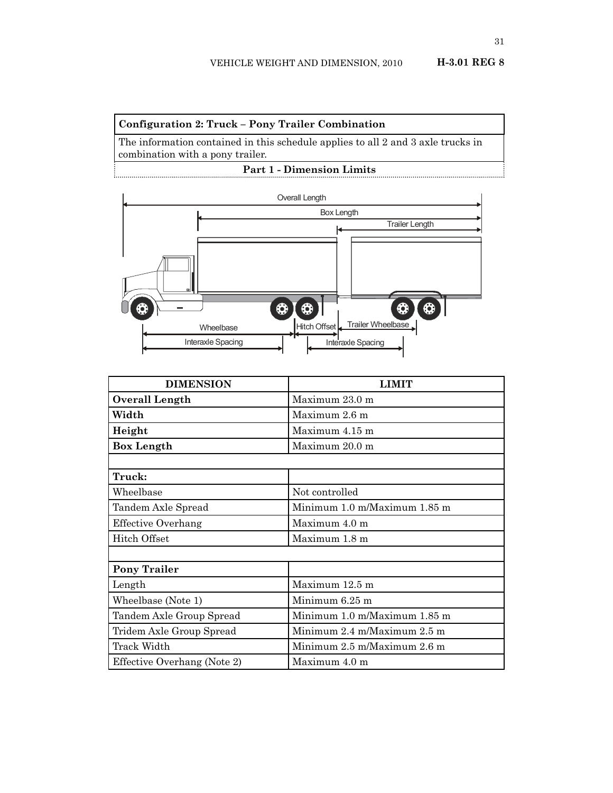### **Configuration 2: Truck – Pony Trailer Combination**

The information contained in this schedule applies to all 2 and 3 axle trucks in combination with a pony trailer.

**Part 1 - Dimension Limits**



| <b>DIMENSION</b>            | <b>LIMIT</b>                 |
|-----------------------------|------------------------------|
| <b>Overall Length</b>       | Maximum $23.0 \text{ m}$     |
| Width                       | Maximum 2.6 m                |
| Height                      | Maximum 4.15 m               |
| <b>Box Length</b>           | Maximum 20.0 m               |
|                             |                              |
| Truck:                      |                              |
| Wheelbase                   | Not controlled               |
| Tandem Axle Spread          | Minimum 1.0 m/Maximum 1.85 m |
| <b>Effective Overhang</b>   | Maximum $4.0 \text{ m}$      |
| Hitch Offset                | Maximum 1.8 m                |
|                             |                              |
| <b>Pony Trailer</b>         |                              |
| Length                      | Maximum 12.5 m               |
| Wheelbase (Note 1)          | Minimum $6.25$ m             |
| Tandem Axle Group Spread    | Minimum 1.0 m/Maximum 1.85 m |
| Tridem Axle Group Spread    | Minimum 2.4 m/Maximum 2.5 m  |
| Track Width                 | Minimum 2.5 m/Maximum 2.6 m  |
| Effective Overhang (Note 2) | Maximum 4.0 m                |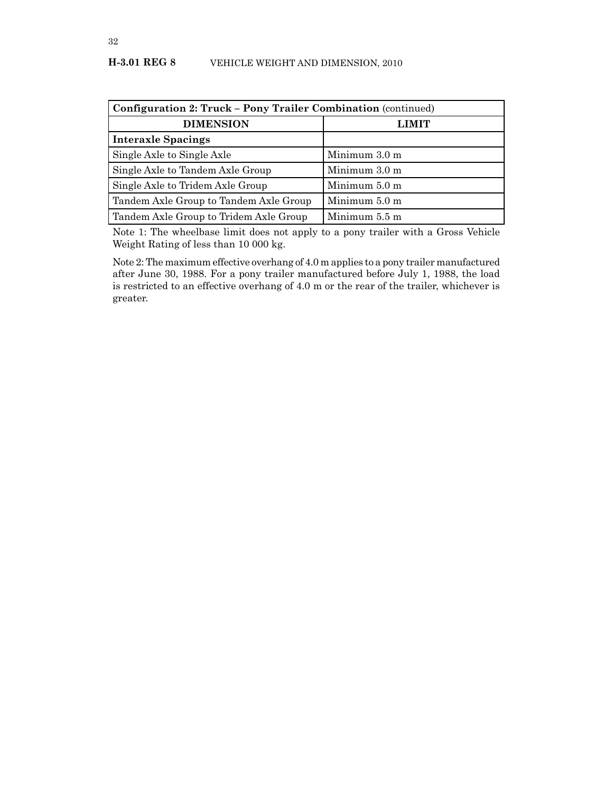#### **H-3.01 REG 8** VEHICLE WEIGHT AND DIMENSION, 2010

| Configuration 2: Truck - Pony Trailer Combination (continued) |                         |
|---------------------------------------------------------------|-------------------------|
| <b>DIMENSION</b>                                              | <b>LIMIT</b>            |
| <b>Interaxle Spacings</b>                                     |                         |
| Single Axle to Single Axle                                    | Minimum $3.0 \text{ m}$ |
| Single Axle to Tandem Axle Group                              | Minimum 3.0 m           |
| Single Axle to Tridem Axle Group                              | Minimum 5.0 m           |
| Tandem Axle Group to Tandem Axle Group                        | Minimum 5.0 m           |
| Tandem Axle Group to Tridem Axle Group                        | Minimum 5.5 m           |

Note 1: The wheelbase limit does not apply to a pony trailer with a Gross Vehicle Weight Rating of less than 10 000 kg.

Note 2: The maximum effective overhang of 4.0 m applies to a pony trailer manufactured after June 30, 1988. For a pony trailer manufactured before July 1, 1988, the load is restricted to an effective overhang of 4.0 m or the rear of the trailer, whichever is greater.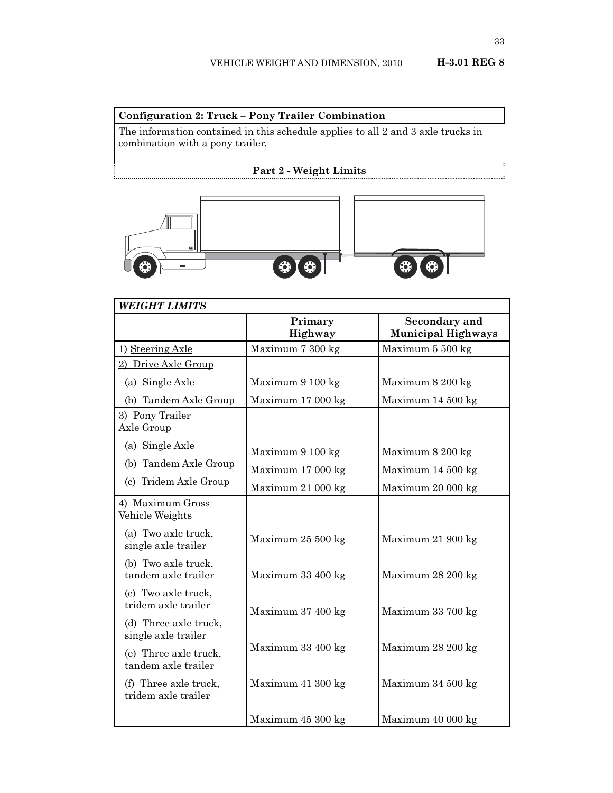## **Configuration 2: Truck – Pony Trailer Combination**

The information contained in this schedule applies to all 2 and 3 axle trucks in combination with a pony trailer.

## **Part 2 - Weight Limits**



| <b>WEIGHT LIMITS</b>                         |                    |                                            |
|----------------------------------------------|--------------------|--------------------------------------------|
|                                              | Primary<br>Highway | Secondary and<br><b>Municipal Highways</b> |
| 1) Steering Axle                             | Maximum 7 300 kg   | Maximum 5 500 kg                           |
| 2) Drive Axle Group                          |                    |                                            |
| (a) Single Axle                              | Maximum 9 100 kg   | Maximum 8 200 kg                           |
| (b) Tandem Axle Group                        | Maximum 17 000 kg  | Maximum 14 500 kg                          |
| 3) Pony Trailer<br>Axle Group                |                    |                                            |
| (a) Single Axle                              | Maximum 9 100 kg   | Maximum 8 200 kg                           |
| (b) Tandem Axle Group                        | Maximum 17 000 kg  | Maximum 14 500 kg                          |
| (c) Tridem Axle Group                        | Maximum 21 000 kg  | Maximum 20 000 kg                          |
| 4) Maximum Gross<br>Vehicle Weights          |                    |                                            |
| (a) Two axle truck,<br>single axle trailer   | Maximum 25 500 kg  | Maximum 21 900 kg                          |
| (b) Two axle truck,<br>tandem axle trailer   | Maximum 33 400 kg  | Maximum 28 200 kg                          |
| (c) Two axle truck,<br>tridem axle trailer   | Maximum 37 400 kg  | Maximum 33 700 kg                          |
| (d) Three axle truck,<br>single axle trailer |                    |                                            |
| (e) Three axle truck,<br>tandem axle trailer | Maximum 33 400 kg  | Maximum 28 200 kg                          |
| (f) Three axle truck,<br>tridem axle trailer | Maximum 41 300 kg  | Maximum 34 500 kg                          |
|                                              | Maximum 45 300 kg  | Maximum 40 000 kg                          |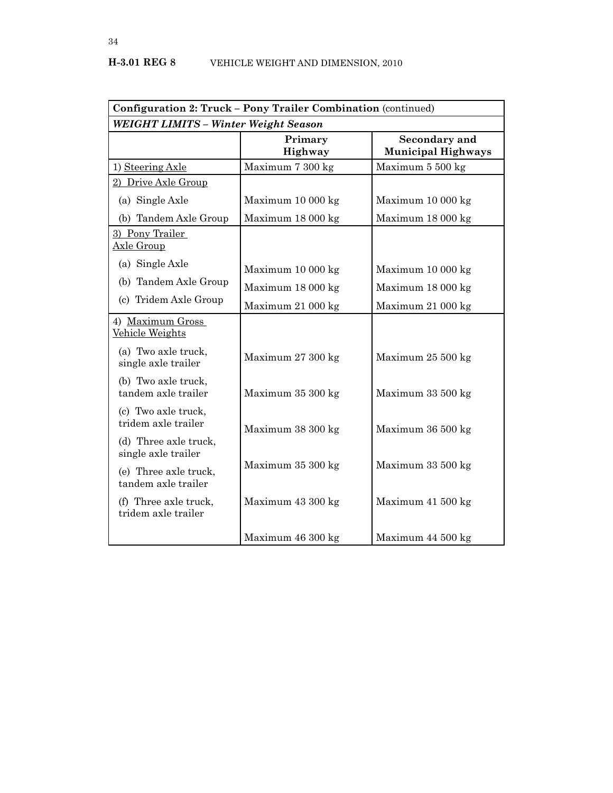| Configuration 2: Truck - Pony Trailer Combination (continued) |                    |                                            |
|---------------------------------------------------------------|--------------------|--------------------------------------------|
| <b>WEIGHT LIMITS - Winter Weight Season</b>                   |                    |                                            |
|                                                               | Primary<br>Highway | Secondary and<br><b>Municipal Highways</b> |
| 1) Steering Axle                                              | Maximum 7 300 kg   | Maximum 5 500 kg                           |
| 2) Drive Axle Group                                           |                    |                                            |
| (a) Single Axle                                               | Maximum 10 000 kg  | Maximum 10 000 kg                          |
| (b) Tandem Axle Group                                         | Maximum 18 000 kg  | Maximum 18 000 kg                          |
| 3) Pony Trailer<br>Axle Group                                 |                    |                                            |
| (a) Single Axle                                               | Maximum 10 000 kg  | Maximum 10 000 kg                          |
| (b) Tandem Axle Group                                         | Maximum 18 000 kg  | Maximum 18 000 kg                          |
| (c) Tridem Axle Group                                         | Maximum 21 000 kg  | Maximum 21 000 kg                          |
| 4) Maximum Gross<br>Vehicle Weights                           |                    |                                            |
| (a) Two axle truck,<br>single axle trailer                    | Maximum 27 300 kg  | Maximum 25 500 kg                          |
| (b) Two axle truck,<br>tandem axle trailer                    | Maximum 35 300 kg  | Maximum 33 500 kg                          |
| (c) Two axle truck,<br>tridem axle trailer                    | Maximum 38 300 kg  | Maximum 36 500 kg                          |
| (d) Three axle truck,<br>single axle trailer                  |                    |                                            |
| (e) Three axle truck,<br>tandem axle trailer                  | Maximum 35 300 kg  | Maximum 33 500 kg                          |
| (f) Three axle truck,<br>tridem axle trailer                  | Maximum 43 300 kg  | Maximum 41 500 kg                          |
|                                                               | Maximum 46 300 kg  | Maximum 44 500 kg                          |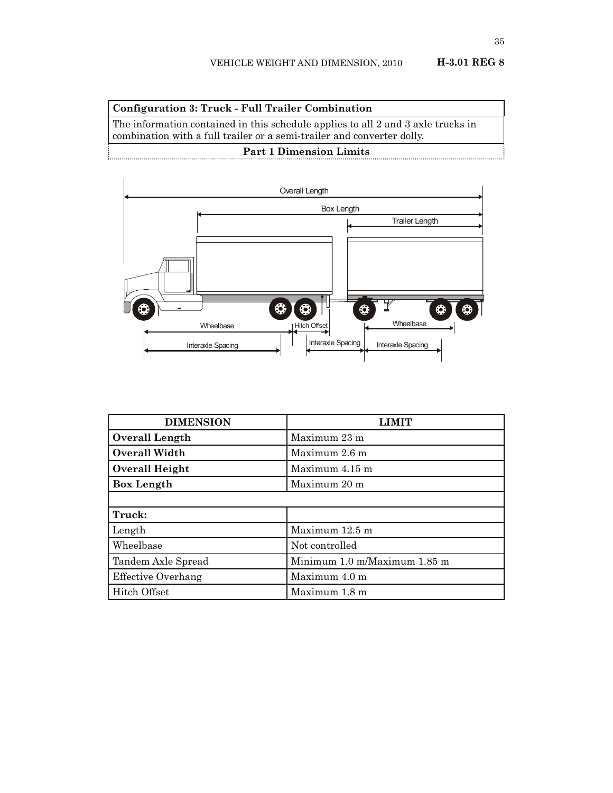## **Configuration 3: Truck - Full Trailer Combination**

The information contained in this schedule applies to all 2 and 3 axle trucks in combination with a full trailer or a semi-trailer and converter dolly.

## **Part 1 Dimension Limits**



| <b>DIMENSION</b>          | '.IMIT                       |
|---------------------------|------------------------------|
| Overall Length            | Maximum 23 m                 |
| Overall Width             | Maximum 2.6 m                |
| Overall Height            | Maximum 4.15 m               |
| <b>Box Length</b>         | Maximum 20 m                 |
|                           |                              |
| Truck:                    |                              |
| Length                    | Maximum 12.5 m               |
| Wheelbase                 | Not controlled               |
| Tandem Axle Spread        | Minimum 1.0 m/Maximum 1.85 m |
| <b>Effective Overhang</b> | Maximum 4.0 m                |
| Hitch Offset              | Maximum 1.8 m                |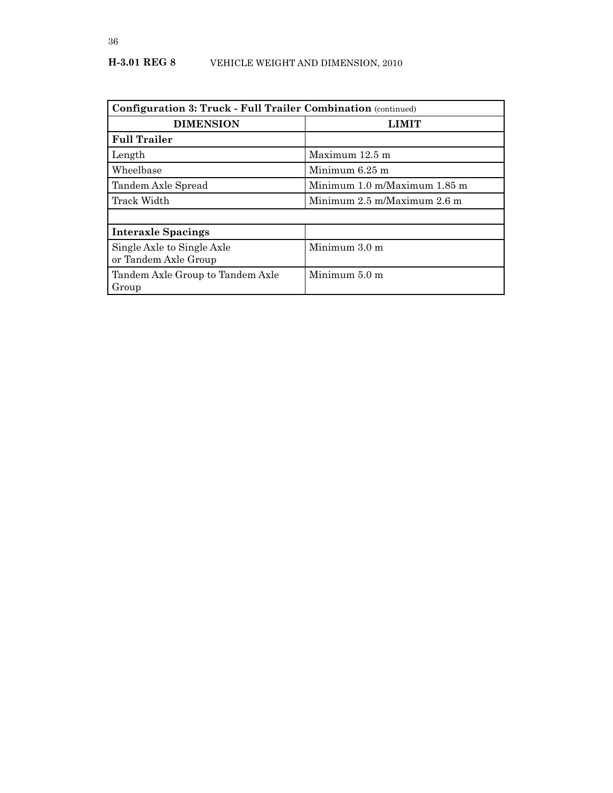## **H-3.01 REG 8** VEHICLE WEIGHT AND DIMENSION, 2010

| <b>Configuration 3: Truck - Full Trailer Combination (continued)</b> |                                 |
|----------------------------------------------------------------------|---------------------------------|
| <b>DIMENSION</b>                                                     | LIMIT                           |
| <b>Full Trailer</b>                                                  |                                 |
| Length                                                               | Maximum 12.5 m                  |
| Wheelbase                                                            | Minimum 6.25 m                  |
| Tandem Axle Spread                                                   | Minimum 1.0 m/Maximum 1.85 m    |
| Track Width                                                          | Minimum $2.5$ m/Maximum $2.6$ m |
|                                                                      |                                 |
| <b>Interaxle Spacings</b>                                            |                                 |
| Single Axle to Single Axle<br>or Tandem Axle Group                   | Minimum 3.0 m                   |
| Tandem Axle Group to Tandem Axle<br>Group                            | Minimum 5.0 m                   |

36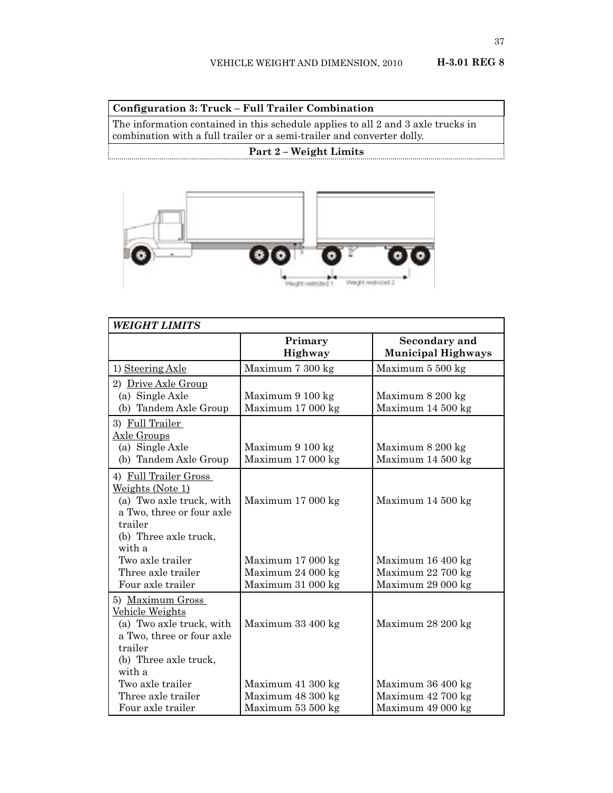**Configuration 3: Truck – Full Trailer Combination**

The information contained in this schedule applies to all 2 and 3 axle trucks in combination with a full trailer or a semi-trailer and converter dolly.

## **Part 2 – Weight Limits**



| <b>WEIGHT LIMITS</b>                                                                                                                             |                                                             |                                                             |
|--------------------------------------------------------------------------------------------------------------------------------------------------|-------------------------------------------------------------|-------------------------------------------------------------|
|                                                                                                                                                  | Primary<br>Highway                                          | Secondary and<br><b>Municipal Highways</b>                  |
| 1) Steering Axle                                                                                                                                 | Maximum 7 300 kg                                            | Maximum 5 500 kg                                            |
| 2) Drive Axle Group<br>(a) Single Axle<br>(b) Tandem Axle Group                                                                                  | Maximum 9 100 kg<br>Maximum 17 000 kg                       | Maximum 8 200 kg<br>Maximum 14 500 kg                       |
| 3) Full Trailer<br>Axle Groups<br>(a) Single Axle<br>(b) Tandem Axle Group                                                                       | Maximum 9 100 kg<br>Maximum 17 000 kg                       | Maximum 8 200 kg<br>Maximum 14 500 kg                       |
| 4) Full Trailer Gross<br>Weights (Note 1)<br>(a) Two axle truck, with<br>a Two, three or four axle<br>trailer<br>(b) Three axle truck,<br>with a | Maximum 17 000 kg                                           | Maximum 14 500 kg                                           |
| Two axle trailer<br>Three axle trailer<br>Four axle trailer                                                                                      | Maximum 17 000 kg<br>Maximum 24 000 kg<br>Maximum 31 000 kg | Maximum 16 400 kg<br>Maximum 22 700 kg<br>Maximum 29 000 kg |
| 5) Maximum Gross<br>Vehicle Weights<br>(a) Two axle truck, with<br>a Two, three or four axle<br>trailer<br>(b) Three axle truck,<br>with a       | Maximum 33 400 kg                                           | Maximum 28 200 kg                                           |
| Two axle trailer<br>Three axle trailer<br>Four axle trailer                                                                                      | Maximum 41 300 kg<br>Maximum 48 300 kg<br>Maximum 53 500 kg | Maximum 36 400 kg<br>Maximum 42 700 kg<br>Maximum 49 000 kg |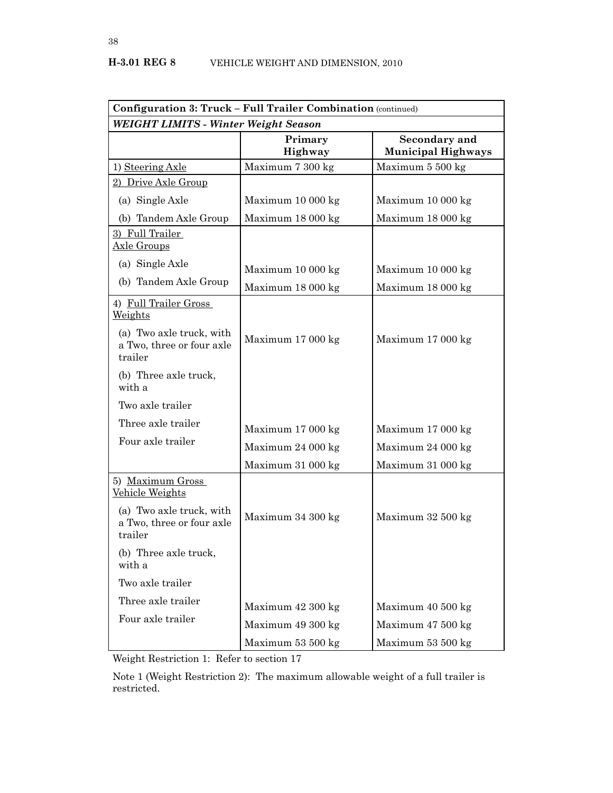| <b>Configuration 3: Truck - Full Trailer Combination</b> (continued) |                    |                                            |
|----------------------------------------------------------------------|--------------------|--------------------------------------------|
| <b>WEIGHT LIMITS - Winter Weight Season</b>                          |                    |                                            |
|                                                                      | Primary<br>Highway | Secondary and<br><b>Municipal Highways</b> |
| 1) Steering Axle                                                     | Maximum 7 300 kg   | Maximum 5 500 kg                           |
| 2) Drive Axle Group                                                  |                    |                                            |
| (a) Single Axle                                                      | Maximum 10 000 kg  | Maximum 10 000 kg                          |
| (b) Tandem Axle Group                                                | Maximum 18 000 kg  | Maximum 18 000 kg                          |
| 3) Full Trailer<br><u>Axle Groups</u>                                |                    |                                            |
| (a) Single Axle                                                      | Maximum 10 000 kg  | Maximum 10 000 kg                          |
| (b) Tandem Axle Group                                                | Maximum 18 000 kg  | Maximum 18 000 kg                          |
| 4) Full Trailer Gross<br>Weights                                     |                    |                                            |
| (a) Two axle truck, with<br>a Two, three or four axle<br>trailer     | Maximum 17 000 kg  | Maximum 17 000 kg                          |
| (b) Three axle truck,<br>with a                                      |                    |                                            |
| Two axle trailer                                                     |                    |                                            |
| Three axle trailer                                                   | Maximum 17 000 kg  | Maximum 17 000 kg                          |
| Four axle trailer                                                    | Maximum 24 000 kg  | Maximum 24 000 kg                          |
|                                                                      | Maximum 31 000 kg  | Maximum 31 000 kg                          |
| 5) Maximum Gross<br>Vehicle Weights                                  |                    |                                            |
| (a) Two axle truck, with<br>a Two, three or four axle<br>trailer     | Maximum 34 300 kg  | Maximum 32 500 kg                          |
| (b) Three axle truck,<br>with a                                      |                    |                                            |
| Two axle trailer                                                     |                    |                                            |
| Three axle trailer                                                   | Maximum 42 300 kg  | Maximum 40 500 kg                          |
| Four axle trailer                                                    | Maximum 49 300 kg  | Maximum 47 500 kg                          |
|                                                                      | Maximum 53 500 kg  | Maximum 53 500 kg                          |

Weight Restriction 1: Refer to section 17

Note 1 (Weight Restriction 2): The maximum allowable weight of a full trailer is restricted.

38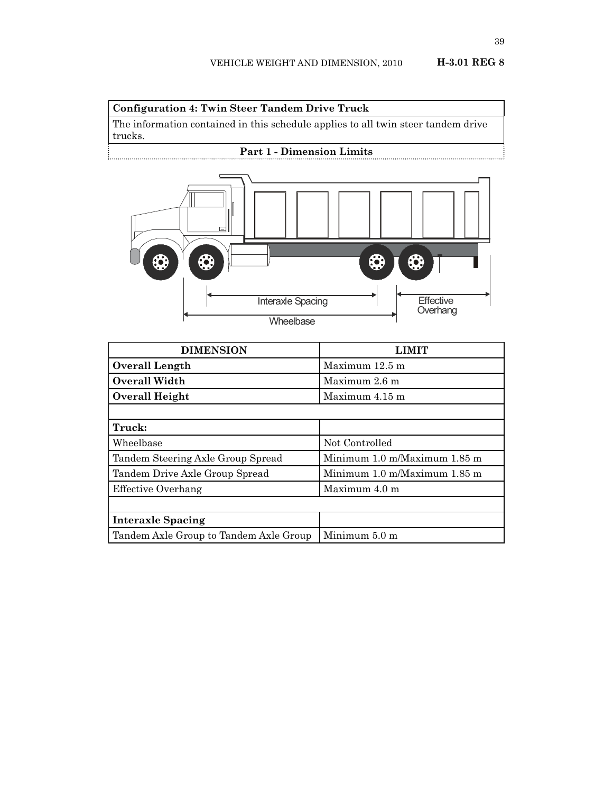## **Configuration 4: Twin Steer Tandem Drive Truck**

The information contained in this schedule applies to all twin steer tandem drive trucks. **Part 1 - Dimension Limits**



| <b>DIMENSION</b>                       | <b>AIMIT</b>                                      |
|----------------------------------------|---------------------------------------------------|
| Overall Length                         | Maximum 12.5 m                                    |
| Overall Width                          | Maximum 2.6 m                                     |
| Overall Height                         | Maximum 4.15 m                                    |
|                                        |                                                   |
| Truck:                                 |                                                   |
| Wheelbase                              | Not Controlled                                    |
| Tandem Steering Axle Group Spread      | Minimum $1.0 \text{ m}/M$ aximum $1.85 \text{ m}$ |
| Tandem Drive Axle Group Spread         | Minimum $1.0 \text{ m}/M$ aximum $1.85 \text{ m}$ |
| Effective Overhang                     | Maximum $4.0 \text{ m}$                           |
|                                        |                                                   |
| <b>Interaxle Spacing</b>               |                                                   |
| Tandem Axle Group to Tandem Axle Group | Minimum 5.0 m                                     |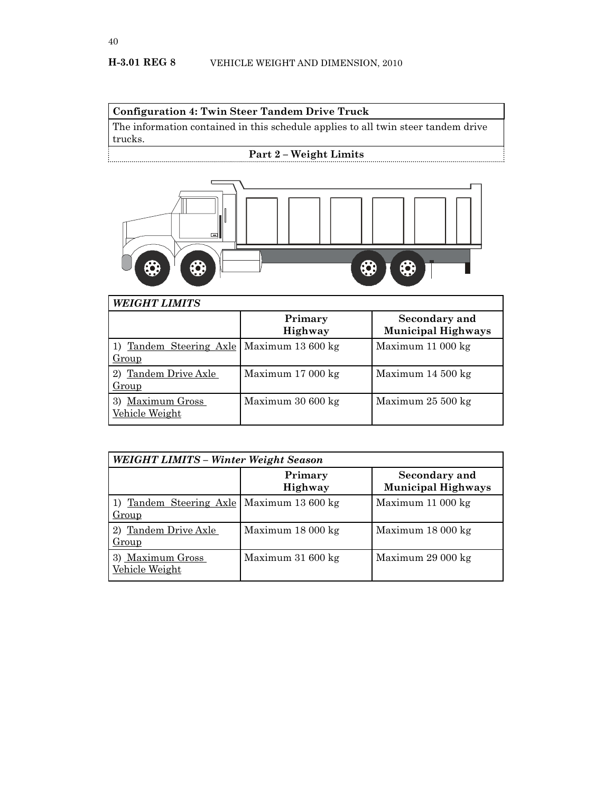### **Configuration 4: Twin Steer Tandem Drive Truck**

The information contained in this schedule applies to all twin steer tandem drive trucks.

# **Part 2 – Weight Limits**

...



| <b>WEIGHT LIMITS</b>                  |                    |                                            |
|---------------------------------------|--------------------|--------------------------------------------|
|                                       | Primary<br>Highway | Secondary and<br><b>Municipal Highways</b> |
| 1) Tandem Steering Axle<br>Group      | Maximum 13 600 kg  | Maximum 11 000 kg                          |
| 2) Tandem Drive Axle<br>Group         | Maximum 17 000 kg  | Maximum 14 500 kg                          |
| Maximum Gross<br>3)<br>Vehicle Weight | Maximum 30 600 kg  | Maximum 25 500 kg                          |

| WEIGHT LIMITS - Winter Weight Season                 |                    |                                            |
|------------------------------------------------------|--------------------|--------------------------------------------|
|                                                      | Primary<br>Highway | Secondary and<br><b>Municipal Highways</b> |
| 1) Tandem Steering Axle   Maximum 13 600 kg<br>Group |                    | Maximum 11 000 kg                          |
| 2) Tandem Drive Axle<br>Group                        | Maximum 18 000 kg  | Maximum 18 000 kg                          |
| 3) Maximum Gross<br>Vehicle Weight                   | Maximum 31 600 kg  | Maximum 29 000 kg                          |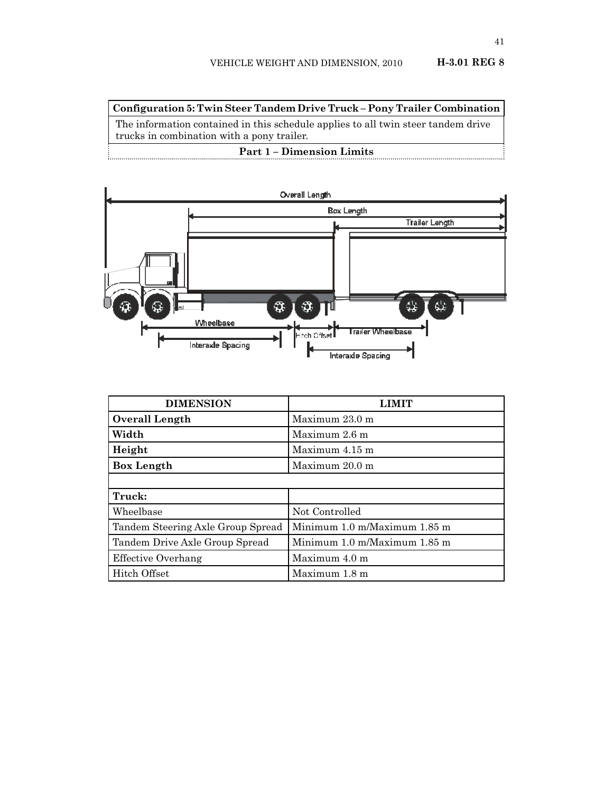**Configuration 5: Twin Steer Tandem Drive Truck – Pony Trailer Combination**

The information contained in this schedule applies to all twin steer tandem drive trucks in combination with a pony trailer.

#### **Part 1 – Dimension Limits**



| <b>DIMENSION</b>                  |                              |
|-----------------------------------|------------------------------|
| <b>Overall Length</b>             | Maximum 23.0 m               |
| Width                             | Maximum $2.6$ m              |
| Height                            | Maximum $4.15$ m             |
| <b>Box Length</b>                 | Maximum 20.0 m               |
|                                   |                              |
| Truck:                            |                              |
| Wheelbase                         | Not Controlled               |
| Tandem Steering Axle Group Spread | Minimum 1.0 m/Maximum 1.85 m |
| Tandem Drive Axle Group Spread    | Minimum 1.0 m/Maximum 1.85 m |
| Effective Overhang                | Maximum 4.0 m                |
| Hitch Offset                      | Maximum 1.8 m                |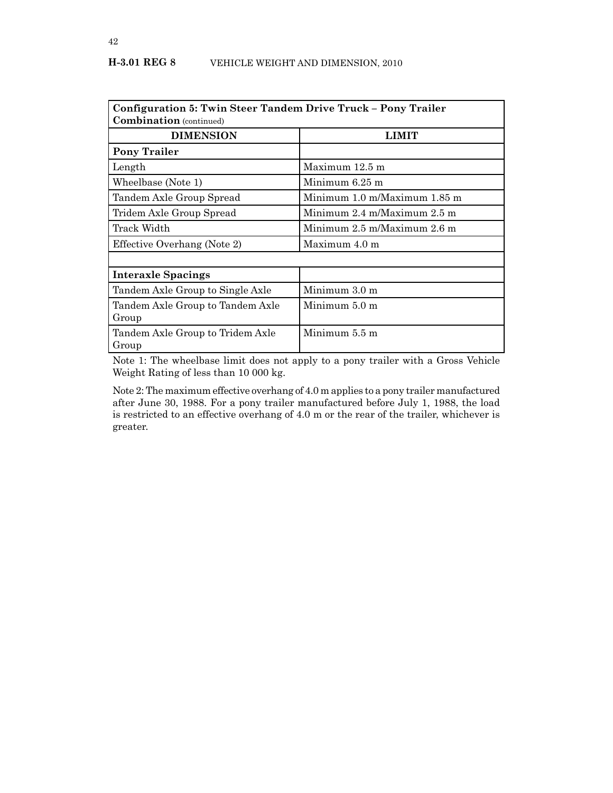| Configuration 5: Twin Steer Tandem Drive Truck – Pony Trailer<br><b>Combination</b> (continued) |                                                 |  |
|-------------------------------------------------------------------------------------------------|-------------------------------------------------|--|
| <b>DIMENSION</b>                                                                                | LIMIT                                           |  |
| <b>Pony Trailer</b>                                                                             |                                                 |  |
| Length                                                                                          | Maximum 12.5 m                                  |  |
| Wheelbase (Note 1)                                                                              | Minimum $6.25$ m                                |  |
| Tandem Axle Group Spread                                                                        | Minimum 1.0 m/Maximum 1.85 m                    |  |
| Tridem Axle Group Spread                                                                        | Minimum $2.4 \text{ m}$ Maximum $2.5 \text{ m}$ |  |
| Track Width                                                                                     | Minimum 2.5 m/Maximum 2.6 m                     |  |
| Effective Overhang (Note 2)                                                                     | Maximum 4.0 m                                   |  |
|                                                                                                 |                                                 |  |
| <b>Interaxle Spacings</b>                                                                       |                                                 |  |
| Tandem Axle Group to Single Axle                                                                | Minimum $3.0 \text{ m}$                         |  |
| Tandem Axle Group to Tandem Axle                                                                | Minimum $5.0 \text{ m}$                         |  |
| Group                                                                                           |                                                 |  |
| Tandem Axle Group to Tridem Axle                                                                | Minimum 5.5 m                                   |  |
| Group                                                                                           |                                                 |  |

Note 1: The wheelbase limit does not apply to a pony trailer with a Gross Vehicle Weight Rating of less than 10 000 kg.

Note 2: The maximum effective overhang of 4.0 m applies to a pony trailer manufactured after June 30, 1988. For a pony trailer manufactured before July 1, 1988, the load is restricted to an effective overhang of 4.0 m or the rear of the trailer, whichever is greater.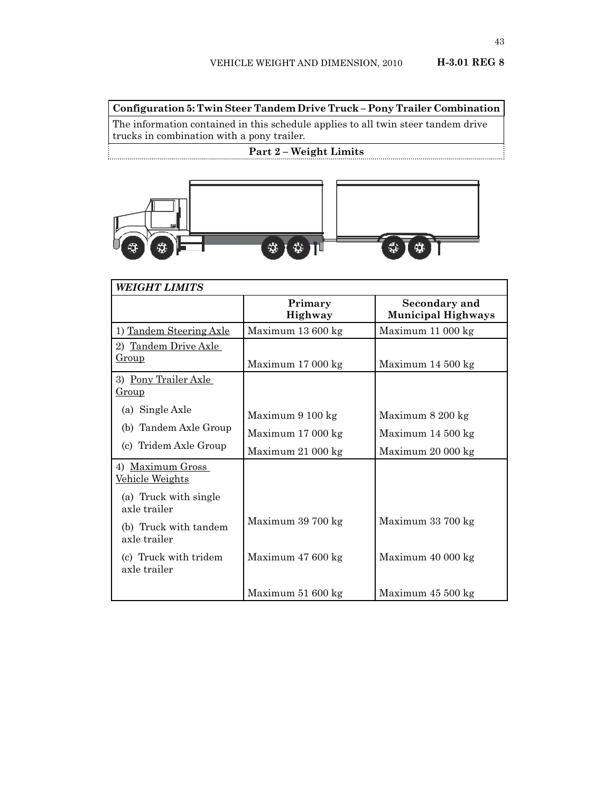**Configuration 5: Twin Steer Tandem Drive Truck – Pony Trailer Combination**

The information contained in this schedule applies to all twin steer tandem drive trucks in combination with a pony trailer.

# **Part 2 – Weight Limits**



| <b>WEIGHT LIMITS</b>                  |                           |                                            |
|---------------------------------------|---------------------------|--------------------------------------------|
|                                       | Primary<br><b>Highway</b> | Secondary and<br><b>Municipal Highways</b> |
| 1) Tandem Steering Axle               | Maximum 13 600 kg         | Maximum 11 000 kg                          |
| 2) Tandem Drive Axle                  |                           |                                            |
| Group                                 | Maximum 17 000 kg         | Maximum 14 500 kg                          |
| 3) Pony Trailer Axle<br><u>Group</u>  |                           |                                            |
| (a) Single Axle                       | Maximum 9 100 kg          | Maximum 8 200 kg                           |
| (b) Tandem Axle Group                 | Maximum 17 000 kg         | Maximum 14 500 kg                          |
| (c) Tridem Axle Group                 | Maximum 21 000 kg         | Maximum 20 000 kg                          |
| 4) Maximum Gross<br>Vehicle Weights   |                           |                                            |
| (a) Truck with single<br>axle trailer |                           |                                            |
| (b) Truck with tandem<br>axle trailer | Maximum 39 700 kg         | Maximum 33 700 kg                          |
| (c) Truck with tridem<br>axle trailer | Maximum 47 600 kg         | Maximum 40 000 kg                          |
|                                       | Maximum 51 600 kg         | Maximum 45 500 kg                          |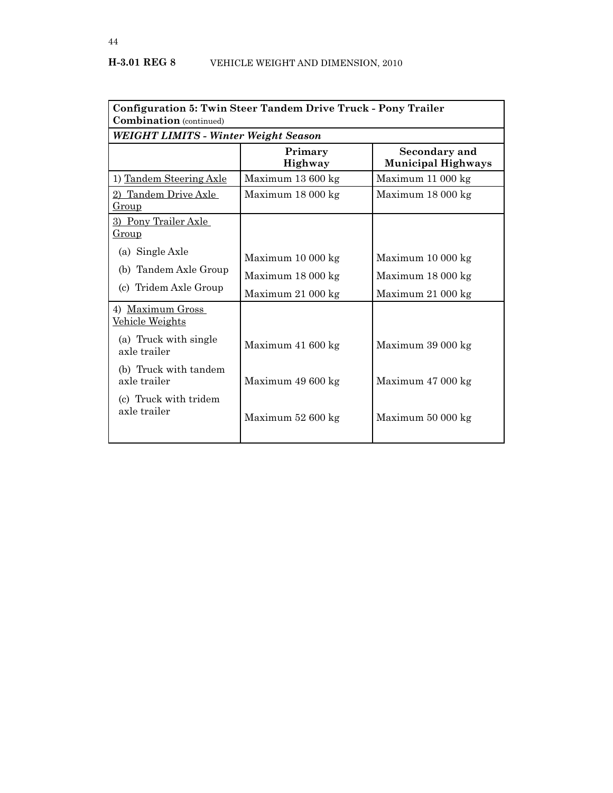| Configuration 5: Twin Steer Tandem Drive Truck - Pony Trailer<br><b>Combination</b> (continued) |                                             |                                                   |  |
|-------------------------------------------------------------------------------------------------|---------------------------------------------|---------------------------------------------------|--|
|                                                                                                 | <b>WEIGHT LIMITS - Winter Weight Season</b> |                                                   |  |
|                                                                                                 | Primary<br><b>Highway</b>                   | <b>Secondary and</b><br><b>Municipal Highways</b> |  |
| 1) Tandem Steering Axle                                                                         | Maximum 13 600 kg                           | Maximum 11 000 kg                                 |  |
| 2) Tandem Drive Axle<br><u>Group</u>                                                            | Maximum 18 000 kg                           | Maximum 18 000 kg                                 |  |
| 3) Pony Trailer Axle<br><u>Group</u>                                                            |                                             |                                                   |  |
| (a) Single Axle                                                                                 | Maximum 10 000 kg                           | Maximum 10 000 kg                                 |  |
| (b) Tandem Axle Group                                                                           | Maximum 18 000 kg                           | Maximum 18 000 kg                                 |  |
| (c) Tridem Axle Group                                                                           | Maximum 21 000 kg                           | Maximum 21 000 kg                                 |  |
| 4) Maximum Gross<br>Vehicle Weights                                                             |                                             |                                                   |  |
| (a) Truck with single<br>axle trailer                                                           | Maximum 41 600 kg                           | Maximum 39 000 kg                                 |  |
| (b) Truck with tandem<br>axle trailer                                                           | Maximum 49 600 kg                           | Maximum 47 000 kg                                 |  |
| (c) Truck with tridem<br>axle trailer                                                           | Maximum 52 600 kg                           | Maximum 50 000 kg                                 |  |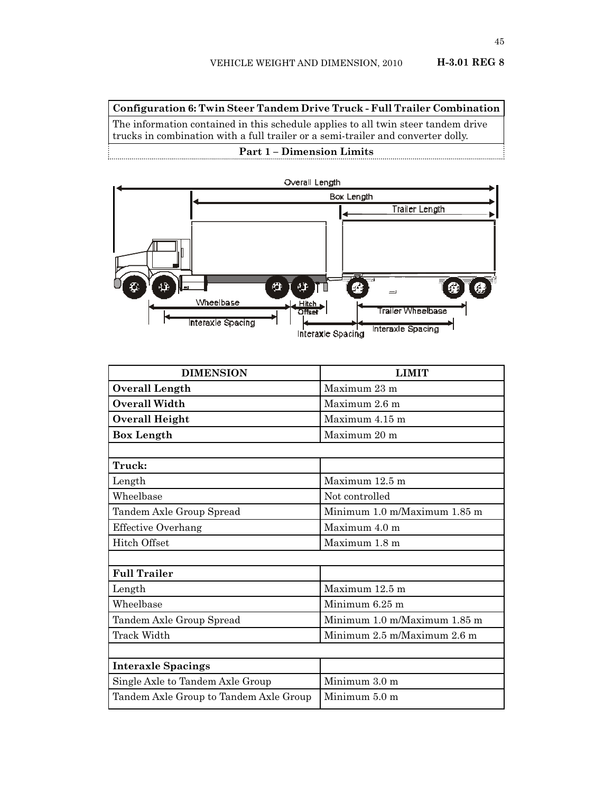**Configuration 6: Twin Steer Tandem Drive Truck - Full Trailer Combination** The information contained in this schedule applies to all twin steer tandem drive

trucks in combination with a full trailer or a semi-trailer and converter dolly.

#### **Part 1 – Dimension Limits**



| <b>DIMENSION</b>                       | <b>LIMIT</b>                 |  |
|----------------------------------------|------------------------------|--|
| Overall Length                         | Maximum 23 m                 |  |
| <b>Overall Width</b>                   | Maximum 2.6 m                |  |
| <b>Overall Height</b>                  | Maximum 4.15 m               |  |
| <b>Box Length</b>                      | Maximum 20 m                 |  |
|                                        |                              |  |
| Truck:                                 |                              |  |
| Length                                 | Maximum 12.5 m               |  |
| Wheelbase                              | Not controlled               |  |
| Tandem Axle Group Spread               | Minimum 1.0 m/Maximum 1.85 m |  |
| <b>Effective Overhang</b>              | Maximum 4.0 m                |  |
| <b>Hitch Offset</b>                    | Maximum 1.8 m                |  |
|                                        |                              |  |
| <b>Full Trailer</b>                    |                              |  |
| Length                                 | Maximum 12.5 m               |  |
| Wheelbase                              | Minimum 6.25 m               |  |
| Tandem Axle Group Spread               | Minimum 1.0 m/Maximum 1.85 m |  |
| Track Width                            | Minimum 2.5 m/Maximum 2.6 m  |  |
|                                        |                              |  |
| <b>Interaxle Spacings</b>              |                              |  |
| Single Axle to Tandem Axle Group       | Minimum 3.0 m                |  |
| Tandem Axle Group to Tandem Axle Group | Minimum 5.0 m                |  |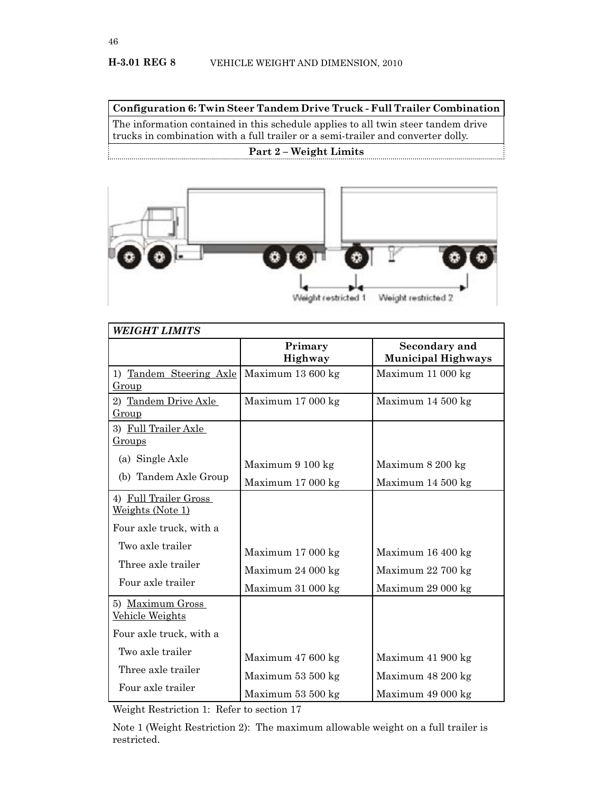**Configuration 6: Twin Steer Tandem Drive Truck - Full Trailer Combination**

The information contained in this schedule applies to all twin steer tandem drive trucks in combination with a full trailer or a semi-trailer and converter dolly. **Part 2 – Weight Limits**



| <b>WEIGHT LIMITS</b>                      |                    |                                            |
|-------------------------------------------|--------------------|--------------------------------------------|
|                                           | Primary<br>Highway | Secondary and<br><b>Municipal Highways</b> |
| 1) Tandem Steering Axle<br>Group          | Maximum 13 600 kg  | Maximum 11 000 kg                          |
| 2) Tandem Drive Axle<br>Group             | Maximum 17 000 kg  | Maximum 14 500 kg                          |
| 3) Full Trailer Axle<br><u>Groups</u>     |                    |                                            |
| (a) Single Axle                           | Maximum 9 100 kg   | Maximum 8 200 kg                           |
| (b) Tandem Axle Group                     | Maximum 17 000 kg  | Maximum 14 500 kg                          |
| 4) Full Trailer Gross<br>Weights (Note 1) |                    |                                            |
| Four axle truck, with a                   |                    |                                            |
| Two axle trailer                          | Maximum 17 000 kg  | Maximum 16 400 kg                          |
| Three axle trailer                        | Maximum 24 000 kg  | Maximum 22 700 kg                          |
| Four axle trailer                         | Maximum 31 000 kg  | Maximum 29 000 kg                          |
| 5) Maximum Gross<br>Vehicle Weights       |                    |                                            |
| Four axle truck, with a                   |                    |                                            |
| Two axle trailer                          | Maximum 47 600 kg  | Maximum 41 900 kg                          |
| Three axle trailer                        | Maximum 53 500 kg  | Maximum 48 200 kg                          |
| Four axle trailer                         | Maximum 53 500 kg  | Maximum 49 000 kg                          |

Weight Restriction 1: Refer to section 17

Note 1 (Weight Restriction 2): The maximum allowable weight on a full trailer is restricted.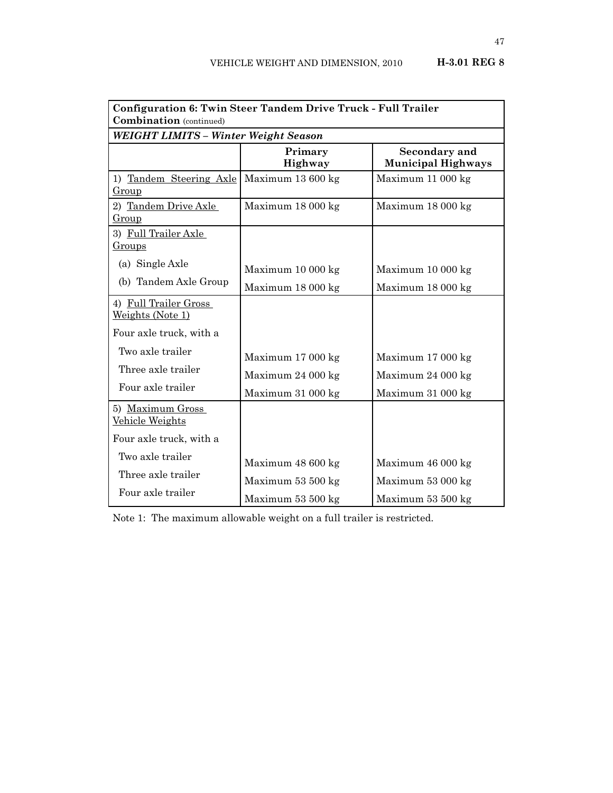| Configuration 6: Twin Steer Tandem Drive Truck - Full Trailer<br><b>Combination</b> (continued) |                    |                                            |
|-------------------------------------------------------------------------------------------------|--------------------|--------------------------------------------|
| WEIGHT LIMITS - Winter Weight Season                                                            |                    |                                            |
|                                                                                                 | Primary<br>Highway | Secondary and<br><b>Municipal Highways</b> |
| 1) Tandem Steering Axle<br><u>Group</u>                                                         | Maximum 13 600 kg  | Maximum 11 000 kg                          |
| 2) Tandem Drive Axle<br>Group                                                                   | Maximum 18 000 kg  | Maximum 18 000 kg                          |
| 3) Full Trailer Axle<br><u>Groups</u>                                                           |                    |                                            |
| (a) Single Axle                                                                                 | Maximum 10 000 kg  | Maximum 10 000 kg                          |
| (b) Tandem Axle Group                                                                           | Maximum 18 000 kg  | Maximum 18 000 kg                          |
| 4) Full Trailer Gross<br>Weights (Note 1)                                                       |                    |                                            |
| Four axle truck, with a                                                                         |                    |                                            |
| Two axle trailer                                                                                | Maximum 17 000 kg  | Maximum 17 000 kg                          |
| Three axle trailer                                                                              | Maximum 24 000 kg  | Maximum 24 000 kg                          |
| Four axle trailer                                                                               | Maximum 31 000 kg  | Maximum 31 000 kg                          |
| 5) Maximum Gross<br>Vehicle Weights                                                             |                    |                                            |
| Four axle truck, with a                                                                         |                    |                                            |
| Two axle trailer                                                                                | Maximum 48 600 kg  | Maximum 46 000 kg                          |
| Three axle trailer                                                                              | Maximum 53 500 kg  | Maximum 53 000 kg                          |
| Four axle trailer                                                                               | Maximum 53 500 kg  | Maximum 53 500 kg                          |

Note 1: The maximum allowable weight on a full trailer is restricted.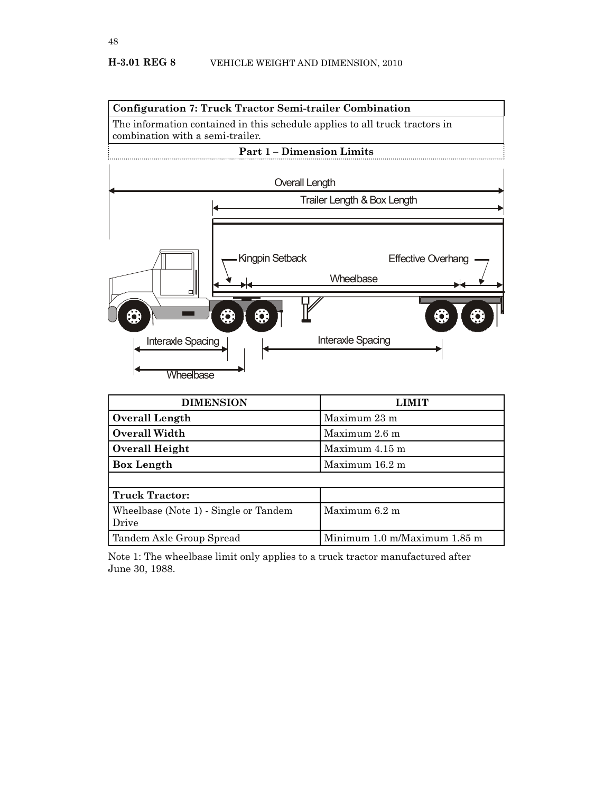

| <b>DIMENSION</b>                               | LIMIT                        |
|------------------------------------------------|------------------------------|
| Overall Length                                 | Maximum 23 m                 |
| <b>Overall Width</b>                           | Maximum 2.6 m                |
| Overall Height                                 | Maximum 4.15 m               |
| <b>Box Length</b>                              | Maximum 16.2 m               |
|                                                |                              |
| <b>Truck Tractor:</b>                          |                              |
| Wheelbase (Note 1) - Single or Tandem<br>Drive | Maximum 6.2 m                |
| Tandem Axle Group Spread                       | Minimum 1.0 m/Maximum 1.85 m |

Note 1: The wheelbase limit only applies to a truck tractor manufactured after June 30, 1988.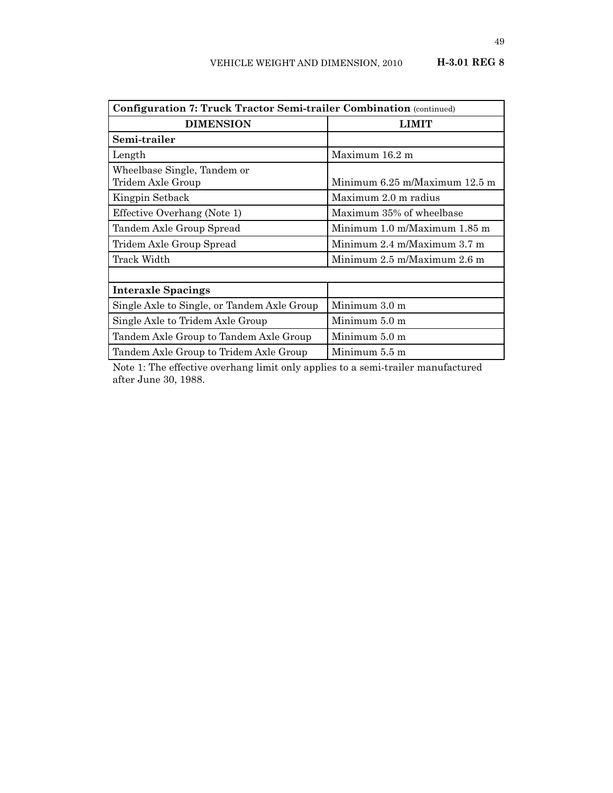| <b>Configuration 7: Truck Tractor Semi-trailer Combination</b> (continued) |                                                 |  |  |
|----------------------------------------------------------------------------|-------------------------------------------------|--|--|
| <b>DIMENSION</b>                                                           | LIMIT                                           |  |  |
| Semi-trailer                                                               |                                                 |  |  |
| Length                                                                     | Maximum 16.2 m                                  |  |  |
| Wheelbase Single, Tandem or<br>Tridem Axle Group                           | Minimum 6.25 m/Maximum 12.5 m                   |  |  |
| Kingpin Setback                                                            | Maximum 2.0 m radius                            |  |  |
| Effective Overhang (Note 1)                                                | Maximum 35% of wheelbase                        |  |  |
| Tandem Axle Group Spread                                                   | Minimum 1.0 m/Maximum 1.85 m                    |  |  |
| Tridem Axle Group Spread                                                   | Minimum $2.4 \text{ m}$ Maximum $3.7 \text{ m}$ |  |  |
| Track Width                                                                | Minimum 2.5 m/Maximum 2.6 m                     |  |  |
|                                                                            |                                                 |  |  |
| <b>Interaxle Spacings</b>                                                  |                                                 |  |  |
| Single Axle to Single, or Tandem Axle Group                                | Minimum 3.0 m                                   |  |  |
| Single Axle to Tridem Axle Group                                           | Minimum 5.0 m                                   |  |  |
| Tandem Axle Group to Tandem Axle Group                                     | Minimum 5.0 m                                   |  |  |
| Tandem Axle Group to Tridem Axle Group                                     | Minimum 5.5 m                                   |  |  |

Note 1: The effective overhang limit only applies to a semi-trailer manufactured after June 30, 1988.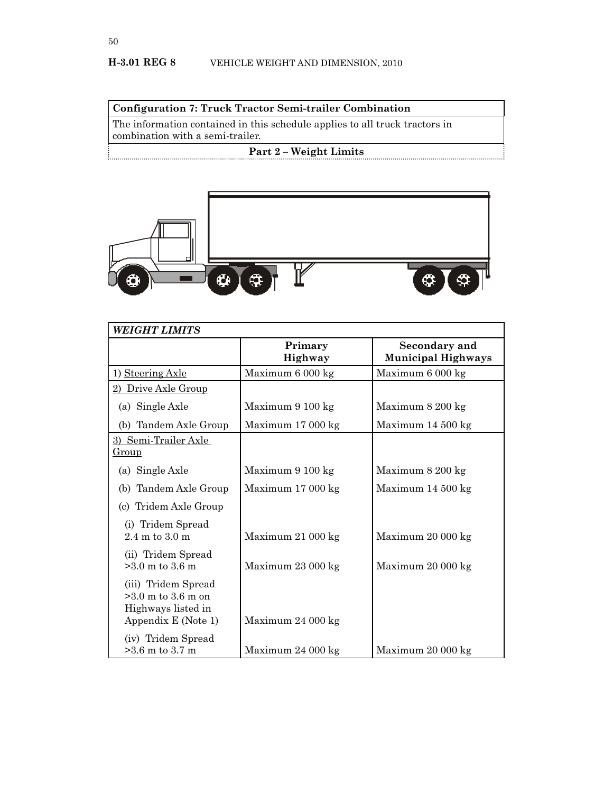## **Configuration 7: Truck Tractor Semi-trailer Combination**

The information contained in this schedule applies to all truck tractors in combination with a semi-trailer.

## **Part 2 – Weight Limits**



| <b>WEIGHT LIMITS</b>                                                                     |                            |                                            |  |
|------------------------------------------------------------------------------------------|----------------------------|--------------------------------------------|--|
|                                                                                          | Primary<br><b>Highway</b>  | Secondary and<br><b>Municipal Highways</b> |  |
| 1) Steering Axle                                                                         | Maximum 6 000 kg           | Maximum 6 000 kg                           |  |
| 2) Drive Axle Group                                                                      |                            |                                            |  |
| (a) Single Axle                                                                          | Maximum 9 100 kg           | Maximum 8 200 kg                           |  |
| (b) Tandem Axle Group                                                                    | Maximum 17 000 kg          | Maximum 14 500 kg                          |  |
| 3) Semi-Trailer Axle<br><u>Group</u>                                                     |                            |                                            |  |
| (a) Single Axle                                                                          | Maximum 9 100 kg           | Maximum 8 200 kg                           |  |
| (b) Tandem Axle Group                                                                    | Maximum $17000 \text{ kg}$ | Maximum 14 500 kg                          |  |
| (c) Tridem Axle Group                                                                    |                            |                                            |  |
| (i) Tridem Spread<br>$2.4 \text{ m}$ to $3.0 \text{ m}$                                  | Maximum 21 000 kg          | Maximum 20 000 kg                          |  |
| (ii) Tridem Spread<br>$>3.0$ m to 3.6 m                                                  | Maximum 23 000 kg          | Maximum 20 000 kg                          |  |
| (iii) Tridem Spread<br>$>3.0$ m to 3.6 m on<br>Highways listed in<br>Appendix E (Note 1) | Maximum 24 000 kg          |                                            |  |
| (iv) Tridem Spread<br>$>3.6$ m to 3.7 m                                                  | Maximum 24 000 kg          | Maximum 20 000 kg                          |  |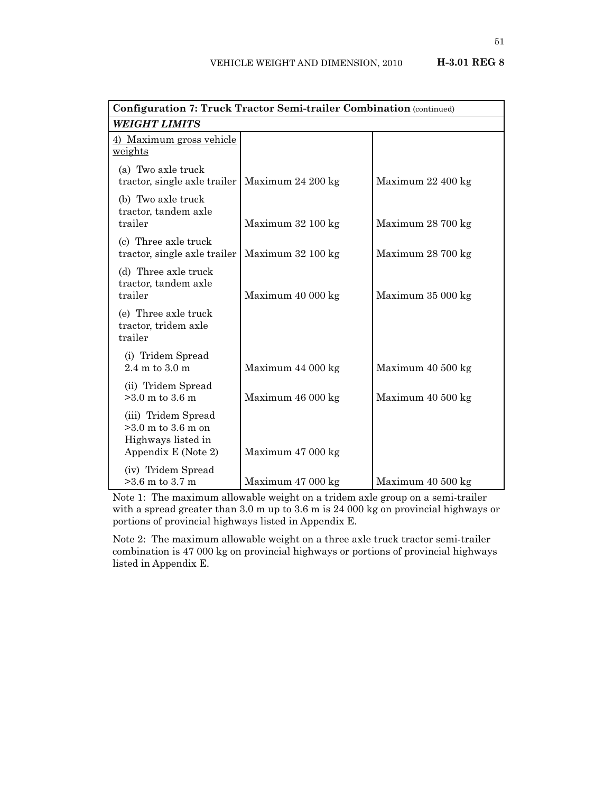| Configuration 7: Truck Tractor Semi-trailer Combination (continued)                      |                   |                   |  |  |
|------------------------------------------------------------------------------------------|-------------------|-------------------|--|--|
| <b>WEIGHT LIMITS</b>                                                                     |                   |                   |  |  |
| 4) Maximum gross vehicle<br>weights                                                      |                   |                   |  |  |
| (a) Two axle truck<br>tractor, single axle trailer                                       | Maximum 24 200 kg | Maximum 22 400 kg |  |  |
| (b) Two axle truck<br>tractor, tandem axle<br>trailer                                    | Maximum 32 100 kg | Maximum 28 700 kg |  |  |
| (c) Three axle truck<br>tractor, single axle trailer                                     | Maximum 32 100 kg | Maximum 28 700 kg |  |  |
| (d) Three axle truck<br>tractor, tandem axle<br>trailer                                  | Maximum 40 000 kg | Maximum 35 000 kg |  |  |
| (e) Three axle truck<br>tractor, tridem axle<br>trailer                                  |                   |                   |  |  |
| (i) Tridem Spread<br>$2.4 \text{ m}$ to $3.0 \text{ m}$                                  | Maximum 44 000 kg | Maximum 40 500 kg |  |  |
| (ii) Tridem Spread<br>$>3.0$ m to 3.6 m                                                  | Maximum 46 000 kg | Maximum 40 500 kg |  |  |
| (iii) Tridem Spread<br>$>3.0$ m to 3.6 m on<br>Highways listed in<br>Appendix E (Note 2) | Maximum 47 000 kg |                   |  |  |
| (iv) Tridem Spread<br>$>3.6$ m to 3.7 m                                                  | Maximum 47 000 kg | Maximum 40 500 kg |  |  |

Note 1: The maximum allowable weight on a tridem axle group on a semi-trailer with a spread greater than 3.0 m up to 3.6 m is 24 000 kg on provincial highways or portions of provincial highways listed in Appendix E.

Note 2: The maximum allowable weight on a three axle truck tractor semi-trailer combination is 47 000 kg on provincial highways or portions of provincial highways listed in Appendix E.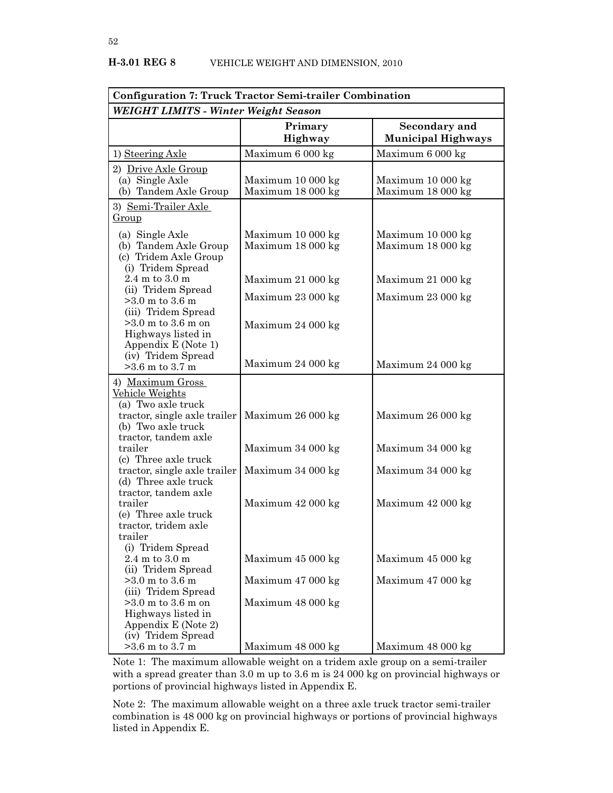| <b>Configuration 7: Truck Tractor Semi-trailer Combination</b>                                                         |                                        |                                            |  |  |
|------------------------------------------------------------------------------------------------------------------------|----------------------------------------|--------------------------------------------|--|--|
| WEIGHT LIMITS - Winter Weight Season                                                                                   |                                        |                                            |  |  |
|                                                                                                                        | Primary<br>Highway                     | Secondary and<br><b>Municipal Highways</b> |  |  |
| 1) Steering Axle                                                                                                       | Maximum 6 000 kg                       | Maximum 6 000 kg                           |  |  |
| 2) Drive Axle Group<br>(a) Single Axle<br>(b) Tandem Axle Group<br>3) Semi-Trailer Axle                                | Maximum 10 000 kg<br>Maximum 18 000 kg | Maximum 10 000 kg<br>Maximum 18 000 kg     |  |  |
| <u>Group</u>                                                                                                           |                                        |                                            |  |  |
| (a) Single Axle<br>(b) Tandem Axle Group<br>(c) Tridem Axle Group<br>(i) Tridem Spread                                 | Maximum 10 000 kg<br>Maximum 18 000 kg | Maximum 10 000 kg<br>Maximum 18 000 kg     |  |  |
| $2.4 \text{ m}$ to $3.0 \text{ m}$                                                                                     | Maximum 21 000 kg                      | Maximum 21 000 kg                          |  |  |
| (ii) Tridem Spread<br>$>3.0$ m to 3.6 m<br>(iii) Tridem Spread                                                         | Maximum 23 000 kg                      | Maximum 23 000 kg                          |  |  |
| $>3.0$ m to 3.6 m on<br>Highways listed in<br>Appendix E (Note 1)<br>(iv) Tridem Spread                                | Maximum 24 000 kg                      |                                            |  |  |
| $>3.6$ m to 3.7 m                                                                                                      | Maximum 24 000 kg                      | Maximum 24 000 kg                          |  |  |
| 4) Maximum Gross<br><u>Vehicle Weights</u><br>(a) Two axle truck<br>tractor, single axle trailer<br>(b) Two axle truck | Maximum 26 000 kg                      | Maximum 26 000 kg                          |  |  |
| tractor, tandem axle<br>trailer<br>(c) Three axle truck                                                                | Maximum 34 000 kg                      | Maximum 34 000 kg                          |  |  |
| tractor, single axle trailer<br>(d) Three axle truck                                                                   | Maximum 34 000 kg                      | Maximum 34 000 kg                          |  |  |
| tractor, tandem axle<br>trailer<br>(e) Three axle truck<br>tractor, tridem axle<br>trailer                             | Maximum 42 000 kg                      | Maximum 42 000 kg                          |  |  |
| (i) Tridem Spread<br>$2.4 \text{ m}$ to $3.0 \text{ m}$<br>(ii) Tridem Spread                                          | Maximum 45 000 kg                      | Maximum 45 000 kg                          |  |  |
| $>3.0$ m to 3.6 m<br>(iii) Tridem Spread                                                                               | Maximum 47 000 kg                      | Maximum 47 000 kg                          |  |  |
| $>3.0$ m to 3.6 m on<br>Highways listed in<br>Appendix E (Note 2)<br>(iv) Tridem Spread                                | Maximum 48 000 kg                      |                                            |  |  |
| $>3.6$ m to 3.7 m                                                                                                      | Maximum 48 000 kg                      | Maximum 48 000 kg                          |  |  |

Note 1: The maximum allowable weight on a tridem axle group on a semi-trailer with a spread greater than 3.0 m up to 3.6 m is 24 000 kg on provincial highways or portions of provincial highways listed in Appendix E.

Note 2: The maximum allowable weight on a three axle truck tractor semi-trailer combination is 48 000 kg on provincial highways or portions of provincial highways listed in Appendix E.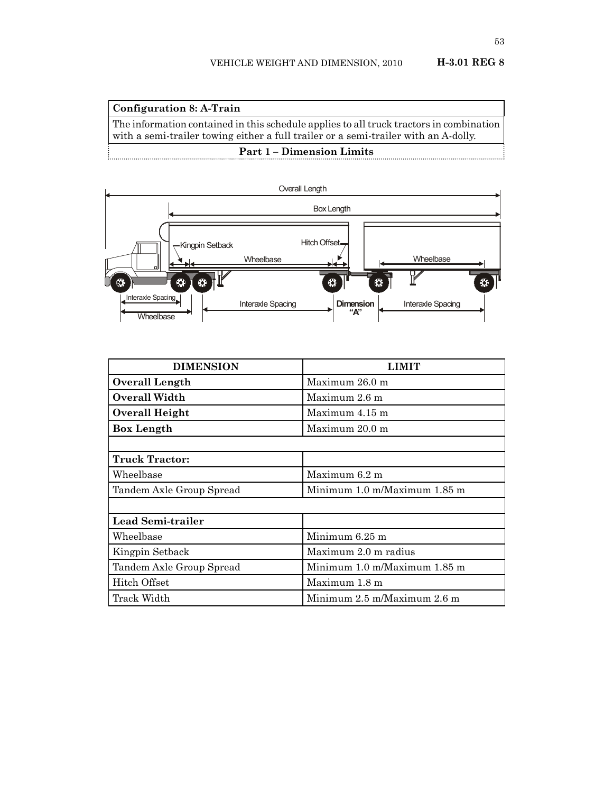| Configuration 8: A-Train                                                                |
|-----------------------------------------------------------------------------------------|
| The information contained in this schedule applies to all truck tractors in combination |
| with a semi-trailer towing either a full trailer or a semi-trailer with an A-dolly.     |
| <b>Part 1 – Dimension Limits</b>                                                        |



| <b>DIMENSION</b>         | I .TMTT                      |  |
|--------------------------|------------------------------|--|
| Overall Length           | Maximum 26.0 m               |  |
| Overall Width            | Maximum 2.6 m                |  |
| Overall Height           | Maximum 4.15 m               |  |
| Box Length               | Maximum 20.0 m               |  |
|                          |                              |  |
| <b>Truck Tractor:</b>    |                              |  |
| Wheelbase                | Maximum 6.2 m                |  |
| Tandem Axle Group Spread | Minimum 1.0 m/Maximum 1.85 m |  |
|                          |                              |  |
| Lead Semi-trailer        |                              |  |
| Wheelbase                | Minimum $6.25$ m             |  |
| Kingpin Setback          | Maximum 2.0 m radius         |  |
| Tandem Axle Group Spread | Minimum 1.0 m/Maximum 1.85 m |  |
| Hitch Offset             | Maximum 1.8 m                |  |
| Track Width              | Minimum 2.5 m/Maximum 2.6 m  |  |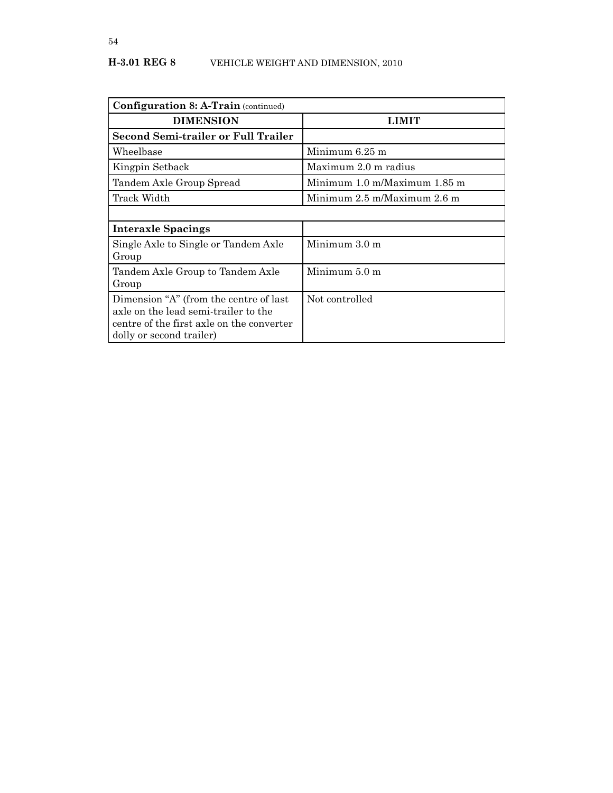| <b>Configuration 8: A-Train (continued)</b>                                                                                                             |                              |
|---------------------------------------------------------------------------------------------------------------------------------------------------------|------------------------------|
| <b>DIMENSION</b>                                                                                                                                        | <b>LIMIT</b>                 |
| <b>Second Semi-trailer or Full Trailer</b>                                                                                                              |                              |
| Wheelbase                                                                                                                                               | Minimum 6.25 m               |
| Kingpin Setback                                                                                                                                         | Maximum 2.0 m radius         |
| Tandem Axle Group Spread                                                                                                                                | Minimum 1.0 m/Maximum 1.85 m |
| Track Width                                                                                                                                             | Minimum 2.5 m/Maximum 2.6 m  |
|                                                                                                                                                         |                              |
| <b>Interaxle Spacings</b>                                                                                                                               |                              |
| Single Axle to Single or Tandem Axle<br>Group                                                                                                           | Minimum $3.0 \text{ m}$      |
| Tandem Axle Group to Tandem Axle<br>Group                                                                                                               | Minimum 5.0 m                |
| Dimension "A" (from the centre of last<br>axle on the lead semi-trailer to the<br>centre of the first axle on the converter<br>dolly or second trailer) | Not controlled               |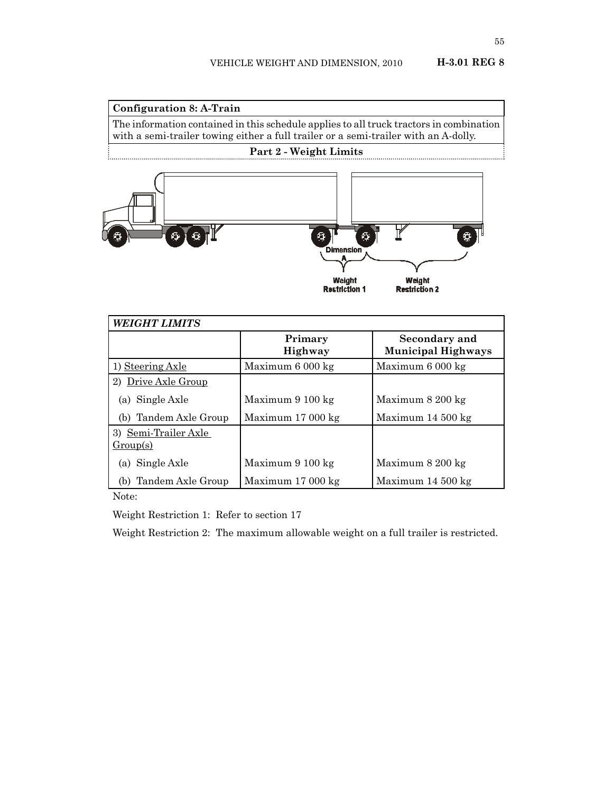### **Configuration 8: A-Train**

The information contained in this schedule applies to all truck tractors in combination with a semi-trailer towing either a full trailer or a semi-trailer with an A-dolly.

### **Part 2 - Weight Limits**



| <b>WEIGHT LIMITS</b>             |                            |                                            |  |
|----------------------------------|----------------------------|--------------------------------------------|--|
|                                  | Primary<br>Highway         | Secondary and<br><b>Municipal Highways</b> |  |
| 1) Steering Axle                 | Maximum 6 000 kg           | Maximum 6 000 kg                           |  |
| 2) Drive Axle Group              |                            |                                            |  |
| (a) Single Axle                  | Maximum 9 100 kg           | Maximum 8 200 kg                           |  |
| Tandem Axle Group<br>(b)         | Maximum $17000 \text{ kg}$ | Maximum $14\,500\,\mathrm{kg}$             |  |
| 3) Semi-Trailer Axle<br>Group(s) |                            |                                            |  |
| (a) Single Axle                  | Maximum 9 100 kg           | Maximum 8 200 kg                           |  |
| Tandem Axle Group<br>(b)         | Maximum $17000 \text{ kg}$ | Maximum $14\,500\,\mathrm{kg}$             |  |

Note:

Weight Restriction 1: Refer to section 17

Weight Restriction 2: The maximum allowable weight on a full trailer is restricted.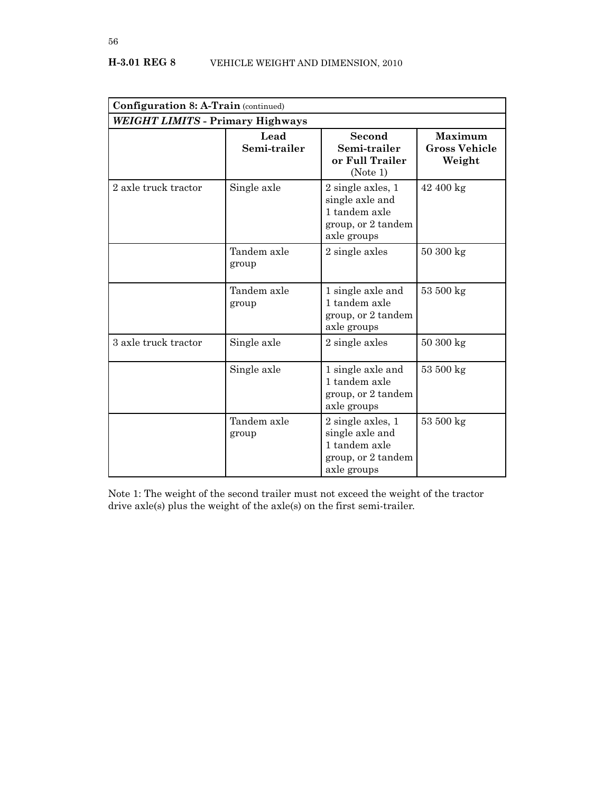| <b>Configuration 8: A-Train (continued)</b> |                      |                                                                                            |                                                  |  |
|---------------------------------------------|----------------------|--------------------------------------------------------------------------------------------|--------------------------------------------------|--|
| WEIGHT LIMITS - Primary Highways            |                      |                                                                                            |                                                  |  |
|                                             | Lead<br>Semi-trailer | Second<br>Semi-trailer<br>or Full Trailer<br>(Note 1)                                      | <b>Maximum</b><br><b>Gross Vehicle</b><br>Weight |  |
| 2 axle truck tractor                        | Single axle          | 2 single axles, 1<br>single axle and<br>1 tandem axle<br>group, or 2 tandem<br>axle groups | 42 400 kg                                        |  |
|                                             | Tandem axle<br>group | 2 single axles                                                                             | $50300 \text{ kg}$                               |  |
|                                             | Tandem axle<br>group | 1 single axle and<br>1 tandem axle<br>group, or 2 tandem<br>axle groups                    | 53 500 kg                                        |  |
| 3 axle truck tractor                        | Single axle          | 2 single axles                                                                             | 50300 kg                                         |  |
|                                             | Single axle          | 1 single axle and<br>1 tandem axle<br>group, or 2 tandem<br>axle groups                    | 53 500 kg                                        |  |
|                                             | Tandem axle<br>group | 2 single axles, 1<br>single axle and<br>1 tandem axle<br>group, or 2 tandem<br>axle groups | 53 500 kg                                        |  |

Note 1: The weight of the second trailer must not exceed the weight of the tractor drive axle(s) plus the weight of the axle(s) on the first semi-trailer.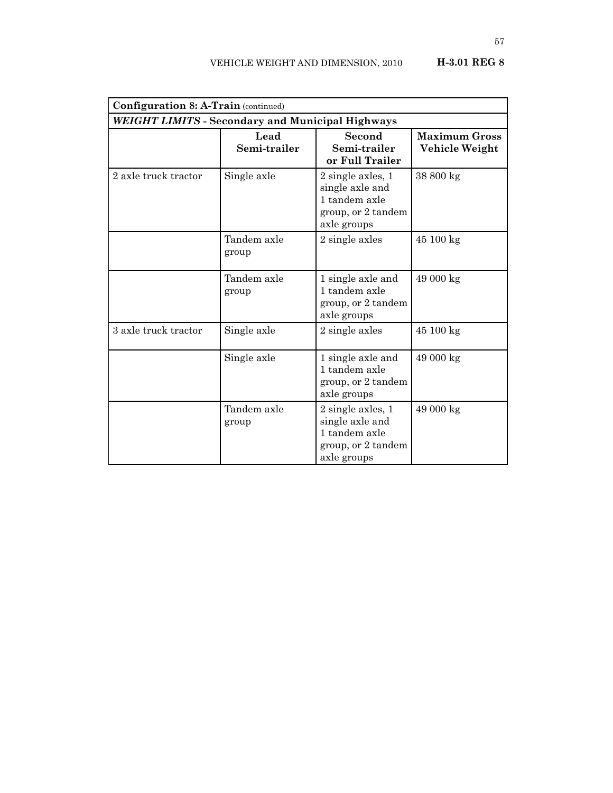| <b>Configuration 8: A-Train (continued)</b>             |                      |                                                                                                |                                        |  |
|---------------------------------------------------------|----------------------|------------------------------------------------------------------------------------------------|----------------------------------------|--|
| <b>WEIGHT LIMITS - Secondary and Municipal Highways</b> |                      |                                                                                                |                                        |  |
|                                                         | Lead<br>Semi-trailer | Second<br>Semi-trailer<br>or Full Trailer                                                      | <b>Maximum Gross</b><br>Vehicle Weight |  |
| 2 axle truck tractor                                    | Single axle          | $2$ single axles, $1$<br>single axle and<br>1 tandem axle<br>group, or 2 tandem<br>axle groups | 38 800 kg                              |  |
|                                                         | Tandem axle<br>group | 2 single axles                                                                                 | 45 100 kg                              |  |
|                                                         | Tandem axle<br>group | 1 single axle and<br>1 tandem axle<br>group, or 2 tandem<br>axle groups                        | 49 000 kg                              |  |
| 3 axle truck tractor                                    | Single axle          | 2 single axles                                                                                 | 45 100 kg                              |  |
|                                                         | Single axle          | 1 single axle and<br>1 tandem axle<br>group, or 2 tandem<br>axle groups                        | 49 000 kg                              |  |
|                                                         | Tandem axle<br>group | 2 single axles, 1<br>single axle and<br>1 tandem axle<br>group, or 2 tandem<br>axle groups     | 49 000 kg                              |  |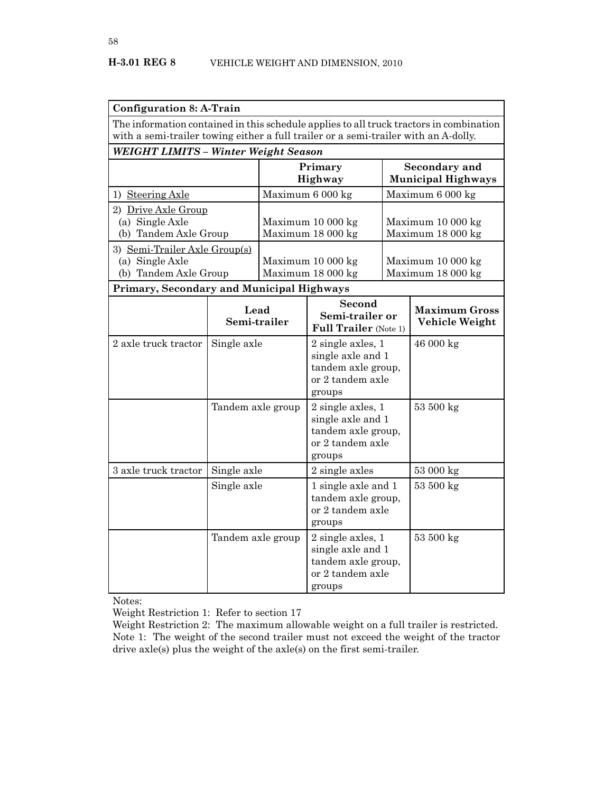| <b>Configuration 8: A-Train</b>                                                                                                                                                |                                              |                                        |                                                                                                |  |                                            |  |
|--------------------------------------------------------------------------------------------------------------------------------------------------------------------------------|----------------------------------------------|----------------------------------------|------------------------------------------------------------------------------------------------|--|--------------------------------------------|--|
| The information contained in this schedule applies to all truck tractors in combination<br>with a semi-trailer towing either a full trailer or a semi-trailer with an A-dolly. |                                              |                                        |                                                                                                |  |                                            |  |
| WEIGHT LIMITS - Winter Weight Season                                                                                                                                           |                                              |                                        |                                                                                                |  |                                            |  |
|                                                                                                                                                                                |                                              |                                        | Primary<br>Highway                                                                             |  | Secondary and<br><b>Municipal Highways</b> |  |
| 1) Steering Axle                                                                                                                                                               |                                              |                                        | Maximum 6 000 kg                                                                               |  | Maximum 6 000 kg                           |  |
| (a) Single Axle                                                                                                                                                                | 2) Drive Axle Group<br>(b) Tandem Axle Group |                                        | Maximum 10 000 kg<br>Maximum 18 000 kg                                                         |  | Maximum 10 000 kg<br>Maximum 18 000 kg     |  |
| 3) Semi-Trailer Axle Group(s)<br>(a) Single Axle<br>(b) Tandem Axle Group                                                                                                      |                                              | Maximum 10 000 kg<br>Maximum 18 000 kg |                                                                                                |  | Maximum 10 000 kg<br>Maximum 18 000 kg     |  |
| Primary, Secondary and Municipal Highways                                                                                                                                      |                                              |                                        |                                                                                                |  |                                            |  |
|                                                                                                                                                                                | Lead<br>Semi-trailer                         |                                        | Second<br>Semi-trailer or<br><b>Full Trailer</b> (Note 1)                                      |  | <b>Maximum Gross</b><br>Vehicle Weight     |  |
| 2 axle truck tractor                                                                                                                                                           | Single axle                                  |                                        | $2$ single axles, $1$<br>single axle and 1<br>tandem axle group,<br>or 2 tandem axle<br>groups |  | 46 000 kg                                  |  |
|                                                                                                                                                                                | Tandem axle group                            |                                        | $2$ single axles, $1$<br>single axle and 1<br>tandem axle group,<br>or 2 tandem axle<br>groups |  | 53 500 kg                                  |  |
| 3 axle truck tractor                                                                                                                                                           | Single axle                                  |                                        | 2 single axles                                                                                 |  | 53 000 kg                                  |  |
|                                                                                                                                                                                | Single axle                                  |                                        | 1 single axle and 1<br>tandem axle group,<br>or 2 tandem axle<br>groups                        |  | 53 500 kg                                  |  |
|                                                                                                                                                                                | Tandem axle group                            |                                        | $2$ single axles, $1$<br>single axle and 1<br>tandem axle group,<br>or 2 tandem axle<br>groups |  | 53 500 kg                                  |  |

Notes:

Weight Restriction 1: Refer to section 17

Weight Restriction 2: The maximum allowable weight on a full trailer is restricted. Note 1: The weight of the second trailer must not exceed the weight of the tractor drive axle(s) plus the weight of the axle(s) on the first semi-trailer.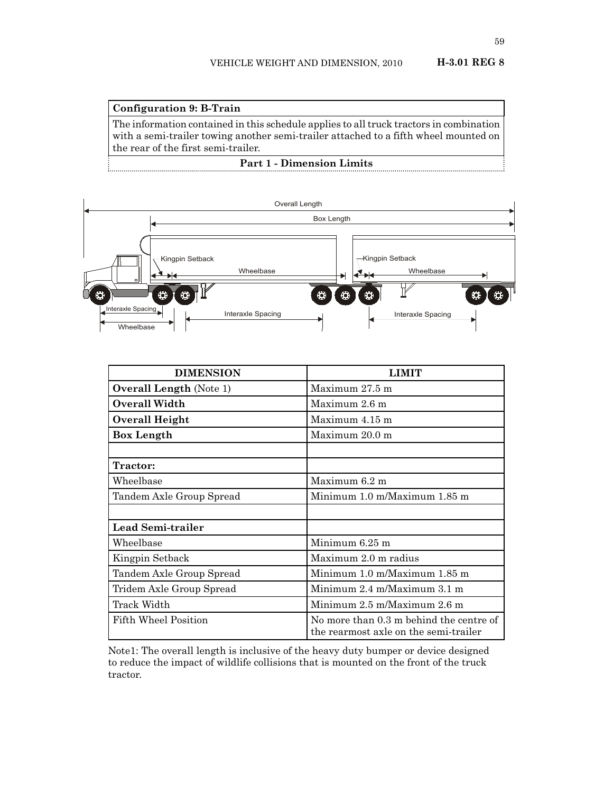### **Configuration 9: B-Train**

The information contained in this schedule applies to all truck tractors in combination with a semi-trailer towing another semi-trailer attached to a fifth wheel mounted on the rear of the first semi-trailer.

**Part 1 - Dimension Limits**



| <b>DIMENSION</b>               | I IMIT                                                                           |  |
|--------------------------------|----------------------------------------------------------------------------------|--|
| <b>Overall Length (Note 1)</b> | Maximum $27.5$ m                                                                 |  |
| Overall Width                  | Maximum 2.6 m                                                                    |  |
| Overall Height                 | Maximum $4.15$ m                                                                 |  |
| <b>Box Length</b>              | Maximum 20.0 m                                                                   |  |
|                                |                                                                                  |  |
| Tractor:                       |                                                                                  |  |
| Wheelbase                      | Maximum 6.2 m                                                                    |  |
| Tandem Axle Group Spread       | Minimum 1.0 m/Maximum 1.85 m                                                     |  |
|                                |                                                                                  |  |
| Lead Semi-trailer              |                                                                                  |  |
| Wheelbase                      | Minimum 6.25 m                                                                   |  |
| Kingpin Setback                | Maximum 2.0 m radius                                                             |  |
| Tandem Axle Group Spread       | Minimum 1.0 m/Maximum 1.85 m                                                     |  |
| Tridem Axle Group Spread       | Minimum 2.4 m/Maximum 3.1 m                                                      |  |
| Track Width                    | Minimum 2.5 m/Maximum 2.6 m                                                      |  |
| Fifth Wheel Position           | No more than 0.3 m behind the centre of<br>the rearmost axle on the semi-trailer |  |

Note1: The overall length is inclusive of the heavy duty bumper or device designed to reduce the impact of wildlife collisions that is mounted on the front of the truck tractor.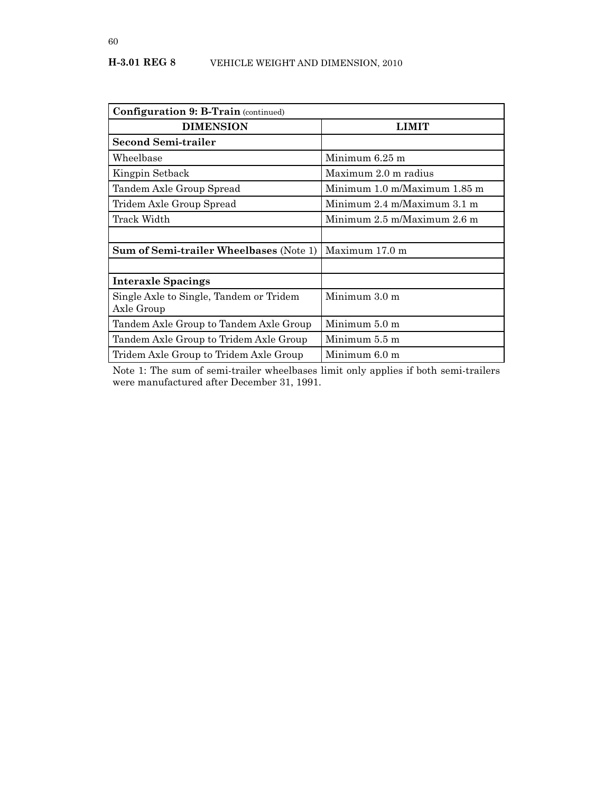| <b>Configuration 9: B-Train (continued)</b>           |                              |
|-------------------------------------------------------|------------------------------|
| <b>DIMENSION</b>                                      | <b>LIMIT</b>                 |
| <b>Second Semi-trailer</b>                            |                              |
| Wheelbase                                             | Minimum 6.25 m               |
| Kingpin Setback                                       | Maximum 2.0 m radius         |
| Tandem Axle Group Spread                              | Minimum 1.0 m/Maximum 1.85 m |
| Tridem Axle Group Spread                              | Minimum 2.4 m/Maximum 3.1 m  |
| Track Width                                           | Minimum 2.5 m/Maximum 2.6 m  |
|                                                       |                              |
| <b>Sum of Semi-trailer Wheelbases (Note 1)</b>        | Maximum 17.0 m               |
|                                                       |                              |
| Interaxle Spacings                                    |                              |
| Single Axle to Single, Tandem or Tridem<br>Axle Group | Minimum 3.0 m                |
|                                                       |                              |
| Tandem Axle Group to Tandem Axle Group                | Minimum 5.0 m                |
| Tandem Axle Group to Tridem Axle Group                | Minimum 5.5 m                |
| Tridem Axle Group to Tridem Axle Group                | Minimum 6.0 m                |

Note 1: The sum of semi-trailer wheelbases limit only applies if both semi-trailers were manufactured after December 31, 1991.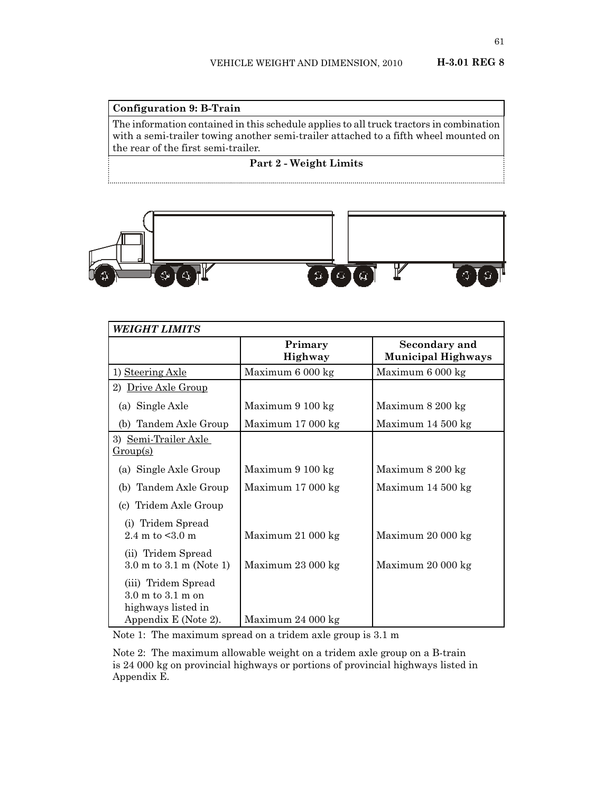# **Configuration 9: B-Train** The information contained in this schedule applies to all truck tractors in combination with a semi-trailer towing another semi-trailer attached to a fifth wheel mounted on the rear of the first semi-trailer.

**Part 2 - Weight Limits**



| <b>WEIGHT LIMITS</b>                                                                                       |                           |                                            |
|------------------------------------------------------------------------------------------------------------|---------------------------|--------------------------------------------|
|                                                                                                            | Primary<br><b>Highway</b> | Secondary and<br><b>Municipal Highways</b> |
| 1) Steering Axle                                                                                           | Maximum 6 000 kg          | Maximum 6 000 kg                           |
| 2) Drive Axle Group                                                                                        |                           |                                            |
| (a) Single Axle                                                                                            | Maximum 9 100 kg          | Maximum 8 200 kg                           |
| (b) Tandem Axle Group                                                                                      | Maximum 17 000 kg         | Maximum 14 500 kg                          |
| 3) Semi-Trailer Axle<br>Group(s)                                                                           |                           |                                            |
| (a) Single Axle Group                                                                                      | Maximum 9 100 kg          | Maximum 8 200 kg                           |
| (b) Tandem Axle Group                                                                                      | Maximum 17 000 kg         | Maximum 14 500 kg                          |
| (c) Tridem Axle Group                                                                                      |                           |                                            |
| (i) Tridem Spread<br>2.4 m to $\leq 3.0$ m                                                                 | Maximum 21 000 kg         | Maximum 20 000 kg                          |
| (ii) Tridem Spread<br>$3.0 \text{ m}$ to $3.1 \text{ m}$ (Note 1)                                          | Maximum 23 000 kg         | Maximum 20 000 kg                          |
| (iii) Tridem Spread<br>$3.0 \text{ m}$ to $3.1 \text{ m}$ on<br>highways listed in<br>Appendix E (Note 2). | Maximum 24 000 kg         |                                            |

Note 1: The maximum spread on a tridem axle group is 3.1 m

Note 2: The maximum allowable weight on a tridem axle group on a B-train is 24 000 kg on provincial highways or portions of provincial highways listed in Appendix E.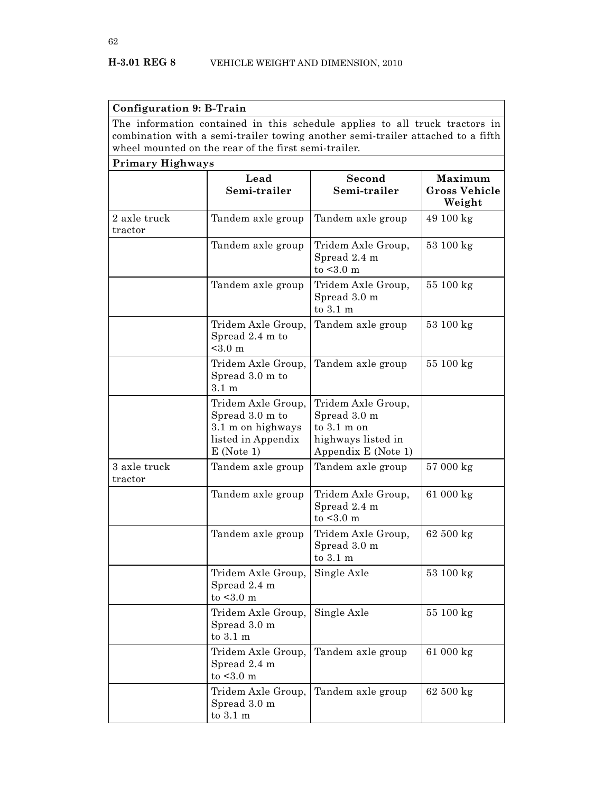| Configuration 9: B-Train |                                                                                                                                                                                                                        |                                                                                                          |                                                  |
|--------------------------|------------------------------------------------------------------------------------------------------------------------------------------------------------------------------------------------------------------------|----------------------------------------------------------------------------------------------------------|--------------------------------------------------|
|                          | The information contained in this schedule applies to all truck tractors in<br>combination with a semi-trailer towing another semi-trailer attached to a fifth<br>wheel mounted on the rear of the first semi-trailer. |                                                                                                          |                                                  |
| Primary Highways         |                                                                                                                                                                                                                        |                                                                                                          |                                                  |
|                          | Lead<br>Semi-trailer                                                                                                                                                                                                   | Second<br>Semi-trailer                                                                                   | <b>Maximum</b><br><b>Gross Vehicle</b><br>Weight |
| 2 axle truck<br>tractor  | Tandem axle group                                                                                                                                                                                                      | Tandem axle group                                                                                        | 49 100 kg                                        |
|                          | Tandem axle group                                                                                                                                                                                                      | Tridem Axle Group,<br>Spread 2.4 m<br>to $<$ 3.0 m                                                       | 53 100 kg                                        |
|                          | Tandem axle group                                                                                                                                                                                                      | Tridem Axle Group,<br>Spread 3.0 m<br>to 3.1 m                                                           | 55 100 kg                                        |
|                          | Tridem Axle Group,<br>Spread 2.4 m to<br>$< 3.0 \text{ m}$                                                                                                                                                             | Tandem axle group                                                                                        | 53 100 kg                                        |
|                          | Tridem Axle Group,<br>Spread 3.0 m to<br>$3.1 \text{ m}$                                                                                                                                                               | Tandem axle group                                                                                        | 55 100 kg                                        |
|                          | Tridem Axle Group,<br>Spread 3.0 m to<br>3.1 m on highways<br>listed in Appendix<br>$E$ (Note 1)                                                                                                                       | Tridem Axle Group,<br>Spread 3.0 m<br>to $3.1 \text{ m}$ on<br>highways listed in<br>Appendix E (Note 1) |                                                  |
| 3 axle truck<br>tractor  | Tandem axle group                                                                                                                                                                                                      | Tandem axle group                                                                                        | 57 000 kg                                        |
|                          | Tandem axle group                                                                                                                                                                                                      | Tridem Axle Group,<br>Spread 2.4 m<br>to $<$ 3.0 m                                                       | 61 000 kg                                        |
|                          | Tandem axle group                                                                                                                                                                                                      | Tridem Axle Group,<br>Spread 3.0 m<br>to $3.1 \text{ m}$                                                 | $62\ 500$ $\mathrm{kg}$                          |
|                          | Tridem Axle Group,<br>Spread 2.4 m<br>to $<$ 3.0 m                                                                                                                                                                     | Single Axle                                                                                              | 53 100 kg                                        |
|                          | Tridem Axle Group,<br>Spread 3.0 m<br>to $3.1 \text{ m}$                                                                                                                                                               | Single Axle                                                                                              | 55 100 kg                                        |
|                          | Tridem Axle Group,<br>Spread 2.4 m<br>to $<$ 3.0 m                                                                                                                                                                     | Tandem axle group                                                                                        | 61 000 kg                                        |
|                          | Tridem Axle Group,<br>Spread 3.0 m<br>to $3.1~\mathrm{m}$                                                                                                                                                              | Tandem axle group                                                                                        | 62 500 kg                                        |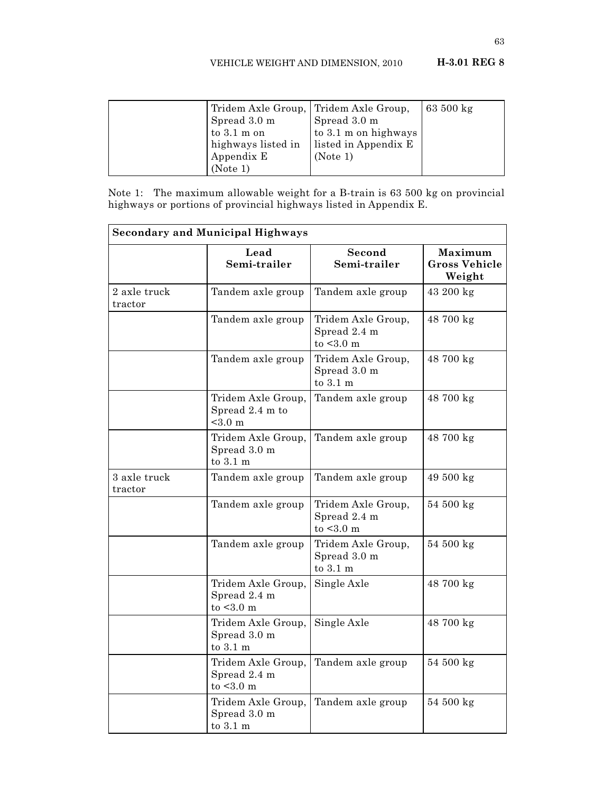### VEHICLE WEIGHT AND DIMENSION, 2010 **H-3.01 REG 8**

| Tridem Axle Group, Tridem Axle Group, |                      | 63 $500 \text{ kg}$ |
|---------------------------------------|----------------------|---------------------|
| Spread 3.0 m                          | Spread 3.0 m         |                     |
| to $3.1 \text{ m}$ on                 | to 3.1 m on highways |                     |
| highways listed in                    | listed in Appendix E |                     |
| Appendix E                            | (Note 1)             |                     |
| (Note 1)                              |                      |                     |

Note 1: The maximum allowable weight for a B-train is 63 500 kg on provincial highways or portions of provincial highways listed in Appendix E.

| <b>Secondary and Municipal Highways</b> |                                                            |                                                          |                                           |
|-----------------------------------------|------------------------------------------------------------|----------------------------------------------------------|-------------------------------------------|
|                                         | Lead<br>Semi-trailer                                       | Second<br>Semi-trailer                                   | Maximum<br><b>Gross Vehicle</b><br>Weight |
| 2 axle truck<br>tractor                 | Tandem axle group                                          | Tandem axle group                                        | 43 200 kg                                 |
|                                         | Tandem axle group                                          | Tridem Axle Group,<br>Spread 2.4 m<br>to $<$ 3.0 m       | 48 700 kg                                 |
|                                         | Tandem axle group                                          | Tridem Axle Group,<br>Spread 3.0 m<br>to $3.1 \text{ m}$ | 48 700 kg                                 |
|                                         | Tridem Axle Group,<br>Spread 2.4 m to<br>$< 3.0 \text{ m}$ | Tandem axle group                                        | 48 700 kg                                 |
|                                         | Tridem Axle Group,<br>Spread 3.0 m<br>to 3.1 m             | Tandem axle group                                        | 48 700 kg                                 |
| 3 axle truck<br>tractor                 | Tandem axle group                                          | Tandem axle group                                        | 49 500 kg                                 |
|                                         | Tandem axle group                                          | Tridem Axle Group,<br>Spread 2.4 m<br>to $<$ 3.0 m       | 54 500 kg                                 |
|                                         | Tandem axle group                                          | Tridem Axle Group,<br>Spread 3.0 m<br>to $3.1 \text{ m}$ | 54 500 kg                                 |
|                                         | Tridem Axle Group,<br>Spread 2.4 m<br>to $<$ 3.0 m         | Single Axle                                              | 48 700 kg                                 |
|                                         | Tridem Axle Group,<br>Spread 3.0 m<br>to 3.1 m             | Single Axle                                              | 48 700 kg                                 |
|                                         | Tridem Axle Group,<br>Spread 2.4 m<br>$to < 3.0$ m         | Tandem axle group                                        | 54 500 kg                                 |
|                                         | Tridem Axle Group,<br>Spread 3.0 m<br>to 3.1 m             | Tandem axle group                                        | 54 500 kg                                 |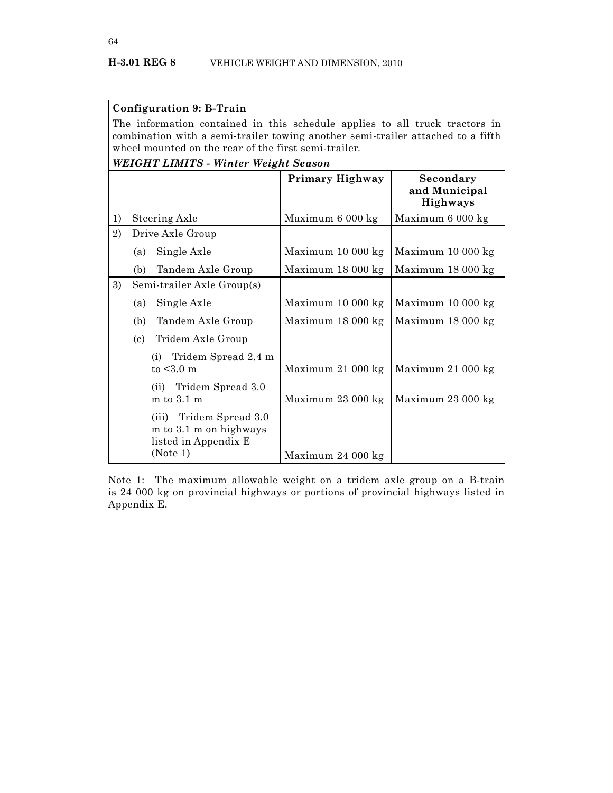|                                                                                                                                                                                                                        | <b>Configuration 9: B-Train</b>                                                       |                        |                                               |
|------------------------------------------------------------------------------------------------------------------------------------------------------------------------------------------------------------------------|---------------------------------------------------------------------------------------|------------------------|-----------------------------------------------|
| The information contained in this schedule applies to all truck tractors in<br>combination with a semi-trailer towing another semi-trailer attached to a fifth<br>wheel mounted on the rear of the first semi-trailer. |                                                                                       |                        |                                               |
|                                                                                                                                                                                                                        | WEIGHT LIMITS - Winter Weight Season                                                  |                        |                                               |
|                                                                                                                                                                                                                        |                                                                                       | <b>Primary Highway</b> | Secondary<br>and Municipal<br><b>Highways</b> |
| 1)                                                                                                                                                                                                                     | Steering Axle                                                                         | Maximum 6 000 kg       | Maximum 6 000 kg                              |
| 2)                                                                                                                                                                                                                     | Drive Axle Group                                                                      |                        |                                               |
|                                                                                                                                                                                                                        | Single Axle<br>(a)                                                                    | Maximum 10 000 kg      | Maximum 10 000 kg                             |
|                                                                                                                                                                                                                        | (b)<br>Tandem Axle Group                                                              | Maximum 18 000 kg      | Maximum 18 000 kg                             |
| 3)                                                                                                                                                                                                                     | Semi-trailer Axle Group(s)                                                            |                        |                                               |
|                                                                                                                                                                                                                        | Single Axle<br>(a)                                                                    | Maximum 10 000 kg      | Maximum 10 000 kg                             |
|                                                                                                                                                                                                                        | Tandem Axle Group<br>(b)                                                              | Maximum 18 000 kg      | Maximum 18 000 kg                             |
|                                                                                                                                                                                                                        | Tridem Axle Group<br>$\left( \text{c}\right)$                                         |                        |                                               |
|                                                                                                                                                                                                                        | (i) Tridem Spread 2.4 m<br>to $< 3.0$ m                                               | Maximum 21 000 kg      | Maximum 21 000 kg                             |
|                                                                                                                                                                                                                        | (ii) Tridem Spread 3.0<br>$m$ to $3.1$ $m$                                            | Maximum 23 000 kg      | Maximum 23 000 kg                             |
|                                                                                                                                                                                                                        | (iii) Tridem Spread 3.0<br>m to 3.1 m on highways<br>listed in Appendix E<br>(Note 1) | Maximum 24 000 kg      |                                               |

Note 1: The maximum allowable weight on a tridem axle group on a B-train is 24 000 kg on provincial highways or portions of provincial highways listed in Appendix E.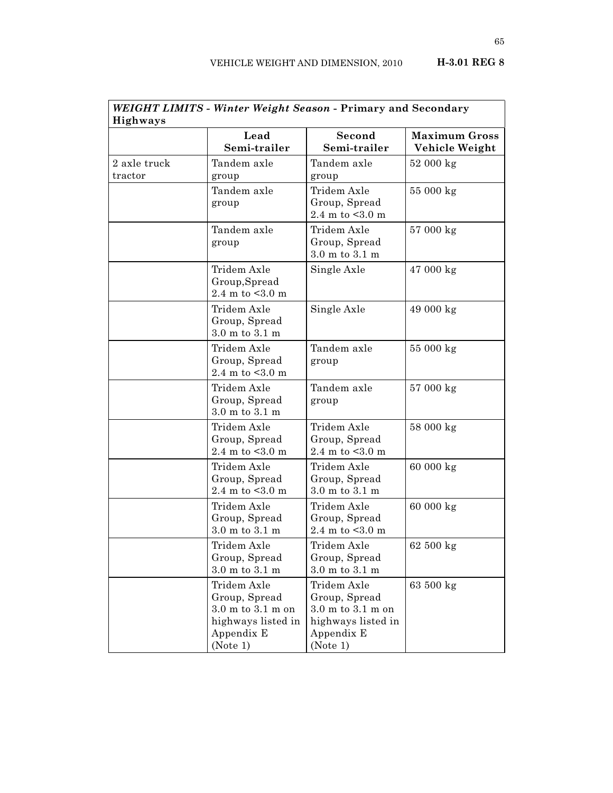| WEIGHT LIMITS - Winter Weight Season - Primary and Secondary<br><b>Highways</b> |                                                                                                                       |                                                                                                       |                                        |
|---------------------------------------------------------------------------------|-----------------------------------------------------------------------------------------------------------------------|-------------------------------------------------------------------------------------------------------|----------------------------------------|
|                                                                                 | Lead<br>Semi-trailer                                                                                                  | Second<br>Semi-trailer                                                                                | <b>Maximum Gross</b><br>Vehicle Weight |
| 2 axle truck<br>tractor                                                         | Tandem axle<br>group                                                                                                  | Tandem axle<br>group                                                                                  | $52000 \text{ kg}$                     |
|                                                                                 | Tandem axle<br>group                                                                                                  | Tridem Axle<br>Group, Spread<br>2.4 m to $< 3.0$ m                                                    | 55 000 kg                              |
|                                                                                 | Tandem axle<br>group                                                                                                  | Tridem Axle<br>Group, Spread<br>$3.0~\mathrm{m}$ to $3.1~\mathrm{m}$                                  | 57 000 kg                              |
|                                                                                 | Tridem Axle<br>Group, Spread<br>2.4 m to $< 3.0$ m                                                                    | Single Axle                                                                                           | 47 000 kg                              |
|                                                                                 | Tridem Axle<br>Group, Spread<br>$3.0 \text{ m}$ to $3.1 \text{ m}$                                                    | Single Axle                                                                                           | 49 000 kg                              |
|                                                                                 | Tridem Axle<br>Group, Spread<br>2.4 m to $< 3.0$ m                                                                    | Tandem axle<br>group                                                                                  | 55 000 kg                              |
|                                                                                 | Tridem Axle<br>Group, Spread<br>$3.0$ m to $3.1$ m                                                                    | Tandem axle<br>group                                                                                  | 57 000 kg                              |
|                                                                                 | Tridem Axle<br>Group, Spread<br>2.4 m to $< 3.0$ m                                                                    | Tridem Axle<br>Group, Spread<br>2.4 m to $< 3.0$ m                                                    | 58 000 kg                              |
|                                                                                 | Tridem Axle<br>Group, Spread<br>2.4 m to $< 3.0$ m                                                                    | Tridem Axle<br>Group, Spread<br>$3.0$ m to $3.1$ m                                                    | 60 000 kg                              |
|                                                                                 | Tridem Axle<br>Group, Spread<br>$3.0$ m to $3.1$ m                                                                    | Tridem Axle<br>Group, Spread<br>2.4 m to $< 3.0$ m                                                    | 60 000 kg                              |
|                                                                                 | Tridem Axle<br>Group, Spread<br>$3.0$ m to $3.1$ m                                                                    | Tridem Axle<br>Group, Spread<br>$3.0$ m to $3.1$ m                                                    | 62 500 kg                              |
|                                                                                 | Tridem Axle<br>Group, Spread<br>$3.0 \text{ m}$ to $3.1 \text{ m}$ on<br>highways listed in<br>Appendix E<br>(Note 1) | Tridem Axle<br>Group, Spread<br>$3.0$ m to $3.1$ m on<br>highways listed in<br>Appendix E<br>(Note 1) | 63 500 kg                              |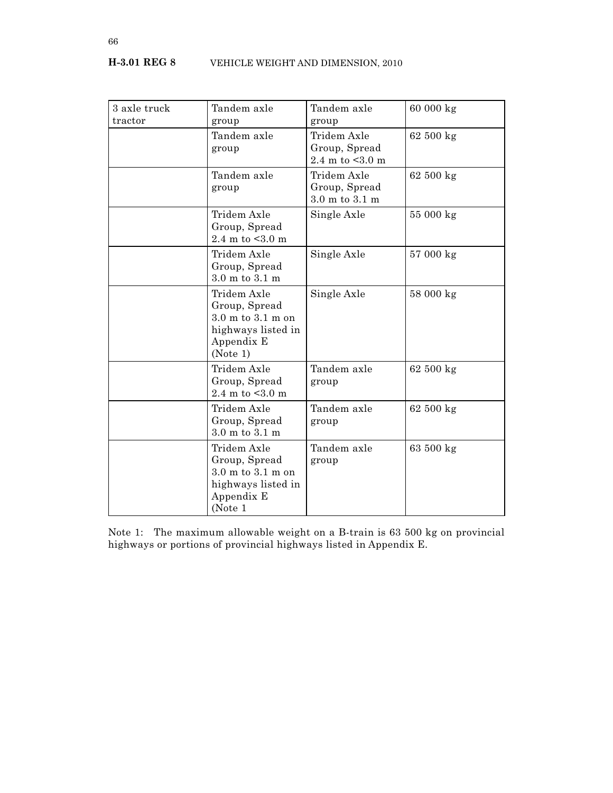| 3 axle truck<br>tractor | Tandem axle<br>group                                                                                                  | Tandem axle<br>group                               | 60 000 kg          |
|-------------------------|-----------------------------------------------------------------------------------------------------------------------|----------------------------------------------------|--------------------|
|                         | Tandem axle<br>group                                                                                                  | Tridem Axle<br>Group, Spread<br>2.4 m to $< 3.0$ m | 62 500 kg          |
|                         | Tandem axle<br>group                                                                                                  | Tridem Axle<br>Group, Spread<br>3.0 m to 3.1 m     | 62 500 kg          |
|                         | Tridem Axle<br>Group, Spread<br>2.4 m to $< 3.0$ m                                                                    | Single Axle                                        | 55 000 kg          |
|                         | Tridem Axle<br>Group, Spread<br>3.0 m to 3.1 m                                                                        | Single Axle                                        | 57 000 kg          |
|                         | Tridem Axle<br>Group, Spread<br>$3.0 \text{ m}$ to $3.1 \text{ m}$ on<br>highways listed in<br>Appendix E<br>(Note 1) | Single Axle                                        | 58 000 kg          |
|                         | Tridem Axle<br>Group, Spread<br>2.4 m to $< 3.0$ m                                                                    | Tandem axle<br>group                               | $62500 \text{ kg}$ |
|                         | Tridem Axle<br>Group, Spread<br>$3.0 \text{ m}$ to $3.1 \text{ m}$                                                    | Tandem axle<br>group                               | 62 500 kg          |
|                         | Tridem Axle<br>Group, Spread<br>$3.0 \text{ m}$ to $3.1 \text{ m}$ on<br>highways listed in<br>Appendix E<br>(Note 1  | Tandem axle<br>group                               | 63 500 kg          |

Note 1: The maximum allowable weight on a B-train is 63 500 kg on provincial highways or portions of provincial highways listed in Appendix E.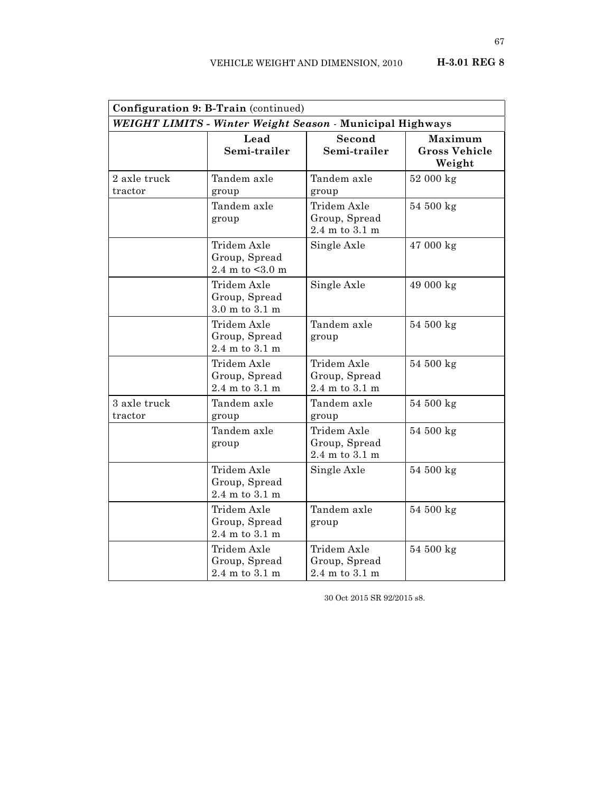| Configuration 9: B-Train (continued)                      |                                                                    |                                                                    |                                           |
|-----------------------------------------------------------|--------------------------------------------------------------------|--------------------------------------------------------------------|-------------------------------------------|
| WEIGHT LIMITS - Winter Weight Season - Municipal Highways |                                                                    |                                                                    |                                           |
|                                                           | Lead<br>Semi-trailer                                               | Second<br>Semi-trailer                                             | Maximum<br><b>Gross Vehicle</b><br>Weight |
| 2 axle truck<br>tractor                                   | Tandem axle<br>group                                               | Tandem axle<br>group                                               | $52000 \text{ kg}$                        |
|                                                           | Tandem axle<br>group                                               | Tridem Axle<br>Group, Spread<br>$2.4$ m to $3.1$ m                 | 54 500 kg                                 |
|                                                           | Tridem Axle<br>Group, Spread<br>$2.4$ m to $<3.0$ m                | Single Axle                                                        | 47 000 kg                                 |
|                                                           | Tridem Axle<br>Group, Spread<br>$3.0 \text{ m}$ to $3.1 \text{ m}$ | Single Axle                                                        | 49 000 kg                                 |
|                                                           | Tridem Axle<br>Group, Spread<br>$2.4$ m to $3.1$ m                 | Tandem axle<br>group                                               | 54 500 kg                                 |
|                                                           | Tridem Axle<br>Group, Spread<br>$2.4$ m to $3.1$ m                 | Tridem Axle<br>Group, Spread<br>2.4 m to 3.1 m                     | 54 500 kg                                 |
| 3 axle truck<br>tractor                                   | Tandem axle<br>group                                               | Tandem axle<br>group                                               | 54 500 kg                                 |
|                                                           | Tandem axle<br>group                                               | Tridem Axle<br>Group, Spread<br>2.4 m to 3.1 m                     | 54 500 kg                                 |
|                                                           | Tridem Axle<br>Group, Spread<br>$2.4$ m to $3.1$ m                 | Single Axle                                                        | 54 500 kg                                 |
|                                                           | Tridem Axle<br>Group, Spread<br>$2.4$ m to $3.1$ m                 | Tandem axle<br>group                                               | 54 500 kg                                 |
|                                                           | Tridem Axle<br>Group, Spread<br>2.4 m to 3.1 m                     | Tridem Axle<br>Group, Spread<br>$2.4 \text{ m}$ to $3.1 \text{ m}$ | 54 500 kg                                 |

30 Oct 2015 SR 92/2015 s8.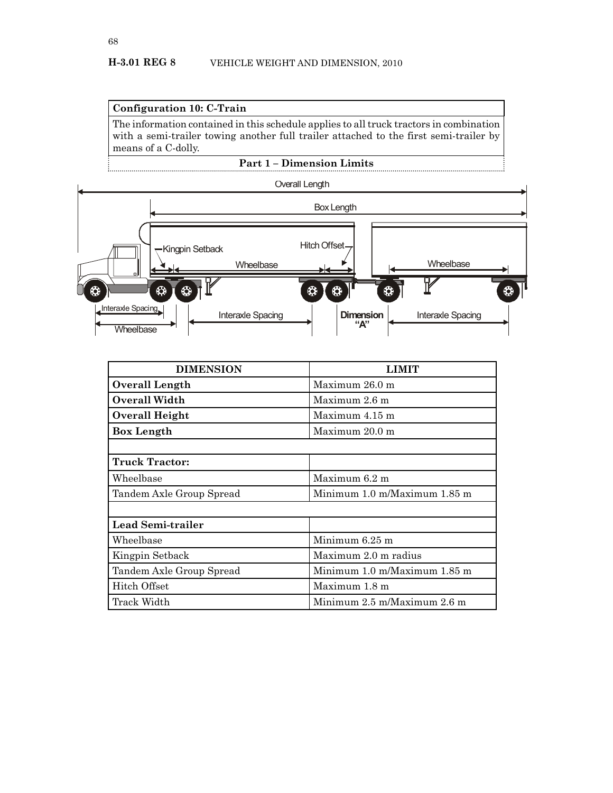#### **Configuration 10: C-Train**

The information contained in this schedule applies to all truck tractors in combination with a semi-trailer towing another full trailer attached to the first semi-trailer by means of a C-dolly.





| <b>DIMENSION</b>         | <b>LIMIT</b>                 |
|--------------------------|------------------------------|
| Overall Length           | Maximum 26.0 m               |
| Overall Width            | Maximum 2.6 m                |
| Overall Height           | Maximum $4.15$ m             |
| <b>Box Length</b>        | Maximum 20.0 m               |
|                          |                              |
| <b>Truck Tractor:</b>    |                              |
| Wheelbase                | Maximum $6.2$ m              |
| Tandem Axle Group Spread | Minimum 1.0 m/Maximum 1.85 m |
|                          |                              |
| <b>Lead Semi-trailer</b> |                              |
| Wheelbase                | Minimum 6.25 m               |
| Kingpin Setback          | Maximum 2.0 m radius         |
| Tandem Axle Group Spread | Minimum 1.0 m/Maximum 1.85 m |
| Hitch Offset             | Maximum 1.8 m                |
| Track Width              | Minimum 2.5 m/Maximum 2.6 m  |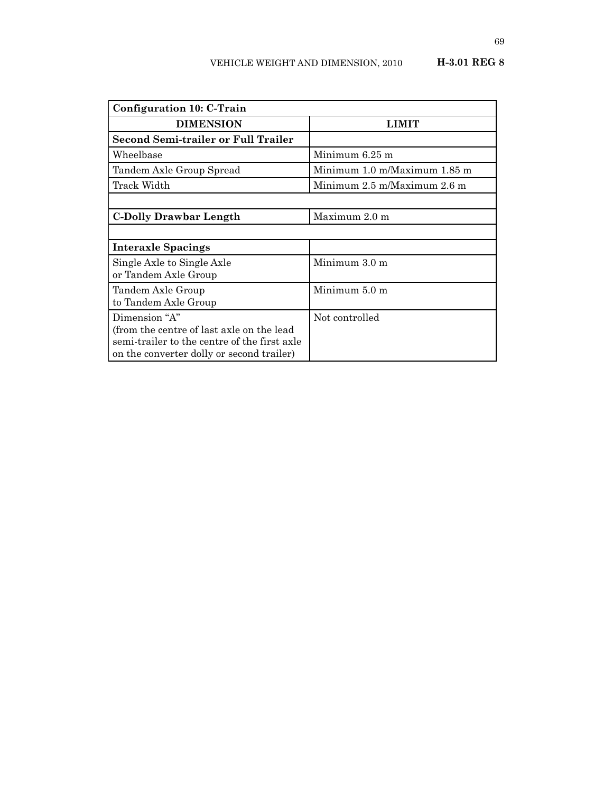| Configuration 10: C-Train                    |                              |
|----------------------------------------------|------------------------------|
| <b>DIMENSION</b>                             | LIMIT                        |
| <b>Second Semi-trailer or Full Trailer</b>   |                              |
| Wheelbase                                    | Minimum $6.25$ m             |
| Tandem Axle Group Spread                     | Minimum 1.0 m/Maximum 1.85 m |
| Track Width                                  | Minimum 2.5 m/Maximum 2.6 m  |
|                                              |                              |
| <b>C-Dolly Drawbar Length</b>                | Maximum 2.0 m                |
|                                              |                              |
| <b>Interaxle Spacings</b>                    |                              |
| Single Axle to Single Axle                   | Minimum 3.0 m                |
| or Tandem Axle Group                         |                              |
| Tandem Axle Group                            | Minimum 5.0 m                |
| to Tandem Axle Group                         |                              |
| Dimension "A"                                | Not controlled               |
| (from the centre of last axle on the lead    |                              |
| semi-trailer to the centre of the first axle |                              |
| on the converter dolly or second trailer)    |                              |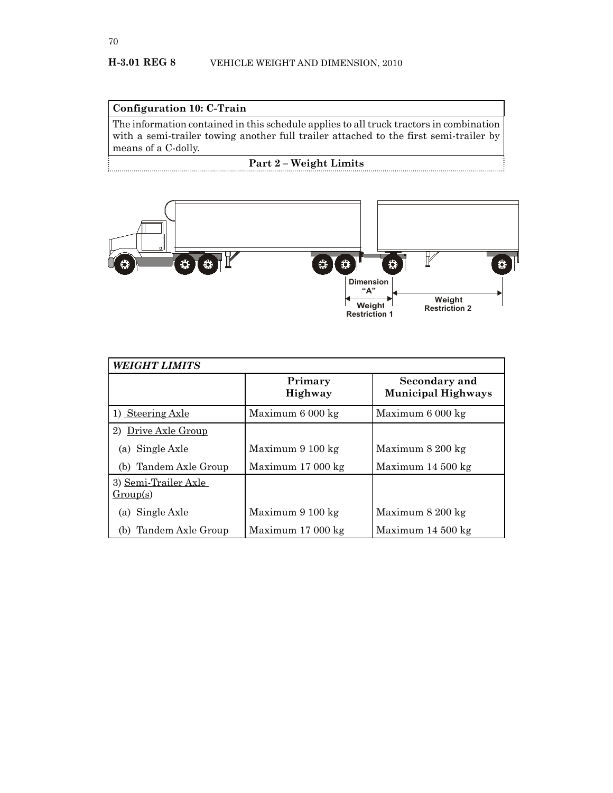## **Configuration 10: C-Train**

The information contained in this schedule applies to all truck tractors in combination with a semi-trailer towing another full trailer attached to the first semi-trailer by means of a C-dolly.

## **Part 2 – Weight Limits**



| <b>WEIGHT LIMITS</b>             |                    |                                            |  |  |
|----------------------------------|--------------------|--------------------------------------------|--|--|
|                                  | Primary<br>Highway | Secondary and<br><b>Municipal Highways</b> |  |  |
| 1) Steering Axle                 | Maximum 6 000 kg   | Maximum 6 000 kg                           |  |  |
| Drive Axle Group<br>2)           |                    |                                            |  |  |
| (a) Single Axle                  | Maximum 9 100 kg   | Maximum 8 200 kg                           |  |  |
| (b) Tandem Axle Group            | Maximum 17 000 kg  | Maximum $14\,500\,\mathrm{kg}$             |  |  |
| 3) Semi-Trailer Axle<br>Group(s) |                    |                                            |  |  |
| (a) Single Axle                  | Maximum 9 100 kg   | Maximum 8 200 kg                           |  |  |
| Tandem Axle Group<br>(b)         | Maximum 17 000 kg  | Maximum $14\,500\,\mathrm{kg}$             |  |  |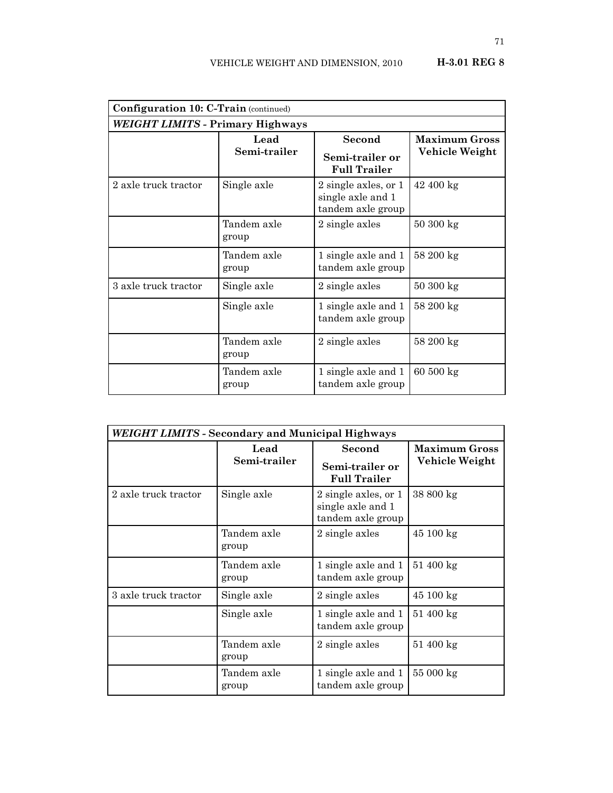| <b>Configuration 10: C-Train (continued)</b> |                      |                                                                |                                        |  |
|----------------------------------------------|----------------------|----------------------------------------------------------------|----------------------------------------|--|
| WEIGHT LIMITS - Primary Highways             |                      |                                                                |                                        |  |
|                                              | Lead<br>Semi-trailer | <b>Second</b><br>Semi-trailer or<br><b>Full Trailer</b>        | <b>Maximum Gross</b><br>Vehicle Weight |  |
| 2 axle truck tractor                         | Single axle          | 2 single axles, or 1<br>single axle and 1<br>tandem axle group | $42400 \text{ kg}$                     |  |
|                                              | Tandem axle<br>group | 2 single axles                                                 | $50300 \text{ kg}$                     |  |
|                                              | Tandem axle<br>group | 1 single axle and 1<br>tandem axle group                       | 58 200 kg                              |  |
| 3 axle truck tractor                         | Single axle          | 2 single axles                                                 | $50300 \text{ kg}$                     |  |
|                                              | Single axle          | 1 single axle and 1<br>tandem axle group                       | 58 200 kg                              |  |
|                                              | Tandem axle<br>group | 2 single axles                                                 | 58 200 kg                              |  |
|                                              | Tandem axle<br>group | 1 single axle and 1<br>tandem axle group                       | $60500 \text{ kg}$                     |  |

| <b>WEIGHT LIMITS - Secondary and Municipal Highways</b> |                      |                                                                |                                        |  |
|---------------------------------------------------------|----------------------|----------------------------------------------------------------|----------------------------------------|--|
|                                                         | Lead<br>Semi-trailer | Second<br>Semi-trailer or<br><b>Full Trailer</b>               | <b>Maximum Gross</b><br>Vehicle Weight |  |
| 2 axle truck tractor                                    | Single axle          | 2 single axles, or 1<br>single axle and 1<br>tandem axle group | 38 800 kg                              |  |
|                                                         | Tandem axle<br>group | 2 single axles                                                 | 45 100 kg                              |  |
|                                                         | Tandem axle<br>group | 1 single axle and 1<br>tandem axle group                       | $51\ 400 \text{ kg}$                   |  |
| 3 axle truck tractor                                    | Single axle          | 2 single axles                                                 | $45100 \text{ kg}$                     |  |
|                                                         | Single axle          | 1 single axle and 1<br>tandem axle group                       | $51\ 400\ kg$                          |  |
|                                                         | Tandem axle<br>group | 2 single axles                                                 | $51\ 400 \text{ kg}$                   |  |
|                                                         | Tandem axle<br>group | 1 single axle and 1<br>tandem axle group                       | $55000 \text{ kg}$                     |  |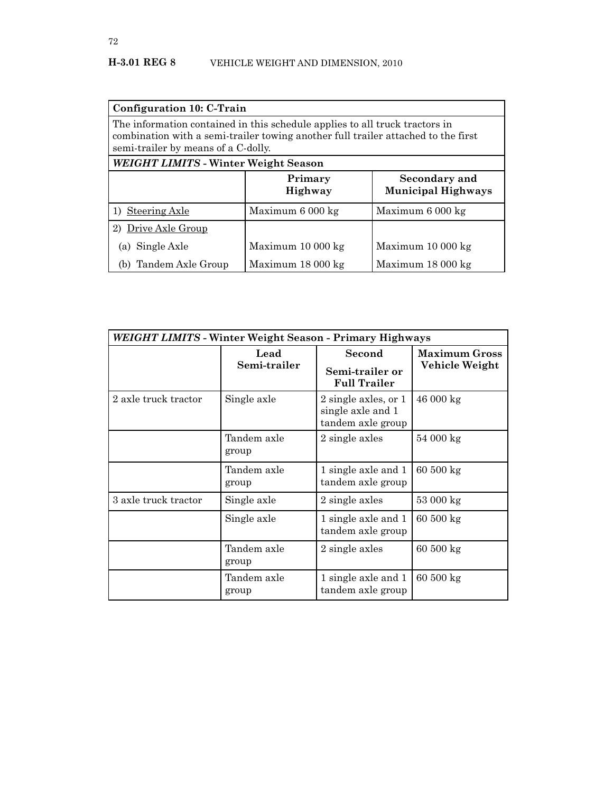| Configuration 10: C-Train                                                                                                                                                                               |                           |                                            |  |
|---------------------------------------------------------------------------------------------------------------------------------------------------------------------------------------------------------|---------------------------|--------------------------------------------|--|
| The information contained in this schedule applies to all truck tractors in<br>combination with a semi-trailer towing another full trailer attached to the first<br>semi-trailer by means of a C-dolly. |                           |                                            |  |
| <b>WEIGHT LIMITS - Winter Weight Season</b>                                                                                                                                                             |                           |                                            |  |
|                                                                                                                                                                                                         | Primary<br><b>Highway</b> | Secondary and<br><b>Municipal Highways</b> |  |
| 1) Steering Axle                                                                                                                                                                                        | Maximum 6 000 kg          | Maximum 6 000 kg                           |  |
| Drive Axle Group<br>2)                                                                                                                                                                                  |                           |                                            |  |
| (a) Single Axle                                                                                                                                                                                         | Maximum 10 000 kg         | Maximum 10 000 kg                          |  |
| Tandem Axle Group<br>(b)                                                                                                                                                                                | Maximum 18 000 kg         | Maximum 18 000 kg                          |  |

| WEIGHT LIMITS - Winter Weight Season - Primary Highways |                      |                                                                |                                        |
|---------------------------------------------------------|----------------------|----------------------------------------------------------------|----------------------------------------|
|                                                         | Lead<br>Semi-trailer | Second<br>Semi-trailer or<br><b>Full Trailer</b>               | <b>Maximum Gross</b><br>Vehicle Weight |
| 2 axle truck tractor                                    | Single axle          | 2 single axles, or 1<br>single axle and 1<br>tandem axle group | $46000 \text{ kg}$                     |
|                                                         | Tandem axle<br>group | 2 single axles                                                 | $54000 \text{ kg}$                     |
|                                                         | Tandem axle<br>group | 1 single axle and 1<br>tandem axle group                       | $60500 \text{ kg}$                     |
| 3 axle truck tractor                                    | Single axle          | 2 single axles                                                 | $53000 \text{ kg}$                     |
|                                                         | Single axle          | 1 single axle and 1<br>tandem axle group                       | $60500 \text{ kg}$                     |
|                                                         | Tandem axle<br>group | 2 single axles                                                 | 60500 kg                               |
|                                                         | Tandem axle<br>group | 1 single axle and 1<br>tandem axle group                       | $60500 \text{ kg}$                     |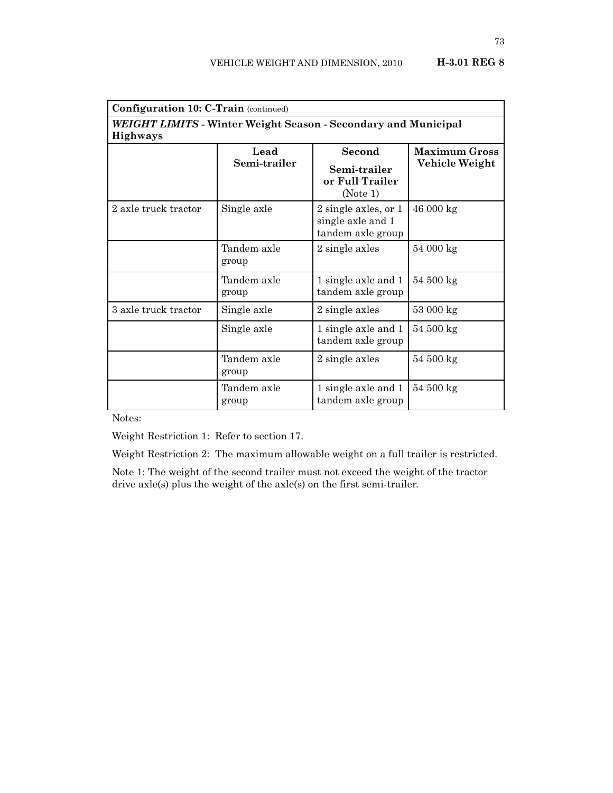| H-3.01 REG 8 |  |
|--------------|--|
|--------------|--|

| <b>Configuration 10: C-Train (continued)</b> |                                                                |                                                                |                                        |  |
|----------------------------------------------|----------------------------------------------------------------|----------------------------------------------------------------|----------------------------------------|--|
| <b>Highways</b>                              | WEIGHT LIMITS - Winter Weight Season - Secondary and Municipal |                                                                |                                        |  |
|                                              | Lead<br>Semi-trailer                                           | Second<br>Semi-trailer<br>or Full Trailer<br>(Note 1)          | <b>Maximum Gross</b><br>Vehicle Weight |  |
| 2 axle truck tractor                         | Single axle                                                    | 2 single axles, or 1<br>single axle and 1<br>tandem axle group | 46 000 kg                              |  |
|                                              | Tandem axle<br>group                                           | 2 single axles                                                 | $54000 \text{ kg}$                     |  |
|                                              | Tandem axle<br>group                                           | 1 single axle and 1<br>tandem axle group                       | $54500 \text{ kg}$                     |  |
| 3 axle truck tractor                         | Single axle                                                    | 2 single axles                                                 | $53000 \text{ kg}$                     |  |
|                                              | Single axle                                                    | 1 single axle and 1<br>tandem axle group                       | 54 500 kg                              |  |
|                                              | Tandem axle<br>group                                           | 2 single axles                                                 | $54500 \text{ kg}$                     |  |
|                                              | Tandem axle<br>group                                           | 1 single axle and 1<br>tandem axle group                       | $54500 \text{ kg}$                     |  |

Notes:

Weight Restriction 1: Refer to section 17.

Weight Restriction 2: The maximum allowable weight on a full trailer is restricted.

Note 1: The weight of the second trailer must not exceed the weight of the tractor drive axle(s) plus the weight of the axle(s) on the first semi-trailer.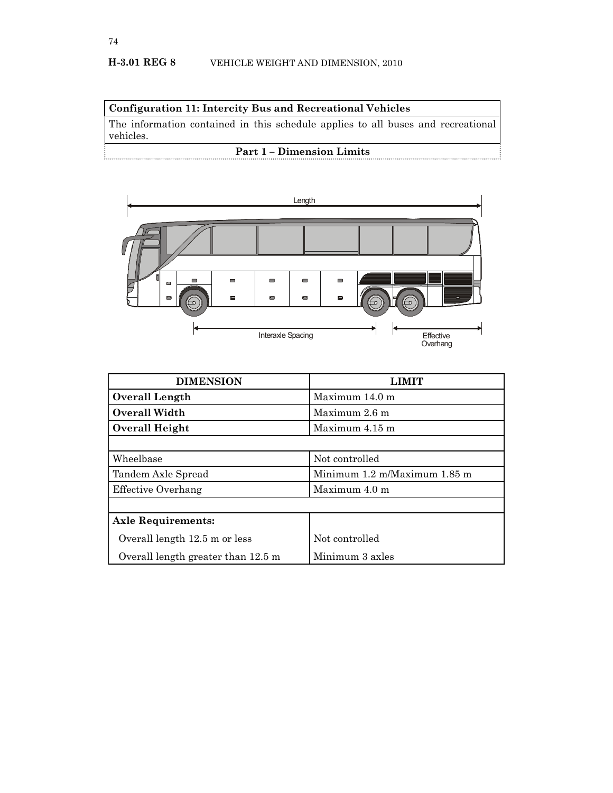# **Configuration 11: Intercity Bus and Recreational Vehicles**

The information contained in this schedule applies to all buses and recreational vehicles.

# **Part 1 – Dimension Limits**



| <b>DIMENSION</b>                   |                              |  |
|------------------------------------|------------------------------|--|
| <b>Overall Length</b>              | Maximum $14.0m$              |  |
| Overall Width                      | Maximum $2.6$ m              |  |
| Overall Height                     | Maximum $4.15$ m             |  |
|                                    |                              |  |
| Wheelbase                          | Not controlled               |  |
| Tandem Axle Spread                 | Minimum 1.2 m/Maximum 1.85 m |  |
| Effective Overhang                 | Maximum 4.0 m                |  |
|                                    |                              |  |
| <b>Axle Requirements:</b>          |                              |  |
| Overall length 12.5 m or less      | Not controlled               |  |
| Overall length greater than 12.5 m | Minimum 3 axles              |  |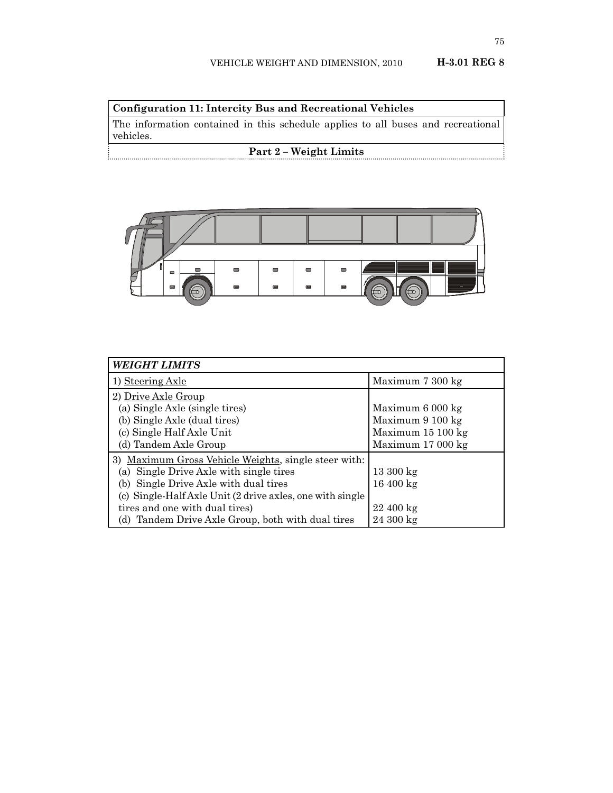**Configuration 11: Intercity Bus and Recreational Vehicles**

The information contained in this schedule applies to all buses and recreational vehicles.

# **Part 2 – Weight Limits**



| <b>WEIGHT LIMITS</b>                                      |                      |
|-----------------------------------------------------------|----------------------|
| 1) Steering Axle                                          | Maximum 7 300 kg     |
| 2) Drive Axle Group                                       |                      |
| (a) Single Axle (single tires)                            | Maximum 6 000 kg     |
| (b) Single Axle (dual tires)                              | Maximum 9 100 kg     |
| (c) Single Half Axle Unit                                 | Maximum 15 100 kg    |
| (d) Tandem Axle Group                                     | Maximum 17 000 kg    |
| 3) Maximum Gross Vehicle Weights, single steer with:      |                      |
| (a) Single Drive Axle with single tires                   | $13300 \text{ kg}$   |
| (b) Single Drive Axle with dual tires                     | $16400 \text{ kg}$   |
| (c) Single-Half Axle Unit (2 drive axles, one with single |                      |
| tires and one with dual tires)                            | $22\ 400 \text{ kg}$ |
| (d) Tandem Drive Axle Group, both with dual tires         | $24300 \text{ kg}$   |

. . .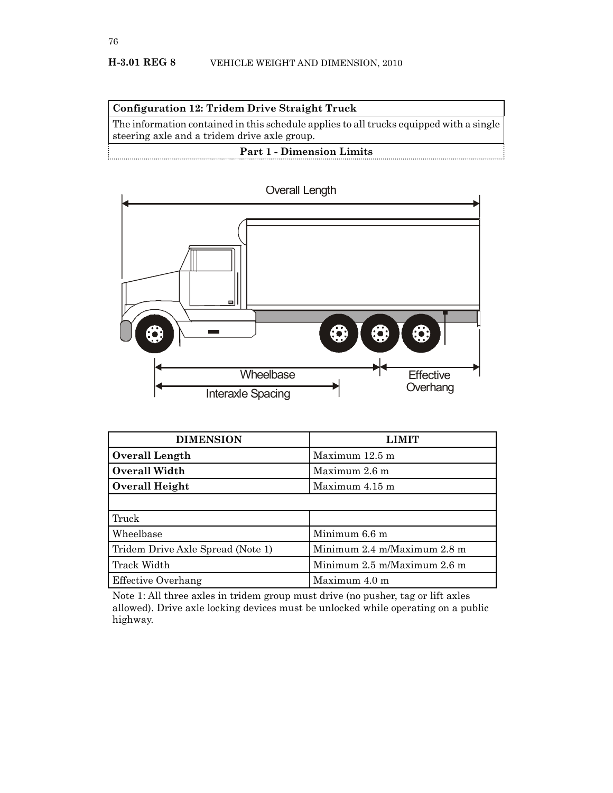



| <b>DIMENSION</b>                  | <b>LIMIT</b>                |
|-----------------------------------|-----------------------------|
| <b>Overall Length</b>             | Maximum 12.5 m              |
| <b>Overall Width</b>              | Maximum 2.6 m               |
| <b>Overall Height</b>             | Maximum 4.15 m              |
|                                   |                             |
| Truck                             |                             |
| Wheelbase                         | Minimum 6.6 m               |
| Tridem Drive Axle Spread (Note 1) | Minimum 2.4 m/Maximum 2.8 m |
| Track Width                       | Minimum 2.5 m/Maximum 2.6 m |
| Effective Overhang                | Maximum 4.0 m               |

Note 1: All three axles in tridem group must drive (no pusher, tag or lift axles allowed). Drive axle locking devices must be unlocked while operating on a public highway.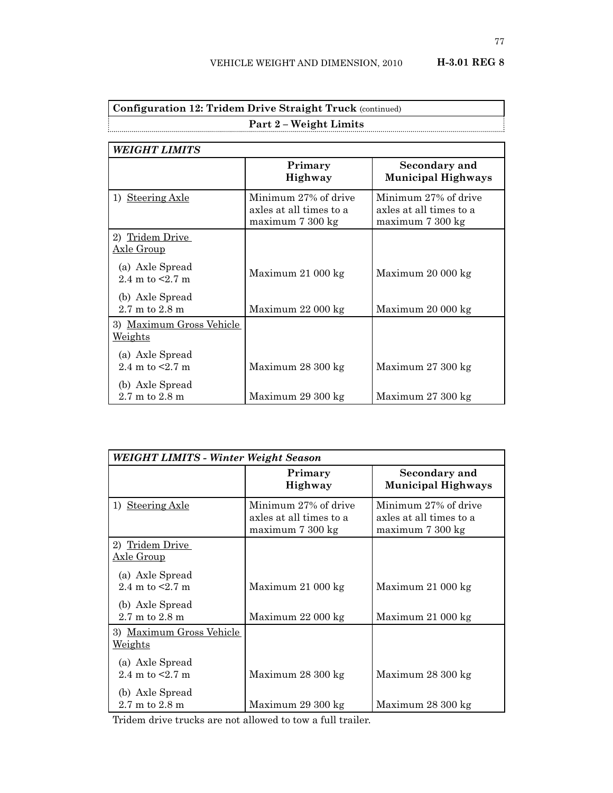Maximum 27 300 kg

| <b>Configuration 12: Tridem Drive Straight Truck (continued)</b> |                                                                     |                                                                     |  |
|------------------------------------------------------------------|---------------------------------------------------------------------|---------------------------------------------------------------------|--|
| <b>Part 2 – Weight Limits</b><br><b>WEIGHT LIMITS</b>            |                                                                     |                                                                     |  |
|                                                                  |                                                                     |                                                                     |  |
| 1) Steering Axle                                                 | Minimum 27% of drive<br>axles at all times to a<br>maximum 7 300 kg | Minimum 27% of drive<br>axles at all times to a<br>maximum 7 300 kg |  |
| 2) Tridem Drive<br><u> Axle Group</u>                            |                                                                     |                                                                     |  |
| (a) Axle Spread<br>2.4 m to $\leq$ 2.7 m                         | Maximum 21 000 kg                                                   | Maximum 20 000 kg                                                   |  |
| (b) Axle Spread<br>$2.7 \text{ m}$ to $2.8 \text{ m}$            | Maximum 22 000 kg                                                   | Maximum 20 000 kg                                                   |  |
| 3) Maximum Gross Vehicle<br>Weights                              |                                                                     |                                                                     |  |
| (a) Axle Spread<br>2.4 m to $\leq$ 2.7 m                         | Maximum 28 300 kg                                                   | Maximum 27 300 kg                                                   |  |

Maximum 29 300 kg

| WEIGHT LIMITS - Winter Weight Season                  |                                                                     |                                                                     |
|-------------------------------------------------------|---------------------------------------------------------------------|---------------------------------------------------------------------|
|                                                       | Primary<br>Highway                                                  | Secondary and<br>Municipal Highways                                 |
| 1) Steering Axle                                      | Minimum 27% of drive<br>axles at all times to a<br>maximum 7 300 kg | Minimum 27% of drive<br>axles at all times to a<br>maximum 7 300 kg |
| 2) Tridem Drive<br><u>Axle Group</u>                  |                                                                     |                                                                     |
| (a) Axle Spread<br>2.4 m to $\leq$ 2.7 m              | Maximum 21 000 kg                                                   | Maximum 21 000 kg                                                   |
| (b) Axle Spread<br>$2.7 \text{ m}$ to $2.8 \text{ m}$ | Maximum 22 000 kg                                                   | Maximum 21 000 kg                                                   |
| 3) Maximum Gross Vehicle<br>Weights                   |                                                                     |                                                                     |
| (a) Axle Spread<br>2.4 m to $\leq$ 2.7 m              | Maximum 28 300 kg                                                   | Maximum 28 300 kg                                                   |
| (b) Axle Spread<br>$2.7 \text{ m}$ to $2.8 \text{ m}$ | Maximum 29 300 kg                                                   | Maximum 28 300 kg                                                   |

Tridem drive trucks are not allowed to tow a full trailer.

(b) Axle Spread 2.7 m to 2.8 m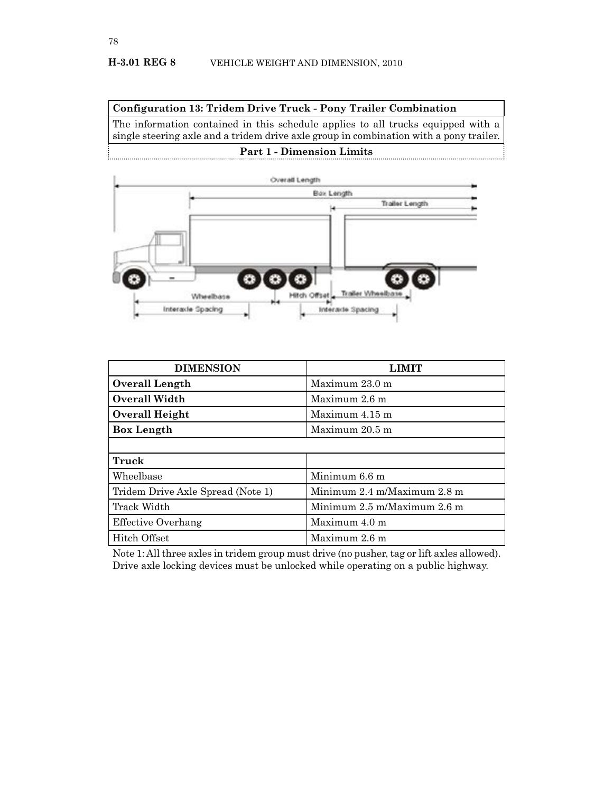**Configuration 13: Tridem Drive Truck - Pony Trailer Combination**

The information contained in this schedule applies to all trucks equipped with a single steering axle and a tridem drive axle group in combination with a pony trailer. **Part 1 - Dimension Limits**



| <b>DIMENSION</b>                  | LIMIT                       |
|-----------------------------------|-----------------------------|
| <b>Overall Length</b>             | Maximum 23.0 m              |
| <b>Overall Width</b>              | Maximum 2.6 m               |
| Overall Height                    | Maximum 4.15 m              |
| <b>Box Length</b>                 | Maximum 20.5 m              |
|                                   |                             |
| Truck                             |                             |
| Wheelbase                         | Minimum 6.6 m               |
| Tridem Drive Axle Spread (Note 1) | Minimum 2.4 m/Maximum 2.8 m |
| Track Width                       | Minimum 2.5 m/Maximum 2.6 m |
| Effective Overhang                | Maximum 4.0 m               |
| Hitch Offset                      | Maximum 2.6 m               |

Note 1: All three axles in tridem group must drive (no pusher, tag or lift axles allowed). Drive axle locking devices must be unlocked while operating on a public highway.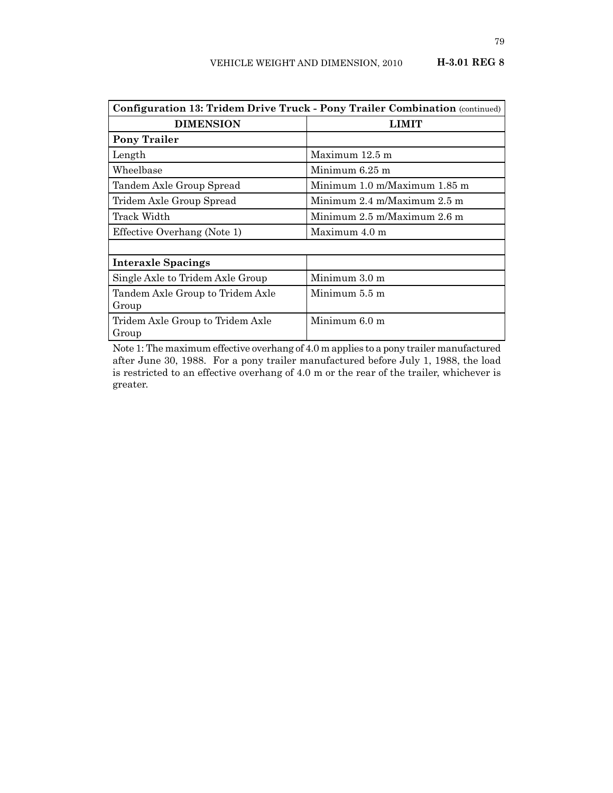| <b>Configuration 13: Tridem Drive Truck - Pony Trailer Combination (continued)</b> |                                                 |  |
|------------------------------------------------------------------------------------|-------------------------------------------------|--|
| <b>DIMENSION</b>                                                                   | <b>LIMIT</b>                                    |  |
| <b>Pony Trailer</b>                                                                |                                                 |  |
| Length                                                                             | Maximum 12.5 m                                  |  |
| Wheelbase                                                                          | Minimum 6.25 m                                  |  |
| Tandem Axle Group Spread                                                           | Minimum 1.0 m/Maximum 1.85 m                    |  |
| Tridem Axle Group Spread                                                           | Minimum $2.4 \text{ m/Maximum} 2.5 \text{ m}$   |  |
| Track Width                                                                        | Minimum $2.5 \text{ m}$ Maximum $2.6 \text{ m}$ |  |
| Effective Overhang (Note 1)                                                        | Maximum 4.0 m                                   |  |
|                                                                                    |                                                 |  |
| <b>Interaxle Spacings</b>                                                          |                                                 |  |
| Single Axle to Tridem Axle Group                                                   | Minimum $3.0 \text{ m}$                         |  |
| Tandem Axle Group to Tridem Axle                                                   | Minimum 5.5 m                                   |  |
| Group                                                                              |                                                 |  |
| Tridem Axle Group to Tridem Axle                                                   | Minimum 6.0 m                                   |  |
| Group                                                                              |                                                 |  |

Note 1: The maximum effective overhang of 4.0 m applies to a pony trailer manufactured after June 30, 1988. For a pony trailer manufactured before July 1, 1988, the load is restricted to an effective overhang of 4.0 m or the rear of the trailer, whichever is greater.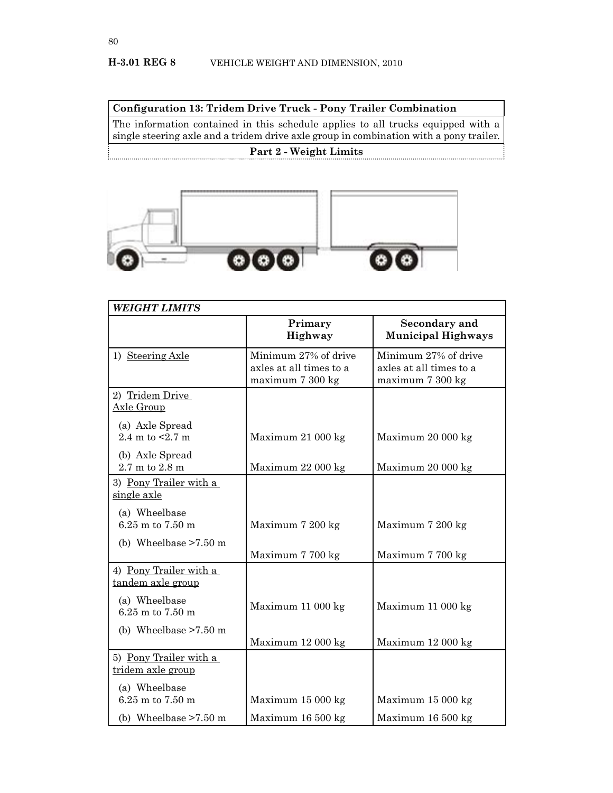**Configuration 13: Tridem Drive Truck - Pony Trailer Combination**

The information contained in this schedule applies to all trucks equipped with a single steering axle and a tridem drive axle group in combination with a pony trailer. **Part 2 - Weight Limits**



| <b>WEIGHT LIMITS</b>                        |                                                                     |                                                                     |  |
|---------------------------------------------|---------------------------------------------------------------------|---------------------------------------------------------------------|--|
|                                             | Primary<br>Highway                                                  | <b>Secondary and</b><br><b>Municipal Highways</b>                   |  |
| 1) Steering Axle                            | Minimum 27% of drive<br>axles at all times to a<br>maximum 7 300 kg | Minimum 27% of drive<br>axles at all times to a<br>maximum 7 300 kg |  |
| 2) Tridem Drive<br>Axle Group               |                                                                     |                                                                     |  |
| (a) Axle Spread<br>2.4 m to $< 2.7$ m       | Maximum 21 000 kg                                                   | Maximum 20 000 kg                                                   |  |
| (b) Axle Spread<br>2.7 m to 2.8 m           | Maximum 22 000 kg                                                   | Maximum 20 000 kg                                                   |  |
| 3) Pony Trailer with a<br>single axle       |                                                                     |                                                                     |  |
| (a) Wheelbase<br>6.25 m to 7.50 m           | Maximum 7 200 kg                                                    | Maximum 7 200 kg                                                    |  |
| (b) Wheelbase $>7.50$ m                     | Maximum 7 700 kg                                                    | Maximum 7 700 kg                                                    |  |
| 4) Pony Trailer with a<br>tandem axle group |                                                                     |                                                                     |  |
| (a) Wheelbase<br>$6.25$ m to $7.50$ m       | Maximum 11 000 kg                                                   | Maximum 11 000 kg                                                   |  |
| (b) Wheelbase $>7.50$ m                     | Maximum 12 000 kg                                                   | Maximum 12 000 kg                                                   |  |
| 5) Pony Trailer with a<br>tridem axle group |                                                                     |                                                                     |  |
| (a) Wheelbase<br>$6.25$ m to $7.50$ m       | Maximum 15 000 kg                                                   | Maximum 15 000 kg                                                   |  |
| (b) Wheelbase $>7.50$ m                     | Maximum 16 500 kg                                                   | Maximum 16 500 kg                                                   |  |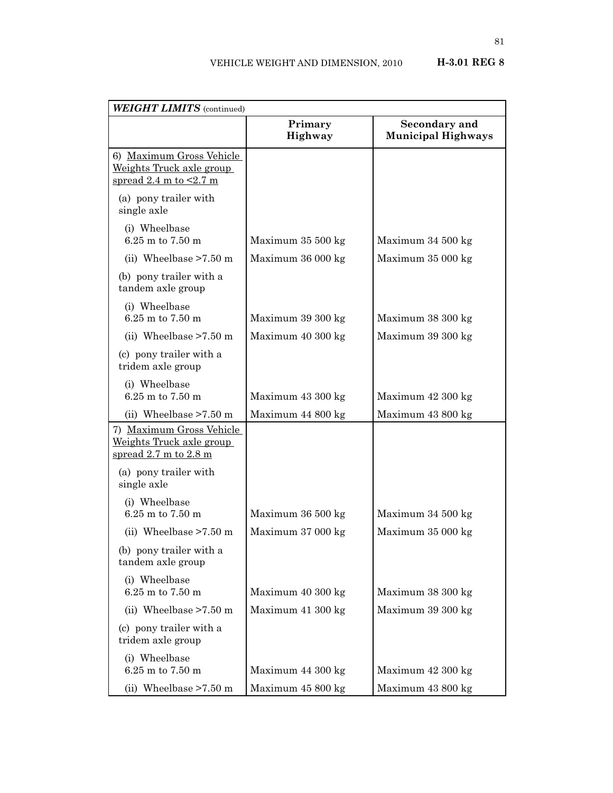| <b>WEIGHT LIMITS</b> (continued)                                                                       |                    |                                            |  |
|--------------------------------------------------------------------------------------------------------|--------------------|--------------------------------------------|--|
|                                                                                                        | Primary<br>Highway | Secondary and<br><b>Municipal Highways</b> |  |
| 6) Maximum Gross Vehicle<br>Weights Truck axle group<br>spread $2.4 \text{ m}$ to $\leq 2.7 \text{ m}$ |                    |                                            |  |
| (a) pony trailer with<br>single axle                                                                   |                    |                                            |  |
| (i) Wheelbase<br>6.25 m to 7.50 m                                                                      | Maximum 35 500 kg  | Maximum 34 500 kg                          |  |
| (ii) Wheelbase $>7.50$ m                                                                               | Maximum 36 000 kg  | Maximum 35 000 kg                          |  |
| (b) pony trailer with a<br>tandem axle group                                                           |                    |                                            |  |
| (i) Wheelbase<br>6.25 m to 7.50 m                                                                      | Maximum 39 300 kg  | Maximum 38 300 kg                          |  |
| (ii) Wheelbase $>7.50$ m                                                                               | Maximum 40 300 kg  | Maximum 39 300 kg                          |  |
| (c) pony trailer with a<br>tridem axle group                                                           |                    |                                            |  |
| (i) Wheelbase<br>6.25 m to 7.50 m                                                                      | Maximum 43 300 kg  | Maximum 42 300 kg                          |  |
| (ii) Wheelbase $>7.50$ m                                                                               | Maximum 44 800 kg  | Maximum 43 800 kg                          |  |
| 7) Maximum Gross Vehicle<br>Weights Truck axle group<br>spread $2.7$ m to $2.8$ m                      |                    |                                            |  |
| (a) pony trailer with<br>single axle                                                                   |                    |                                            |  |
| (i) Wheelbase<br>6.25 m to 7.50 m                                                                      | Maximum 36 500 kg  | Maximum 34 500 kg                          |  |
| (ii) Wheelbase $>7.50$ m                                                                               | Maximum 37 000 kg  | Maximum 35 000 kg                          |  |
| (b) pony trailer with a<br>tandem axle group                                                           |                    |                                            |  |
| (i) Wheelbase<br>6.25 m to 7.50 m                                                                      | Maximum 40 300 kg  | Maximum 38 300 kg                          |  |
| (ii) Wheelbase $>7.50$ m                                                                               | Maximum 41 300 kg  | Maximum 39 300 kg                          |  |
| (c) pony trailer with a<br>tridem axle group                                                           |                    |                                            |  |
| (i) Wheelbase<br>6.25 m to 7.50 m                                                                      | Maximum 44 300 kg  | Maximum 42 300 kg                          |  |
| (ii) Wheelbase $>7.50$ m                                                                               | Maximum 45 800 kg  | Maximum 43 800 kg                          |  |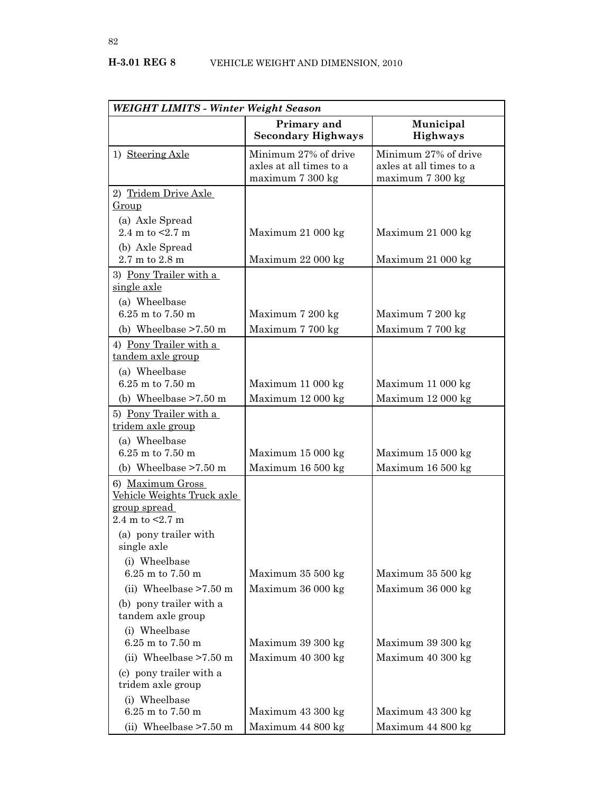| <b>WEIGHT LIMITS - Winter Weight Season</b>                                          |                                                                     |                                                                     |
|--------------------------------------------------------------------------------------|---------------------------------------------------------------------|---------------------------------------------------------------------|
|                                                                                      | Primary and<br><b>Secondary Highways</b>                            | Municipal<br><b>Highways</b>                                        |
| 1) Steering Axle                                                                     | Minimum 27% of drive<br>axles at all times to a<br>maximum 7 300 kg | Minimum 27% of drive<br>axles at all times to a<br>maximum 7 300 kg |
| 2) Tridem Drive Axle                                                                 |                                                                     |                                                                     |
| Group                                                                                |                                                                     |                                                                     |
| (a) Axle Spread<br>2.4 m to $< 2.7$ m                                                | Maximum 21 000 kg                                                   | Maximum 21 000 kg                                                   |
| (b) Axle Spread<br>2.7 m to 2.8 m                                                    | Maximum 22 000 kg                                                   | Maximum 21 000 kg                                                   |
| 3) Pony Trailer with a<br>single axle                                                |                                                                     |                                                                     |
| (a) Wheelbase<br>6.25 m to 7.50 m                                                    | Maximum 7 200 kg                                                    | Maximum 7 200 kg                                                    |
| (b) Wheelbase $>7.50$ m                                                              | Maximum 7 700 kg                                                    | Maximum 7 700 kg                                                    |
| 4) Pony Trailer with a<br>tandem axle group                                          |                                                                     |                                                                     |
| (a) Wheelbase<br>6.25 m to 7.50 m                                                    | Maximum 11 000 kg                                                   | Maximum 11 000 kg                                                   |
| (b) Wheelbase $>7.50$ m                                                              | Maximum 12 000 kg                                                   | Maximum 12 000 kg                                                   |
| 5) Pony Trailer with a<br>tridem axle group                                          |                                                                     |                                                                     |
| (a) Wheelbase<br>6.25 m to 7.50 m                                                    | Maximum 15 000 kg                                                   | Maximum 15 000 kg                                                   |
| (b) Wheelbase $>7.50$ m                                                              | Maximum 16 500 kg                                                   | Maximum 16 500 kg                                                   |
| 6) Maximum Gross<br>Vehicle Weights Truck axle<br>group spread<br>2.4 m to $< 2.7$ m |                                                                     |                                                                     |
| (a) pony trailer with<br>single axle                                                 |                                                                     |                                                                     |
| (i) Wheelbase<br>6.25 m to 7.50 m                                                    | Maximum 35 500 kg                                                   | Maximum 35 500 kg                                                   |
| (ii) Wheelbase $>7.50$ m                                                             | Maximum 36 000 kg                                                   | Maximum 36 000 kg                                                   |
| (b) pony trailer with a<br>tandem axle group                                         |                                                                     |                                                                     |
| (i) Wheelbase<br>6.25 m to 7.50 m                                                    | Maximum 39 300 kg                                                   | Maximum 39 300 kg                                                   |
| (ii) Wheelbase $>7.50$ m                                                             | Maximum 40 300 kg                                                   | Maximum 40 300 kg                                                   |
| (c) pony trailer with a<br>tridem axle group                                         |                                                                     |                                                                     |
| (i) Wheelbase                                                                        |                                                                     |                                                                     |
| 6.25 m to 7.50 m                                                                     | Maximum 43 300 kg                                                   | Maximum 43 300 kg                                                   |
| (ii) Wheelbase $>7.50$ m                                                             | Maximum 44 800 kg                                                   | Maximum 44 800 kg                                                   |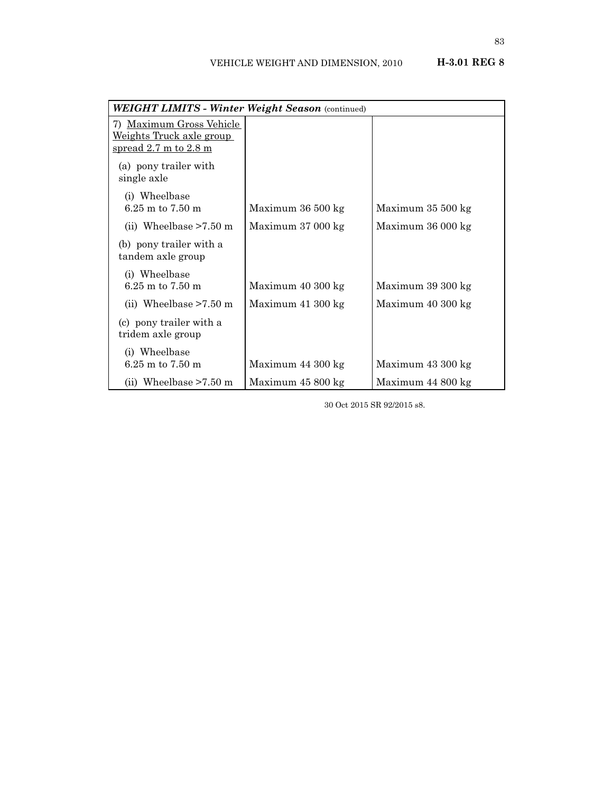| <b>WEIGHT LIMITS - Winter Weight Season</b> (continued)                                                  |                   |                   |  |
|----------------------------------------------------------------------------------------------------------|-------------------|-------------------|--|
| 7) Maximum Gross Vehicle<br><u>Weights Truck axle group</u><br>spread $2.7 \text{ m}$ to $2.8 \text{ m}$ |                   |                   |  |
| (a) pony trailer with<br>single axle                                                                     |                   |                   |  |
| (i) Wheelbase<br>$6.25$ m to $7.50$ m                                                                    | Maximum 36 500 kg | Maximum 35 500 kg |  |
| (ii) Wheelbase $>7.50$ m                                                                                 | Maximum 37 000 kg | Maximum 36 000 kg |  |
| (b) pony trailer with a<br>tandem axle group                                                             |                   |                   |  |
| (i) Wheelbase<br>6.25 m to 7.50 m                                                                        | Maximum 40 300 kg | Maximum 39 300 kg |  |
| (ii) Wheelbase $>7.50$ m                                                                                 | Maximum 41 300 kg | Maximum 40 300 kg |  |
| (c) pony trailer with a<br>tridem axle group                                                             |                   |                   |  |
| (i) Wheelbase<br>$6.25$ m to $7.50$ m                                                                    | Maximum 44 300 kg | Maximum 43 300 kg |  |
| (ii) Wheelbase $>7.50$ m                                                                                 | Maximum 45 800 kg | Maximum 44 800 kg |  |

30 Oct 2015 SR 92/2015 s8.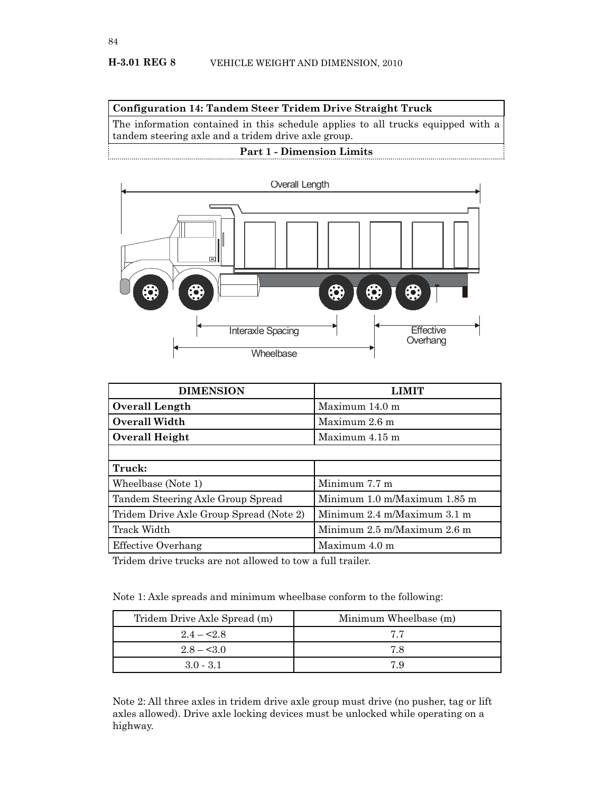**Configuration 14: Tandem Steer Tridem Drive Straight Truck**

The information contained in this schedule applies to all trucks equipped with a tandem steering axle and a tridem drive axle group.

# **Part 1 - Dimension Limits**



| <b>DIMENSION</b>                        | LIMIT                                             |
|-----------------------------------------|---------------------------------------------------|
| <b>Overall Length</b>                   | Maximum 14.0 m                                    |
| <b>Overall Width</b>                    | Maximum 2.6 m                                     |
| Overall Height                          | Maximum 4.15 m                                    |
|                                         |                                                   |
| Truck:                                  |                                                   |
| Wheelbase (Note 1)                      | Minimum 7.7 m                                     |
| Tandem Steering Axle Group Spread       | Minimum $1.0 \text{ m}/M$ aximum $1.85 \text{ m}$ |
| Tridem Drive Axle Group Spread (Note 2) | Minimum $2.4 \text{ m}$ Maximum $3.1 \text{ m}$   |
| Track Width                             | Minimum 2.5 m/Maximum 2.6 m                       |
| <b>Effective Overhang</b>               | Maximum 4.0 m                                     |

Tridem drive trucks are not allowed to tow a full trailer.

Note 1: Axle spreads and minimum wheelbase conform to the following:

| Tridem Drive Axle Spread (m) | Minimum Wheelbase (m) |
|------------------------------|-----------------------|
| $2.4 - 2.8$                  | 77                    |
| $2.8 - 3.0$                  | 78                    |
| $3.0 - 3.1$                  | 79                    |

Note 2: All three axles in tridem drive axle group must drive (no pusher, tag or lift axles allowed). Drive axle locking devices must be unlocked while operating on a highway.

84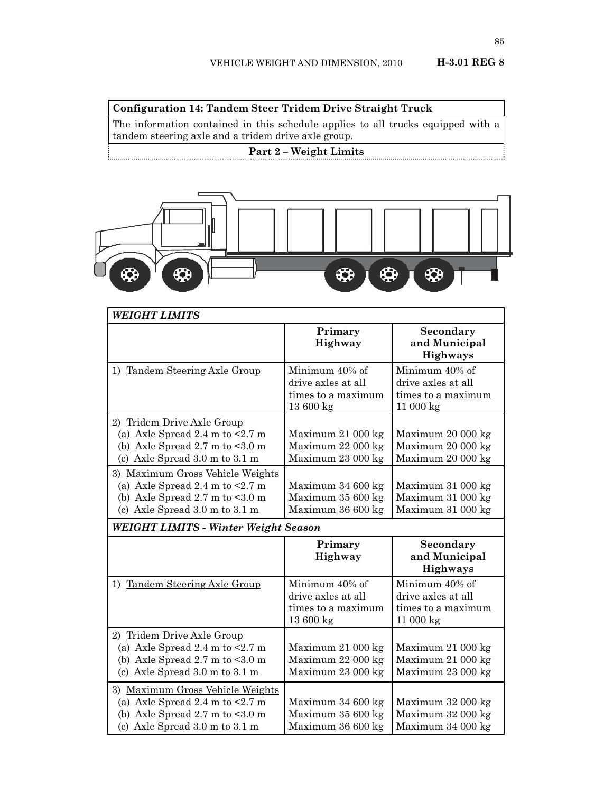85

**Configuration 14: Tandem Steer Tridem Drive Straight Truck**

The information contained in this schedule applies to all trucks equipped with a tandem steering axle and a tridem drive axle group.

# **Part 2 – Weight Limits**



| <b>WEIGHT LIMITS</b>                                                                                                                                                                 |                                                                        |                                                                        |
|--------------------------------------------------------------------------------------------------------------------------------------------------------------------------------------|------------------------------------------------------------------------|------------------------------------------------------------------------|
|                                                                                                                                                                                      | Primary<br>Highway                                                     | <b>Secondary</b><br>and Municipal<br><b>Highways</b>                   |
| 1) Tandem Steering Axle Group                                                                                                                                                        | Minimum 40% of<br>drive axles at all<br>times to a maximum<br>13600 kg | Minimum 40% of<br>drive axles at all<br>times to a maximum<br>11000 kg |
| 2) Tridem Drive Axle Group<br>(a) Axle Spread 2.4 m to $\leq$ 2.7 m<br>(b) Axle Spread $2.7 \text{ m}$ to $\leq 3.0 \text{ m}$<br>(c) Axle Spread $3.0 \text{ m}$ to $3.1 \text{ m}$ | Maximum 21 000 kg<br>Maximum 22 000 kg<br>Maximum 23 000 kg            | Maximum 20 000 kg<br>Maximum 20 000 kg<br>Maximum 20 000 kg            |
| 3) Maximum Gross Vehicle Weights<br>(a) Axle Spread 2.4 m to $\leq$ 2.7 m<br>(b) Axle Spread $2.7$ m to $< 3.0$ m<br>(c) Axle Spread 3.0 m to 3.1 m                                  | Maximum 34 600 kg<br>Maximum 35 600 kg<br>Maximum 36 600 kg            | Maximum 31 000 kg<br>Maximum 31 000 kg<br>Maximum 31 000 kg            |
| <b>WEIGHT LIMITS - Winter Weight Season</b>                                                                                                                                          |                                                                        |                                                                        |
|                                                                                                                                                                                      | Primary<br>Highway                                                     | Secondary<br>and Municipal<br>Highways                                 |
| 1) Tandem Steering Axle Group                                                                                                                                                        | Minimum 40% of<br>drive axles at all<br>times to a maximum<br>13600 kg | Minimum 40% of<br>drive axles at all<br>times to a maximum<br>11000 kg |
| 2) Tridem Drive Axle Group<br>(a) Axle Spread 2.4 m to $\leq$ 2.7 m<br>(b) Axle Spread $2.7 \text{ m}$ to $\leq 3.0 \text{ m}$<br>(c) Axle Spread 3.0 m to 3.1 m                     | Maximum 21 000 kg<br>Maximum 22 000 kg<br>Maximum 23 000 kg            | Maximum 21 000 kg<br>Maximum 21 000 kg<br>Maximum 23 000 kg            |
| 3) Maximum Gross Vehicle Weights<br>(a) Axle Spread 2.4 m to $\leq$ 2.7 m<br>(b) Axle Spread $2.7$ m to $< 3.0$ m                                                                    | Maximum 34 600 kg<br>Maximum 35 600 kg                                 | Maximum 32 000 kg<br>Maximum 32 000 kg                                 |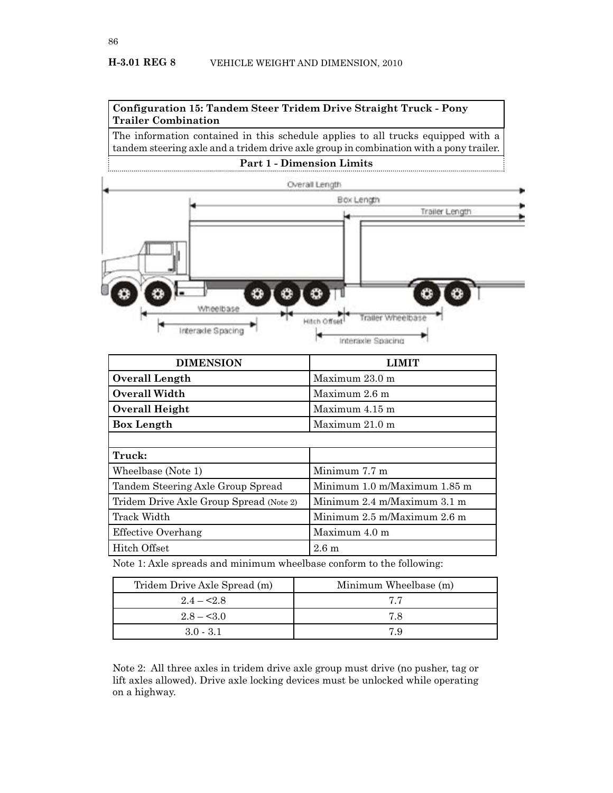

The information contained in this schedule applies to all trucks equipped with a tandem steering axle and a tridem drive axle group in combination with a pony trailer.

### **Part 1 - Dimension Limits**



| <b>DIMENSION</b>                        | і іміт                                          |
|-----------------------------------------|-------------------------------------------------|
| Overall Length                          | Maximum 23.0 m                                  |
| <b>Overall Width</b>                    | Maximum 2.6 m                                   |
| Overall Height                          | Maximum 4.15 m                                  |
| <b>Box Length</b>                       | Maximum $21.0 \text{ m}$                        |
|                                         |                                                 |
| Truck:                                  |                                                 |
| Wheelbase (Note 1)                      | Minimum 7.7 m                                   |
| Tandem Steering Axle Group Spread       | Minimum 1.0 m/Maximum 1.85 m                    |
| Tridem Drive Axle Group Spread (Note 2) | Minimum $2.4 \text{ m}$ Maximum $3.1 \text{ m}$ |
| Track Width                             | Minimum $2.5$ m/Maximum $2.6$ m                 |
| Effective Overhang                      | Maximum 4.0 m                                   |
| Hitch Offset                            | 2.6m                                            |

Note 1: Axle spreads and minimum wheelbase conform to the following:

| Tridem Drive Axle Spread (m) | Minimum Wheelbase (m) |
|------------------------------|-----------------------|
| $2.4 - 2.8$                  | 77                    |
| $2.8 - 5.0$                  | 78                    |
| $3.0 - 3.1$                  | 7 Q                   |

Note 2: All three axles in tridem drive axle group must drive (no pusher, tag or lift axles allowed). Drive axle locking devices must be unlocked while operating on a highway.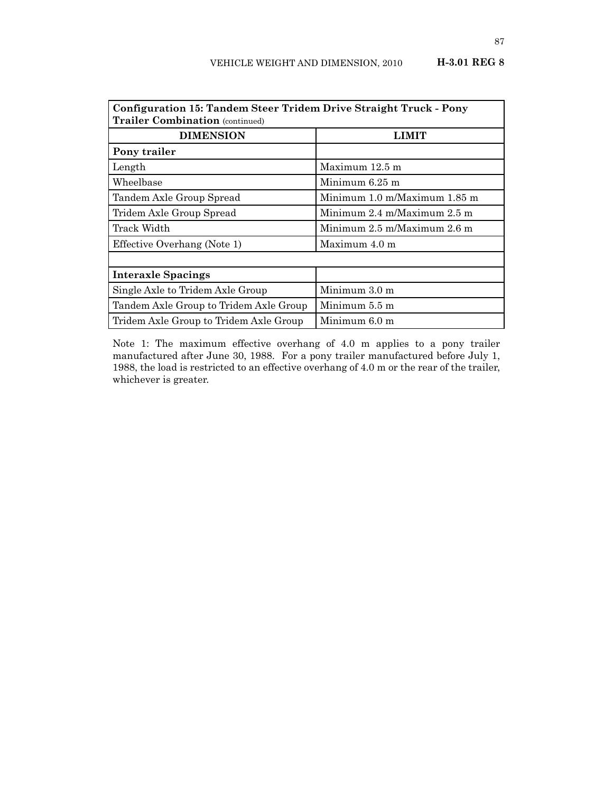| Configuration 15: Tandem Steer Tridem Drive Straight Truck - Pony<br><b>Trailer Combination</b> (continued) |                                                 |  |  |
|-------------------------------------------------------------------------------------------------------------|-------------------------------------------------|--|--|
| <b>DIMENSION</b>                                                                                            | LIMIT                                           |  |  |
| Pony trailer                                                                                                |                                                 |  |  |
| Length                                                                                                      | Maximum 12.5 m                                  |  |  |
| Wheelbase                                                                                                   | Minimum $6.25$ m                                |  |  |
| Tandem Axle Group Spread                                                                                    | Minimum 1.0 m/Maximum 1.85 m                    |  |  |
| Tridem Axle Group Spread                                                                                    | Minimum $2.4 \text{ m}$ Maximum $2.5 \text{ m}$ |  |  |
| Track Width                                                                                                 | Minimum $2.5$ m/Maximum $2.6$ m                 |  |  |
| Effective Overhang (Note 1)                                                                                 | Maximum 4.0 m                                   |  |  |
|                                                                                                             |                                                 |  |  |
| <b>Interaxle Spacings</b>                                                                                   |                                                 |  |  |
| Single Axle to Tridem Axle Group                                                                            | Minimum $3.0 \text{ m}$                         |  |  |
| Tandem Axle Group to Tridem Axle Group                                                                      | Minimum 5.5 m                                   |  |  |
| Tridem Axle Group to Tridem Axle Group                                                                      | Minimum 6.0 m                                   |  |  |

Note 1: The maximum effective overhang of 4.0 m applies to a pony trailer manufactured after June 30, 1988. For a pony trailer manufactured before July 1, 1988, the load is restricted to an effective overhang of 4.0 m or the rear of the trailer, whichever is greater.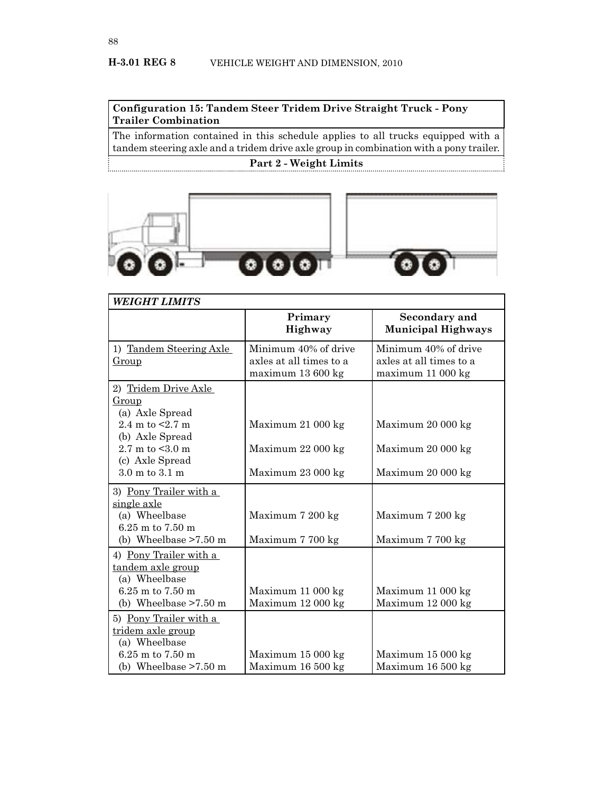## **Configuration 15: Tandem Steer Tridem Drive Straight Truck - Pony Trailer Combination**

The information contained in this schedule applies to all trucks equipped with a tandem steering axle and a tridem drive axle group in combination with a pony trailer.

## **Part 2 - Weight Limits**



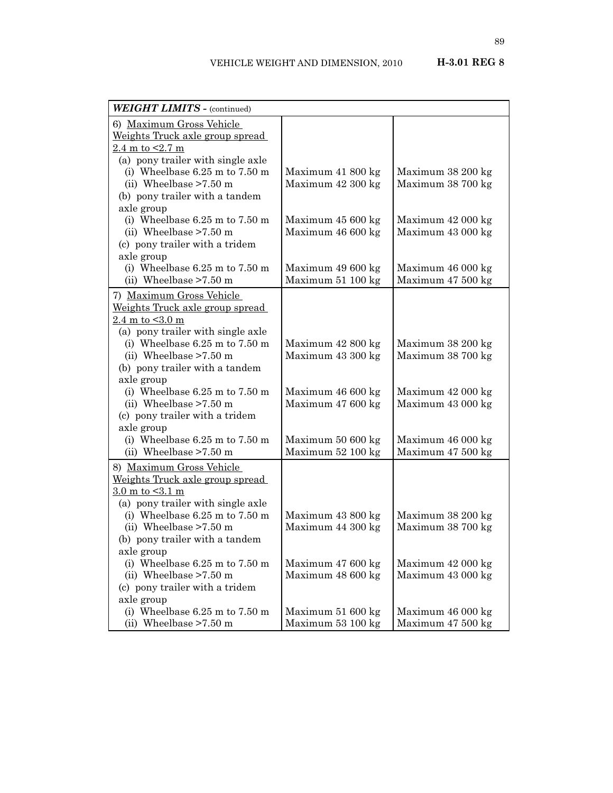| <b>WEIGHT LIMITS - (continued)</b>      |                   |                   |
|-----------------------------------------|-------------------|-------------------|
| 6) Maximum Gross Vehicle                |                   |                   |
| Weights Truck axle group spread         |                   |                   |
| $2.4 \text{ m}$ to $\leq 2.7 \text{ m}$ |                   |                   |
| (a) pony trailer with single axle       |                   |                   |
| (i) Wheelbase $6.25$ m to $7.50$ m      | Maximum 41 800 kg | Maximum 38 200 kg |
| (ii) Wheelbase $>7.50$ m                | Maximum 42 300 kg | Maximum 38 700 kg |
| (b) pony trailer with a tandem          |                   |                   |
| axle group                              |                   |                   |
| (i) Wheelbase $6.25$ m to $7.50$ m      | Maximum 45 600 kg | Maximum 42 000 kg |
| (ii) Wheelbase $>7.50$ m                | Maximum 46 600 kg | Maximum 43 000 kg |
| (c) pony trailer with a tridem          |                   |                   |
| axle group                              |                   |                   |
| (i) Wheelbase $6.25$ m to $7.50$ m      | Maximum 49 600 kg | Maximum 46 000 kg |
| (ii) Wheelbase $>7.50$ m                | Maximum 51 100 kg | Maximum 47 500 kg |
| 7) Maximum Gross Vehicle                |                   |                   |
| Weights Truck axle group spread         |                   |                   |
| 2.4 m to $< 3.0$ m                      |                   |                   |
| (a) pony trailer with single axle       |                   |                   |
| (i) Wheelbase $6.25$ m to $7.50$ m      | Maximum 42 800 kg | Maximum 38 200 kg |
| (ii) Wheelbase $>7.50$ m                | Maximum 43 300 kg | Maximum 38 700 kg |
| (b) pony trailer with a tandem          |                   |                   |
| axle group                              |                   |                   |
| (i) Wheelbase $6.25$ m to $7.50$ m      | Maximum 46 600 kg | Maximum 42 000 kg |
| (ii) Wheelbase $>7.50$ m                | Maximum 47 600 kg | Maximum 43 000 kg |
| (c) pony trailer with a tridem          |                   |                   |
| axle group                              |                   |                   |
| (i) Wheelbase $6.25$ m to $7.50$ m      | Maximum 50 600 kg | Maximum 46 000 kg |
| (ii) Wheelbase $>7.50$ m                | Maximum 52 100 kg | Maximum 47 500 kg |
| 8) Maximum Gross Vehicle                |                   |                   |
| Weights Truck axle group spread         |                   |                   |
| 3.0 m to $< 3.1$ m                      |                   |                   |
| (a) pony trailer with single axle       |                   |                   |
| (i) Wheelbase $6.25$ m to $7.50$ m      | Maximum 43 800 kg | Maximum 38 200 kg |
| (ii) Wheelbase $>7.50$ m                | Maximum 44 300 kg | Maximum 38 700 kg |
| (b) pony trailer with a tandem          |                   |                   |
| axle group                              |                   |                   |
| (i) Wheelbase $6.25$ m to $7.50$ m      | Maximum 47 600 kg | Maximum 42 000 kg |
| (ii) Wheelbase $>7.50$ m                | Maximum 48 600 kg | Maximum 43 000 kg |
| (c) pony trailer with a tridem          |                   |                   |
| axle group                              |                   |                   |
| (i) Wheelbase $6.25$ m to $7.50$ m      | Maximum 51 600 kg | Maximum 46 000 kg |
| (ii) Wheelbase $>7.50$ m                | Maximum 53 100 kg | Maximum 47 500 kg |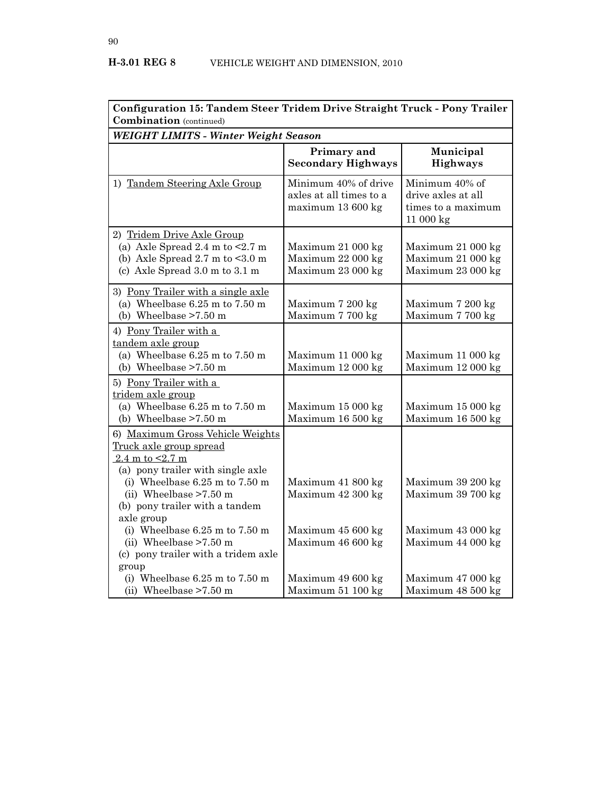| Configuration 15: Tandem Steer Tridem Drive Straight Truck - Pony Trailer<br><b>Combination</b> (continued)                                                                                                                                                                                                                                       |                                                                                  |                                                                                  |
|---------------------------------------------------------------------------------------------------------------------------------------------------------------------------------------------------------------------------------------------------------------------------------------------------------------------------------------------------|----------------------------------------------------------------------------------|----------------------------------------------------------------------------------|
| WEIGHT LIMITS - Winter Weight Season                                                                                                                                                                                                                                                                                                              |                                                                                  |                                                                                  |
|                                                                                                                                                                                                                                                                                                                                                   | Primary and<br><b>Secondary Highways</b>                                         | Municipal<br><b>Highways</b>                                                     |
| 1) Tandem Steering Axle Group                                                                                                                                                                                                                                                                                                                     | Minimum 40% of drive<br>axles at all times to a<br>maximum 13 600 kg             | Minimum 40% of<br>drive axles at all<br>times to a maximum<br>11 000 kg          |
| 2) Tridem Drive Axle Group<br>(a) Axle Spread 2.4 m to $< 2.7$ m<br>(b) Axle Spread $2.7 \text{ m}$ to $\leq 3.0 \text{ m}$<br>(c) Axle Spread 3.0 m to 3.1 m                                                                                                                                                                                     | Maximum 21 000 kg<br>Maximum 22 000 kg<br>Maximum 23 000 kg                      | Maximum 21 000 kg<br>Maximum 21 000 kg<br>Maximum 23 000 kg                      |
| 3) Pony Trailer with a single axle<br>(a) Wheelbase $6.25$ m to $7.50$ m<br>(b) Wheelbase $>7.50$ m                                                                                                                                                                                                                                               | Maximum 7 200 kg<br>Maximum 7 700 kg                                             | Maximum 7 200 kg<br>Maximum 7 700 kg                                             |
| 4) Pony Trailer with a<br>tandem axle group<br>(a) Wheelbase $6.25$ m to $7.50$ m<br>(b) Wheelbase $>7.50$ m                                                                                                                                                                                                                                      | Maximum 11 000 kg<br>Maximum 12 000 kg                                           | Maximum 11 000 kg<br>Maximum 12 000 kg                                           |
| 5) Pony Trailer with a<br>tridem axle group<br>(a) Wheelbase $6.25$ m to $7.50$ m<br>(b) Wheelbase $>7.50$ m                                                                                                                                                                                                                                      | Maximum 15 000 kg<br>Maximum 16 500 kg                                           | Maximum 15 000 kg<br>Maximum 16 500 kg                                           |
| 6) Maximum Gross Vehicle Weights<br>Truck axle group spread<br>2.4 m to $< 2.7$ m<br>(a) pony trailer with single axle<br>(i) Wheelbase $6.25$ m to $7.50$ m<br>(ii) Wheelbase $>7.50$ m<br>(b) pony trailer with a tandem<br>axle group<br>(i) Wheelbase $6.25$ m to $7.50$ m<br>(ii) Wheelbase $>7.50$ m<br>(c) pony trailer with a tridem axle | Maximum 41 800 kg<br>Maximum 42 300 kg<br>Maximum 45 600 kg<br>Maximum 46 600 kg | Maximum 39 200 kg<br>Maximum 39 700 kg<br>Maximum 43 000 kg<br>Maximum 44 000 kg |
| group<br>(i) Wheelbase $6.25$ m to $7.50$ m<br>(ii) Wheelbase $>7.50$ m                                                                                                                                                                                                                                                                           | Maximum 49 600 kg<br>Maximum 51 100 kg                                           | Maximum 47 000 kg<br>Maximum 48 500 kg                                           |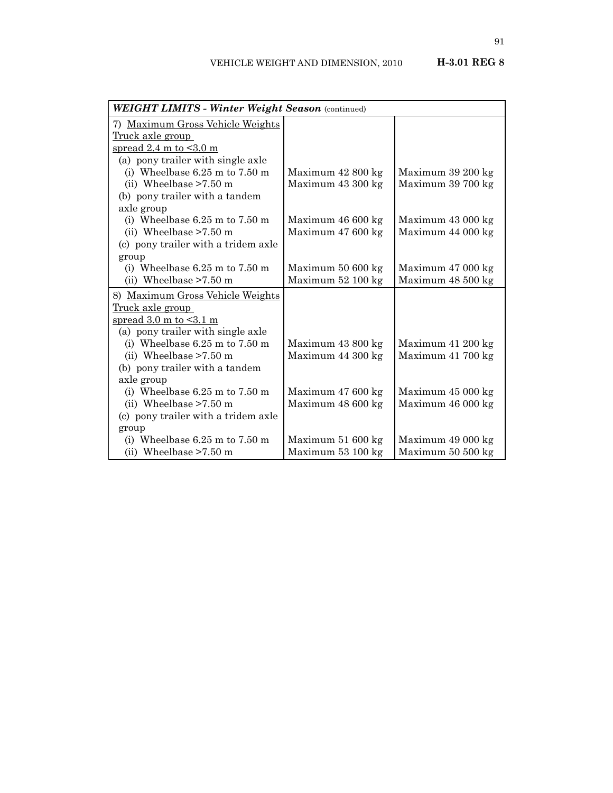| WEIGHT LIMITS - Winter Weight Season (continued) |                   |                   |
|--------------------------------------------------|-------------------|-------------------|
| 7) Maximum Gross Vehicle Weights                 |                   |                   |
| Truck axle group                                 |                   |                   |
| spread $2.4$ m to $\leq 3.0$ m                   |                   |                   |
| (a) pony trailer with single axle                |                   |                   |
| (i) Wheelbase $6.25$ m to $7.50$ m               | Maximum 42 800 kg | Maximum 39 200 kg |
| (ii) Wheelbase $>7.50$ m                         | Maximum 43 300 kg | Maximum 39 700 kg |
| (b) pony trailer with a tandem                   |                   |                   |
| axle group                                       |                   |                   |
| (i) Wheelbase $6.25$ m to $7.50$ m               | Maximum 46 600 kg | Maximum 43 000 kg |
| (ii) Wheelbase $>7.50$ m                         | Maximum 47 600 kg | Maximum 44 000 kg |
| (c) pony trailer with a tridem axle              |                   |                   |
| group                                            |                   |                   |
| (i) Wheelbase $6.25$ m to $7.50$ m               | Maximum 50 600 kg | Maximum 47 000 kg |
| (ii) Wheelbase $>7.50$ m                         | Maximum 52 100 kg | Maximum 48 500 kg |
| 8) Maximum Gross Vehicle Weights                 |                   |                   |
| <u>Truck axle group</u>                          |                   |                   |
| spread $3.0$ m to $\leq 3.1$ m                   |                   |                   |
| (a) pony trailer with single axle                |                   |                   |
| (i) Wheelbase $6.25$ m to $7.50$ m               | Maximum 43 800 kg | Maximum 41 200 kg |
| (ii) Wheelbase $>7.50$ m                         | Maximum 44 300 kg | Maximum 41 700 kg |
| (b) pony trailer with a tandem                   |                   |                   |
| axle group                                       |                   |                   |
| (i) Wheelbase $6.25$ m to $7.50$ m               | Maximum 47 600 kg | Maximum 45 000 kg |
| (ii) Wheelbase $>7.50$ m                         | Maximum 48 600 kg | Maximum 46 000 kg |
| (c) pony trailer with a tridem axle              |                   |                   |
| group                                            |                   |                   |
| (i) Wheelbase $6.25$ m to $7.50$ m               | Maximum 51 600 kg | Maximum 49 000 kg |
| (ii) Wheelbase $>7.50$ m                         | Maximum 53 100 kg | Maximum 50 500 kg |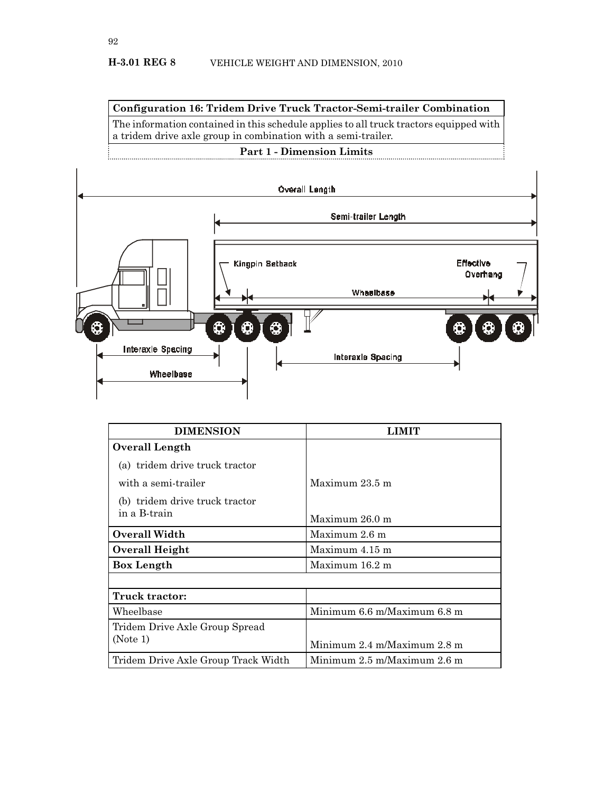**Configuration 16: Tridem Drive Truck Tractor-Semi-trailer Combination**

The information contained in this schedule applies to all truck tractors equipped with a tridem drive axle group in combination with a semi-trailer.

# **Part 1 - Dimension Limits**



| <b>DIMENSION</b>                    |                                                 |
|-------------------------------------|-------------------------------------------------|
| Overall Length                      |                                                 |
| (a) tridem drive truck tractor      |                                                 |
| with a semi-trailer                 | Maximum 23.5 m                                  |
| (b) tridem drive truck tractor      |                                                 |
| in a B-train                        | Maximum 26.0 m                                  |
| Overall Width                       | Maximum 2.6 m                                   |
| Overall Height                      | Maximum 4.15 m                                  |
| <b>Box Length</b>                   | Maximum 16.2 m                                  |
|                                     |                                                 |
| Truck tractor:                      |                                                 |
| Wheelbase                           | Minimum 6.6 m/Maximum 6.8 m                     |
| Tridem Drive Axle Group Spread      |                                                 |
| (Note 1)                            | Minimum $2.4 \text{ m}$ Maximum $2.8 \text{ m}$ |
| Tridem Drive Axle Group Track Width | Minimum 2.5 m/Maximum 2.6 m                     |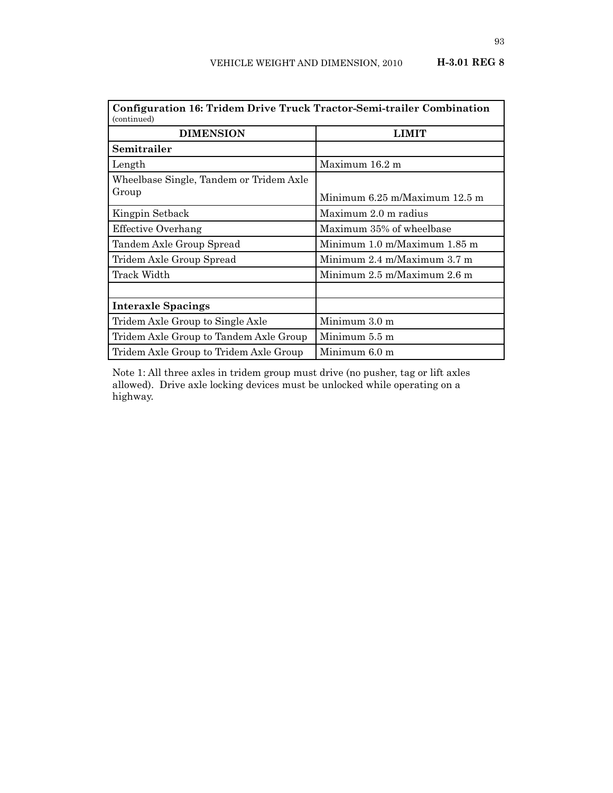| Configuration 16: Tridem Drive Truck Tractor-Semi-trailer Combination<br>(continued) |                                   |  |  |
|--------------------------------------------------------------------------------------|-----------------------------------|--|--|
| <b>DIMENSION</b><br>LIMIT                                                            |                                   |  |  |
| Semitrailer                                                                          |                                   |  |  |
| Length                                                                               | Maximum 16.2 m                    |  |  |
| Wheelbase Single, Tandem or Tridem Axle                                              |                                   |  |  |
| Group                                                                                | Minimum $6.25$ m/Maximum $12.5$ m |  |  |
| Kingpin Setback                                                                      | Maximum 2.0 m radius              |  |  |
| <b>Effective Overhang</b>                                                            | Maximum 35% of wheelbase          |  |  |
| Tandem Axle Group Spread                                                             | Minimum 1.0 m/Maximum 1.85 m      |  |  |
| Tridem Axle Group Spread                                                             | Minimum 2.4 m/Maximum 3.7 m       |  |  |
| Track Width                                                                          | Minimum $2.5$ m/Maximum $2.6$ m   |  |  |
|                                                                                      |                                   |  |  |
| <b>Interaxle Spacings</b>                                                            |                                   |  |  |
| Tridem Axle Group to Single Axle                                                     | Minimum $3.0 \text{ m}$           |  |  |
| Tridem Axle Group to Tandem Axle Group                                               | Minimum 5.5 m                     |  |  |
| Tridem Axle Group to Tridem Axle Group                                               | Minimum 6.0 m                     |  |  |

Note 1: All three axles in tridem group must drive (no pusher, tag or lift axles allowed). Drive axle locking devices must be unlocked while operating on a highway.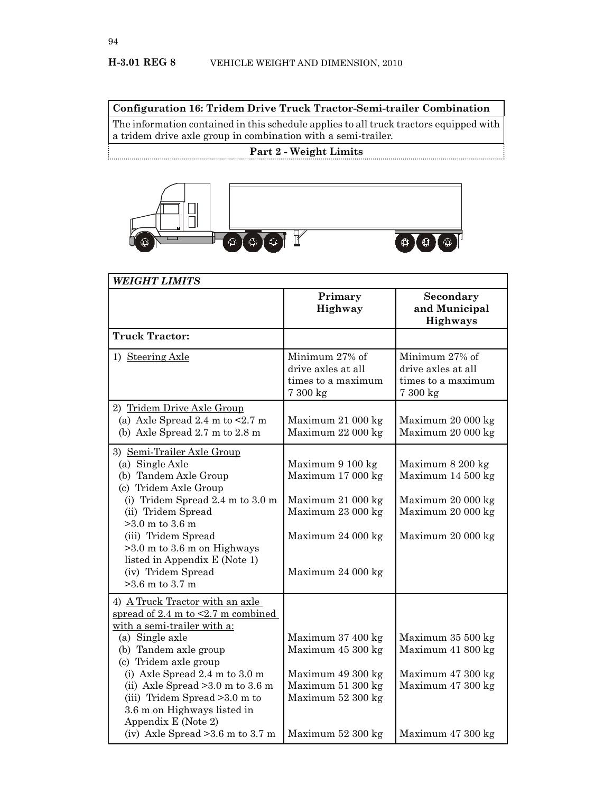**Configuration 16: Tridem Drive Truck Tractor-Semi-trailer Combination**

The information contained in this schedule applies to all truck tractors equipped with a tridem drive axle group in combination with a semi-trailer.

# **Part 2 - Weight Limits**



| Primary<br>Highway                                                                                                        | Secondary<br>and Municipal<br>Highways                                                                |
|---------------------------------------------------------------------------------------------------------------------------|-------------------------------------------------------------------------------------------------------|
|                                                                                                                           |                                                                                                       |
| Minimum 27% of<br>drive axles at all<br>times to a maximum<br>7 300 kg                                                    | Minimum 27% of<br>drive axles at all<br>times to a maximum<br>7 300 kg                                |
| Maximum 21 000 kg<br>Maximum 22 000 kg                                                                                    | Maximum 20 000 kg<br>Maximum 20 000 kg                                                                |
| Maximum 9 100 kg<br>Maximum 17 000 kg<br>Maximum 21 000 kg<br>Maximum 23 000 kg<br>Maximum 24 000 kg<br>Maximum 24 000 kg | Maximum 8 200 kg<br>Maximum 14 500 kg<br>Maximum 20 000 kg<br>Maximum 20 000 kg<br>Maximum 20 000 kg  |
| Maximum 37 400 kg<br>Maximum 45 300 kg<br>Maximum 49 300 kg<br>Maximum 51 300 kg<br>Maximum 52 300 kg                     | Maximum 35 500 kg<br>Maximum 41 800 kg<br>Maximum 47 300 kg<br>Maximum 47 300 kg<br>Maximum 47 300 kg |
|                                                                                                                           | Maximum 52 300 kg                                                                                     |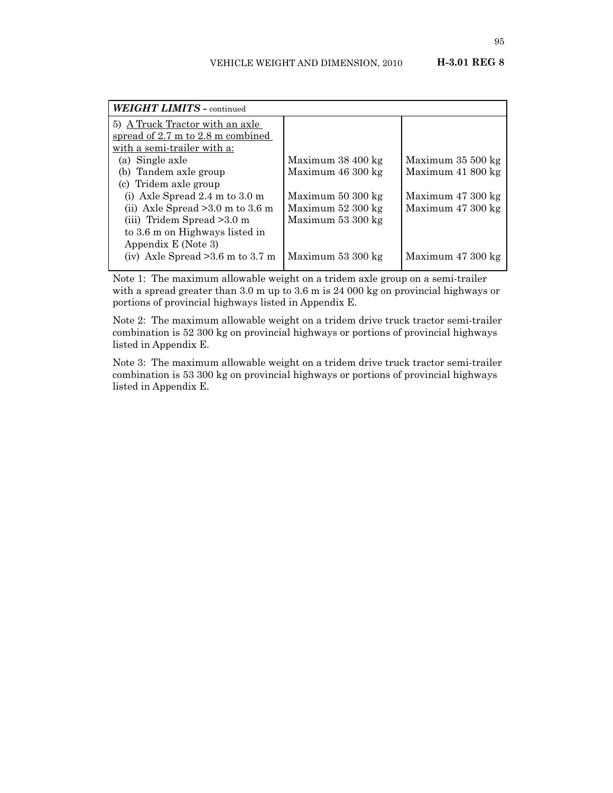| <b>WEIGHT LIMITS - continued</b>                      |                   |                   |
|-------------------------------------------------------|-------------------|-------------------|
| 5) A Truck Tractor with an axle                       |                   |                   |
| spread of $2.7 \text{ m}$ to $2.8 \text{ m}$ combined |                   |                   |
| with a semi-trailer with a:                           |                   |                   |
| (a) Single axle                                       | Maximum 38 400 kg | Maximum 35 500 kg |
| (b) Tandem axle group                                 | Maximum 46 300 kg | Maximum 41 800 kg |
| (c) Tridem axle group                                 |                   |                   |
| (i) Axle Spread $2.4 \text{ m}$ to $3.0 \text{ m}$    | Maximum 50 300 kg | Maximum 47 300 kg |
| (ii) Axle Spread $>3.0$ m to 3.6 m                    | Maximum 52 300 kg | Maximum 47 300 kg |
| (iii) Tridem Spread > 3.0 m                           | Maximum 53 300 kg |                   |
| to 3.6 m on Highways listed in                        |                   |                   |
| Appendix E (Note 3)                                   |                   |                   |
| (iv) Axle Spread $>3.6$ m to 3.7 m                    | Maximum 53 300 kg | Maximum 47 300 kg |

Note 1: The maximum allowable weight on a tridem axle group on a semi-trailer with a spread greater than 3.0 m up to 3.6 m is 24 000 kg on provincial highways or portions of provincial highways listed in Appendix E.

Note 2: The maximum allowable weight on a tridem drive truck tractor semi-trailer combination is 52 300 kg on provincial highways or portions of provincial highways listed in Appendix E.

Note 3: The maximum allowable weight on a tridem drive truck tractor semi-trailer combination is 53 300 kg on provincial highways or portions of provincial highways listed in Appendix E.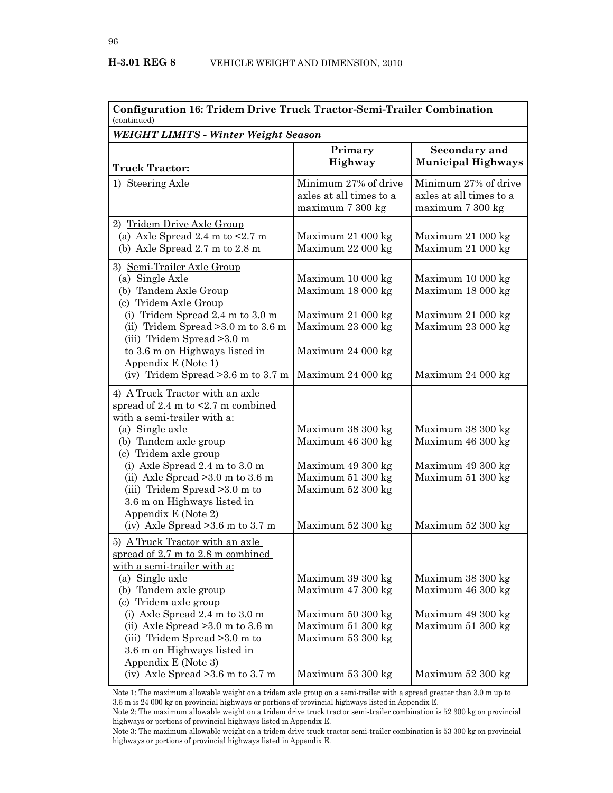| <b>Configuration 16: Tridem Drive Truck Tractor-Semi-Trailer Combination</b><br>(continued)                                                                                                                                                                                                                                                                                                               |                                                                                                                            |                                                                                                       |  |  |
|-----------------------------------------------------------------------------------------------------------------------------------------------------------------------------------------------------------------------------------------------------------------------------------------------------------------------------------------------------------------------------------------------------------|----------------------------------------------------------------------------------------------------------------------------|-------------------------------------------------------------------------------------------------------|--|--|
| <b>WEIGHT LIMITS - Winter Weight Season</b>                                                                                                                                                                                                                                                                                                                                                               |                                                                                                                            |                                                                                                       |  |  |
| <b>Truck Tractor:</b>                                                                                                                                                                                                                                                                                                                                                                                     | Primary<br>Highway                                                                                                         | Secondary and<br><b>Municipal Highways</b>                                                            |  |  |
| 1) Steering Axle                                                                                                                                                                                                                                                                                                                                                                                          | Minimum 27% of drive<br>axles at all times to a<br>maximum 7 300 kg                                                        | Minimum 27% of drive<br>axles at all times to a<br>maximum 7 300 kg                                   |  |  |
| 2) Tridem Drive Axle Group<br>(a) Axle Spread 2.4 m to $\leq$ 2.7 m<br>(b) Axle Spread $2.7 \text{ m}$ to $2.8 \text{ m}$                                                                                                                                                                                                                                                                                 | Maximum 21 000 kg<br>Maximum 22 000 kg                                                                                     | Maximum 21 000 kg<br>Maximum 21 000 kg                                                                |  |  |
| 3) Semi-Trailer Axle Group<br>(a) Single Axle<br>(b) Tandem Axle Group<br>(c) Tridem Axle Group<br>(i) Tridem Spread $2.4 \text{ m}$ to $3.0 \text{ m}$<br>(ii) Tridem Spread $>3.0$ m to 3.6 m<br>(iii) Tridem Spread > 3.0 m                                                                                                                                                                            | Maximum 10 000 kg<br>Maximum 18 000 kg<br>Maximum 21 000 kg<br>Maximum 23 000 kg                                           | Maximum 10 000 kg<br>Maximum 18 000 kg<br>Maximum 21 000 kg<br>Maximum 23 000 kg                      |  |  |
| to 3.6 m on Highways listed in<br>Appendix E (Note 1)<br>(iv) Tridem Spread $>3.6$ m to 3.7 m                                                                                                                                                                                                                                                                                                             | Maximum 24 000 kg<br>Maximum 24 000 kg                                                                                     | Maximum 24 000 kg                                                                                     |  |  |
| 4) A Truck Tractor with an axle<br>spread of 2.4 m to $\leq$ 2.7 m combined<br>with a semi-trailer with a:<br>(a) Single axle<br>(b) Tandem axle group<br>(c) Tridem axle group<br>(i) Axle Spread $2.4 \text{ m}$ to $3.0 \text{ m}$<br>(ii) Axle Spread $>3.0$ m to 3.6 m<br>(iii) Tridem Spread > 3.0 m to<br>3.6 m on Highways listed in<br>Appendix E (Note 2)<br>(iv) Axle Spread $>3.6$ m to 3.7 m | Maximum 38 300 kg<br>Maximum 46 300 kg<br>Maximum 49 300 kg<br>Maximum 51 300 kg<br>Maximum 52 300 kg<br>Maximum 52 300 kg | Maximum 38 300 kg<br>Maximum 46 300 kg<br>Maximum 49 300 kg<br>Maximum 51 300 kg<br>Maximum 52 300 kg |  |  |
| 5) A Truck Tractor with an axle<br>spread of $2.7$ m to $2.8$ m combined<br>with a semi-trailer with a:<br>(a) Single axle<br>(b) Tandem axle group<br>(c) Tridem axle group<br>(i) Axle Spread $2.4 \text{ m}$ to $3.0 \text{ m}$<br>(ii) Axle Spread $>3.0$ m to 3.6 m<br>(iii) Tridem Spread > 3.0 m to<br>3.6 m on Highways listed in<br>Appendix E (Note 3)<br>(iv) Axle Spread $>3.6$ m to 3.7 m    | Maximum 39 300 kg<br>Maximum 47 300 kg<br>Maximum 50 300 kg<br>Maximum 51 300 kg<br>Maximum 53 300 kg<br>Maximum 53 300 kg | Maximum 38 300 kg<br>Maximum 46 300 kg<br>Maximum 49 300 kg<br>Maximum 51 300 kg<br>Maximum 52 300 kg |  |  |

Note 1: The maximum allowable weight on a tridem axle group on a semi-trailer with a spread greater than 3.0 m up to 3.6 m is 24 000 kg on provincial highways or portions of provincial highways listed in Appendix E.

Note 2: The maximum allowable weight on a tridem drive truck tractor semi-trailer combination is 52 300 kg on provincial highways or portions of provincial highways listed in Appendix E.

Note 3: The maximum allowable weight on a tridem drive truck tractor semi-trailer combination is 53 300 kg on provincial highways or portions of provincial highways listed in Appendix E.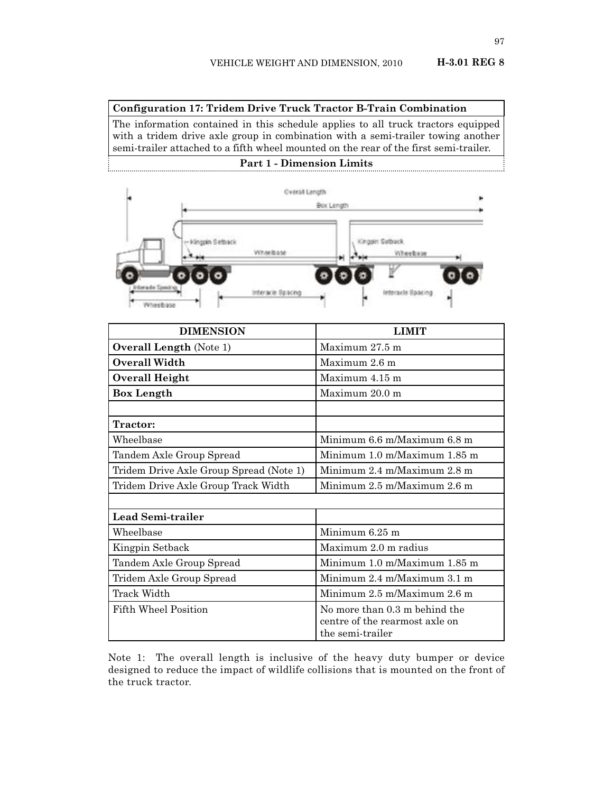#### **Configuration 17: Tridem Drive Truck Tractor B-Train Combination**

The information contained in this schedule applies to all truck tractors equipped with a tridem drive axle group in combination with a semi-trailer towing another semi-trailer attached to a fifth wheel mounted on the rear of the first semi-trailer.

# **Part 1 - Dimension Limits**



| <b>DIMENSION</b>                        | <b>LIMIT</b>                                                                        |
|-----------------------------------------|-------------------------------------------------------------------------------------|
| <b>Overall Length (Note 1)</b>          | Maximum 27.5 m                                                                      |
| Overall Width                           | Maximum 2.6 m                                                                       |
| <b>Overall Height</b>                   | Maximum 4.15 m                                                                      |
| <b>Box Length</b>                       | Maximum 20.0 m                                                                      |
|                                         |                                                                                     |
| Tractor:                                |                                                                                     |
| Wheelbase                               | Minimum 6.6 m/Maximum 6.8 m                                                         |
| Tandem Axle Group Spread                | Minimum 1.0 m/Maximum 1.85 m                                                        |
| Tridem Drive Axle Group Spread (Note 1) | Minimum 2.4 m/Maximum 2.8 m                                                         |
| Tridem Drive Axle Group Track Width     | Minimum 2.5 m/Maximum 2.6 m                                                         |
|                                         |                                                                                     |
| Lead Semi-trailer                       |                                                                                     |
| Wheelbase                               | Minimum 6.25 m                                                                      |
| Kingpin Setback                         | Maximum 2.0 m radius                                                                |
| Tandem Axle Group Spread                | Minimum 1.0 m/Maximum 1.85 m                                                        |
| Tridem Axle Group Spread                | Minimum 2.4 m/Maximum 3.1 m                                                         |
| Track Width                             | Minimum 2.5 m/Maximum 2.6 m                                                         |
| <b>Fifth Wheel Position</b>             | No more than 0.3 m behind the<br>centre of the rearmost axle on<br>the semi-trailer |

Note 1: The overall length is inclusive of the heavy duty bumper or device designed to reduce the impact of wildlife collisions that is mounted on the front of the truck tractor.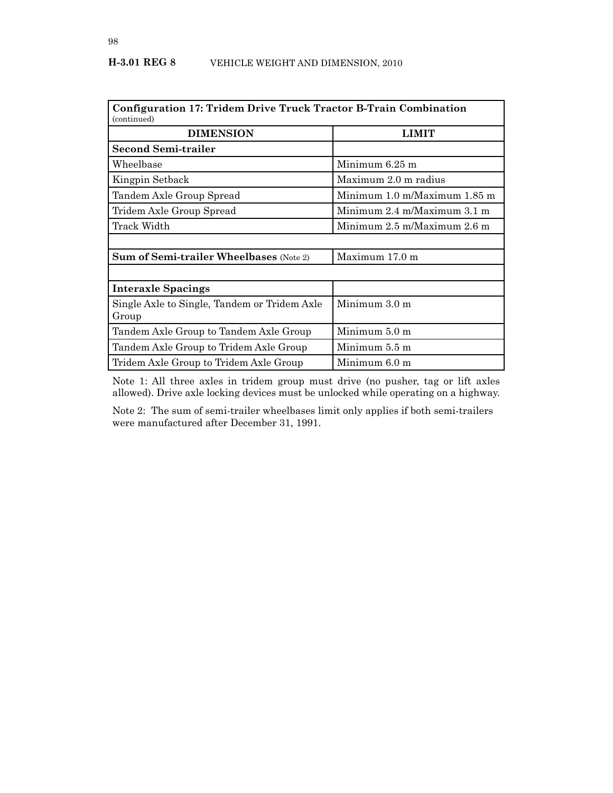| Configuration 17: Tridem Drive Truck Tractor B-Train Combination<br>(continued) |                                                  |  |  |
|---------------------------------------------------------------------------------|--------------------------------------------------|--|--|
| <b>DIMENSION</b>                                                                | <b>LIMIT</b>                                     |  |  |
| Second Semi-trailer                                                             |                                                  |  |  |
| Wheelbase                                                                       | Minimum 6.25 m                                   |  |  |
| Kingpin Setback                                                                 | Maximum 2.0 m radius                             |  |  |
| Tandem Axle Group Spread                                                        | Minimum 1.0 m/Maximum 1.85 m                     |  |  |
| Tridem Axle Group Spread                                                        | Minimum 2.4 m/Maximum 3.1 m                      |  |  |
| Track Width                                                                     | Minimum $2.5 \text{ m}$ /Maximum $2.6 \text{ m}$ |  |  |
|                                                                                 |                                                  |  |  |
| <b>Sum of Semi-trailer Wheelbases</b> (Note 2)                                  | Maximum 17.0 m                                   |  |  |
|                                                                                 |                                                  |  |  |
| <b>Interaxle Spacings</b>                                                       |                                                  |  |  |
| Single Axle to Single, Tandem or Tridem Axle<br>Group                           | Minimum $3.0 \text{ m}$                          |  |  |
| Tandem Axle Group to Tandem Axle Group                                          | Minimum 5.0 m                                    |  |  |
| Tandem Axle Group to Tridem Axle Group                                          | Minimum 5.5 m                                    |  |  |
| Tridem Axle Group to Tridem Axle Group                                          | Minimum 6.0 m                                    |  |  |

Note 1: All three axles in tridem group must drive (no pusher, tag or lift axles allowed). Drive axle locking devices must be unlocked while operating on a highway.

Note 2: The sum of semi-trailer wheelbases limit only applies if both semi-trailers were manufactured after December 31, 1991.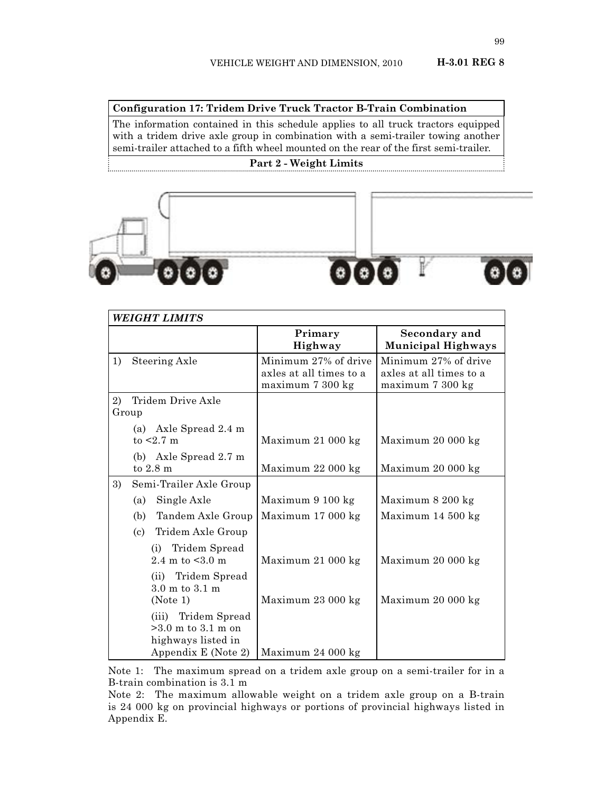### **Configuration 17: Tridem Drive Truck Tractor B-Train Combination**

The information contained in this schedule applies to all truck tractors equipped with a tridem drive axle group in combination with a semi-trailer towing another semi-trailer attached to a fifth wheel mounted on the rear of the first semi-trailer.

### **Part 2 - Weight Limits**



|    | <b>WEIGHT LIMITS</b>                                              |                                                                     |                                                                     |
|----|-------------------------------------------------------------------|---------------------------------------------------------------------|---------------------------------------------------------------------|
|    |                                                                   | Primary<br>Highway                                                  | <b>Secondary and</b><br><b>Municipal Highways</b>                   |
| 1) | Steering Axle                                                     | Minimum 27% of drive<br>axles at all times to a<br>maximum 7 300 kg | Minimum 27% of drive<br>axles at all times to a<br>maximum 7 300 kg |
| 2) | Tridem Drive Axle<br>Group                                        |                                                                     |                                                                     |
|    | (a) Axle Spread 2.4 m<br>to $< 2.7$ m                             | Maximum 21 000 kg                                                   | Maximum 20 000 kg                                                   |
|    | (b) Axle Spread 2.7 m<br>to $2.8 \text{ m}$                       | Maximum 22 000 kg                                                   | Maximum 20 000 kg                                                   |
| 3) | Semi-Trailer Axle Group                                           |                                                                     |                                                                     |
|    | Single Axle<br>(a)                                                | Maximum 9 100 kg                                                    | Maximum 8 200 kg                                                    |
|    | Tandem Axle Group<br>(b)                                          | Maximum 17 000 kg                                                   | Maximum 14 500 kg                                                   |
|    | Tridem Axle Group<br>(c)                                          |                                                                     |                                                                     |
|    | Tridem Spread<br>(i)<br>2.4 m to $< 3.0$ m                        | Maximum 21 000 kg                                                   | Maximum 20 000 kg                                                   |
|    | (ii) Tridem Spread<br>3.0 m to 3.1 m                              |                                                                     |                                                                     |
|    | (Note 1)                                                          | Maximum 23 000 kg                                                   | Maximum 20 000 kg                                                   |
|    | (iii) Tridem Spread<br>$>3.0$ m to 3.1 m on<br>highways listed in |                                                                     |                                                                     |
|    | Appendix E (Note 2)                                               | Maximum 24 000 kg                                                   |                                                                     |

Note 1: The maximum spread on a tridem axle group on a semi-trailer for in a B-train combination is 3.1 m

Note 2: The maximum allowable weight on a tridem axle group on a B-train is 24 000 kg on provincial highways or portions of provincial highways listed in Appendix E.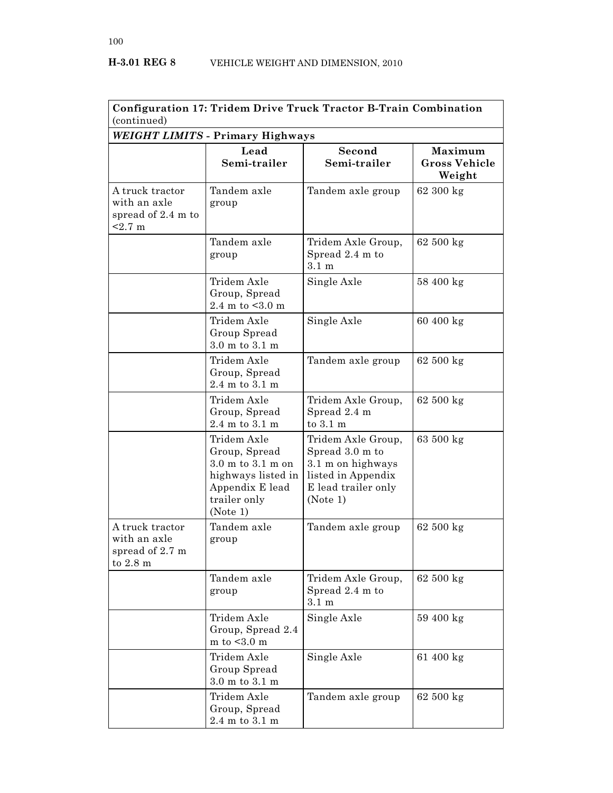| Configuration 17: Tridem Drive Truck Tractor B-Train Combination<br>(continued) |                                                                                                                                            |                                                                                                                     |                                           |  |  |
|---------------------------------------------------------------------------------|--------------------------------------------------------------------------------------------------------------------------------------------|---------------------------------------------------------------------------------------------------------------------|-------------------------------------------|--|--|
| WEIGHT LIMITS - Primary Highways                                                |                                                                                                                                            |                                                                                                                     |                                           |  |  |
|                                                                                 | Lead<br>Semi-trailer                                                                                                                       | Second<br>Semi-trailer                                                                                              | Maximum<br><b>Gross Vehicle</b><br>Weight |  |  |
| A truck tractor<br>with an axle<br>spread of 2.4 m to<br>$2.7 \text{ m}$        | Tandem axle<br>group                                                                                                                       | Tandem axle group                                                                                                   | $62300 \text{ kg}$                        |  |  |
|                                                                                 | Tandem axle<br>group                                                                                                                       | Tridem Axle Group,<br>Spread 2.4 m to<br>$3.1 \text{ m}$                                                            | $62500 \text{ kg}$                        |  |  |
|                                                                                 | Tridem Axle<br>Group, Spread<br>2.4 m to $< 3.0$ m                                                                                         | Single Axle                                                                                                         | 58 400 kg                                 |  |  |
|                                                                                 | Tridem Axle<br>Group Spread<br>$3.0$ m to $3.1$ m                                                                                          | Single Axle                                                                                                         | 60 400 kg                                 |  |  |
|                                                                                 | Tridem Axle<br>Group, Spread<br>2.4 m to 3.1 m                                                                                             | Tandem axle group                                                                                                   | 62 500 kg                                 |  |  |
|                                                                                 | Tridem Axle<br>Group, Spread<br>$2.4$ m to $3.1$ m                                                                                         | Tridem Axle Group,<br>Spread 2.4 m<br>to 3.1 m                                                                      | 62 500 kg                                 |  |  |
|                                                                                 | Tridem Axle<br>Group, Spread<br>$3.0 \text{ m}$ to $3.1 \text{ m}$ on<br>highways listed in<br>Appendix E lead<br>trailer only<br>(Note 1) | Tridem Axle Group,<br>Spread 3.0 m to<br>3.1 m on highways<br>listed in Appendix<br>E lead trailer only<br>(Note 1) | 63 500 kg                                 |  |  |
| A truck tractor<br>with an axle<br>spread of 2.7 m<br>to $2.8 \text{ m}$        | Tandem axle<br>group                                                                                                                       | Tandem axle group                                                                                                   | 62 500 kg                                 |  |  |
|                                                                                 | Tandem axle<br>group                                                                                                                       | Tridem Axle Group,<br>Spread 2.4 m to<br>$3.1 \text{ m}$                                                            | $62500 \text{ kg}$                        |  |  |
|                                                                                 | Tridem Axle<br>Group, Spread 2.4<br>m to $<$ 3.0 m                                                                                         | Single Axle                                                                                                         | 59 400 kg                                 |  |  |
|                                                                                 | Tridem Axle<br>Group Spread<br>$3.0$ m to $3.1$ m                                                                                          | Single Axle                                                                                                         | 61 400 kg                                 |  |  |
|                                                                                 | Tridem Axle<br>Group, Spread<br>$2.4 \text{ m}$ to $3.1 \text{ m}$                                                                         | Tandem axle group                                                                                                   | 62 500 kg                                 |  |  |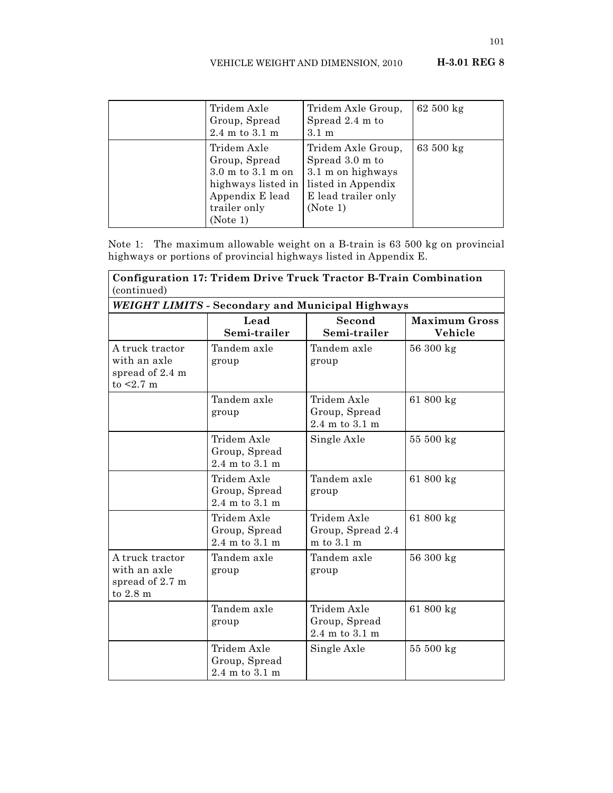| Tridem Axle<br>Group, Spread<br>$2.4$ m to $3.1$ m                                                                     | Tridem Axle Group,<br>Spread 2.4 m to<br>$3.1 \text{ m}$                                                            | 62 500 kg          |
|------------------------------------------------------------------------------------------------------------------------|---------------------------------------------------------------------------------------------------------------------|--------------------|
| Tridem Axle<br>Group, Spread<br>3.0 m to 3.1 m on<br>highways listed in<br>Appendix E lead<br>trailer only<br>(Note 1) | Tridem Axle Group,<br>Spread 3.0 m to<br>3.1 m on highways<br>listed in Appendix<br>E lead trailer only<br>(Note 1) | $63500 \text{ kg}$ |

Note 1: The maximum allowable weight on a B-train is 63 500 kg on provincial highways or portions of provincial highways listed in Appendix E.

| Configuration 17: Tridem Drive Truck Tractor B-Train Combination<br>(continued) |                                                                    |                                                      |                                 |  |  |
|---------------------------------------------------------------------------------|--------------------------------------------------------------------|------------------------------------------------------|---------------------------------|--|--|
|                                                                                 | <b>WEIGHT LIMITS - Secondary and Municipal Highways</b>            |                                                      |                                 |  |  |
|                                                                                 | Lead<br>Semi-trailer                                               | Second<br>Semi-trailer                               | <b>Maximum Gross</b><br>Vehicle |  |  |
| A truck tractor<br>with an axle<br>spread of 2.4 m<br>to $< 2.7$ m              | Tandem axle<br>group                                               | Tandem axle<br>group                                 | 56 300 kg                       |  |  |
|                                                                                 | Tandem axle<br>group                                               | Tridem Axle<br>Group, Spread<br>2.4 m to 3.1 m       | 61 800 kg                       |  |  |
|                                                                                 | Tridem Axle<br>Group, Spread<br>$2.4 \text{ m}$ to $3.1 \text{ m}$ | Single Axle                                          | 55 500 kg                       |  |  |
|                                                                                 | Tridem Axle<br>Group, Spread<br>2.4 m to 3.1 m                     | Tandem axle<br>group                                 | 61 800 kg                       |  |  |
|                                                                                 | Tridem Axle<br>Group, Spread<br>2.4 m to 3.1 m                     | Tridem Axle<br>Group, Spread 2.4<br>$m$ to $3.1$ $m$ | 61 800 kg                       |  |  |
| A truck tractor<br>with an axle<br>spread of 2.7 m<br>to 2.8 m                  | Tandem axle<br>group                                               | Tandem axle<br>group                                 | 56 300 kg                       |  |  |
|                                                                                 | Tandem axle<br>group                                               | Tridem Axle<br>Group, Spread<br>2.4 m to 3.1 m       | 61 800 kg                       |  |  |
|                                                                                 | Tridem Axle<br>Group, Spread<br>$2.4 \text{ m}$ to $3.1 \text{ m}$ | Single Axle                                          | 55 500 kg                       |  |  |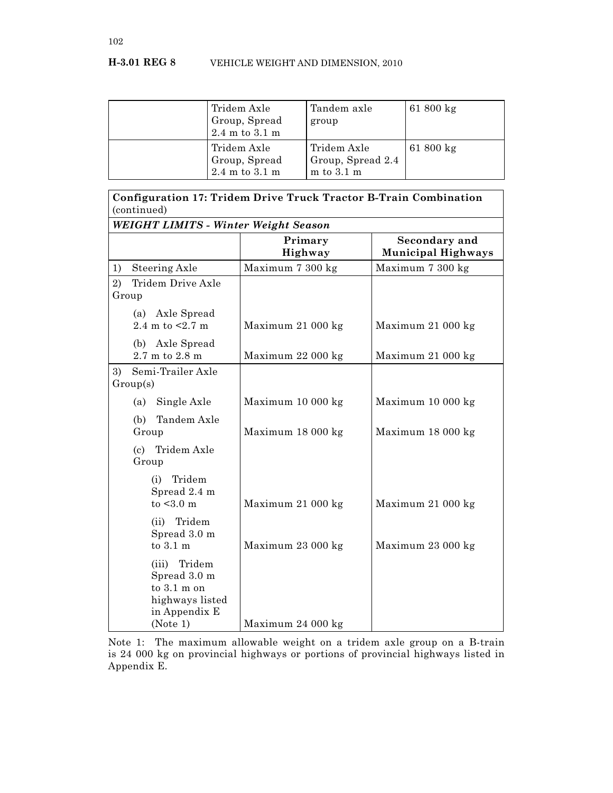| Tridem Axle<br>Group, Spread<br>$2.4$ m to $3.1$ m                 | Tandem axle<br>group                               | $61800 \text{ kg}$  |
|--------------------------------------------------------------------|----------------------------------------------------|---------------------|
| Tridem Axle<br>Group, Spread<br>$2.4 \text{ m}$ to $3.1 \text{ m}$ | Tridem Axle<br>Group, Spread 2.4<br>$m$ to 3.1 $m$ | 61 $800 \text{ kg}$ |

| Configuration 17: Tridem Drive Truck Tractor B-Train Combination<br>(continued) |                                                                                     |                    |                                            |  |  |
|---------------------------------------------------------------------------------|-------------------------------------------------------------------------------------|--------------------|--------------------------------------------|--|--|
|                                                                                 | <b>WEIGHT LIMITS - Winter Weight Season</b>                                         |                    |                                            |  |  |
|                                                                                 |                                                                                     | Primary<br>Highway | Secondary and<br><b>Municipal Highways</b> |  |  |
| Steering Axle<br>1)                                                             |                                                                                     | Maximum 7 300 kg   | Maximum 7 300 kg                           |  |  |
| 2)<br>Group                                                                     | Tridem Drive Axle                                                                   |                    |                                            |  |  |
| 2.4 m to $< 2.7$ m                                                              | (a) Axle Spread                                                                     | Maximum 21 000 kg  | Maximum 21 000 kg                          |  |  |
| 2.7 m to 2.8 m                                                                  | (b) Axle Spread                                                                     | Maximum 22 000 kg  | Maximum 21 000 kg                          |  |  |
| 3)<br>Group(s)                                                                  | Semi-Trailer Axle                                                                   |                    |                                            |  |  |
| (a)                                                                             | Single Axle                                                                         | Maximum 10 000 kg  | Maximum 10 000 kg                          |  |  |
| (b)<br>Group                                                                    | Tandem Axle                                                                         | Maximum 18 000 kg  | Maximum 18 000 kg                          |  |  |
| Group                                                                           | (c) Tridem Axle                                                                     |                    |                                            |  |  |
| (i)                                                                             | Tridem<br>Spread 2.4 m<br>to $<$ 3.0 m                                              | Maximum 21 000 kg  | Maximum 21 000 kg                          |  |  |
| (ii)<br>to 3.1 m                                                                | Tridem<br>Spread 3.0 m                                                              | Maximum 23 000 kg  | Maximum 23 000 kg                          |  |  |
| (iii)<br>(Note 1)                                                               | Tridem<br>Spread 3.0 m<br>to $3.1 \text{ m}$ on<br>highways listed<br>in Appendix E | Maximum 24 000 kg  |                                            |  |  |

Note 1: The maximum allowable weight on a tridem axle group on a B-train is 24 000 kg on provincial highways or portions of provincial highways listed in Appendix E.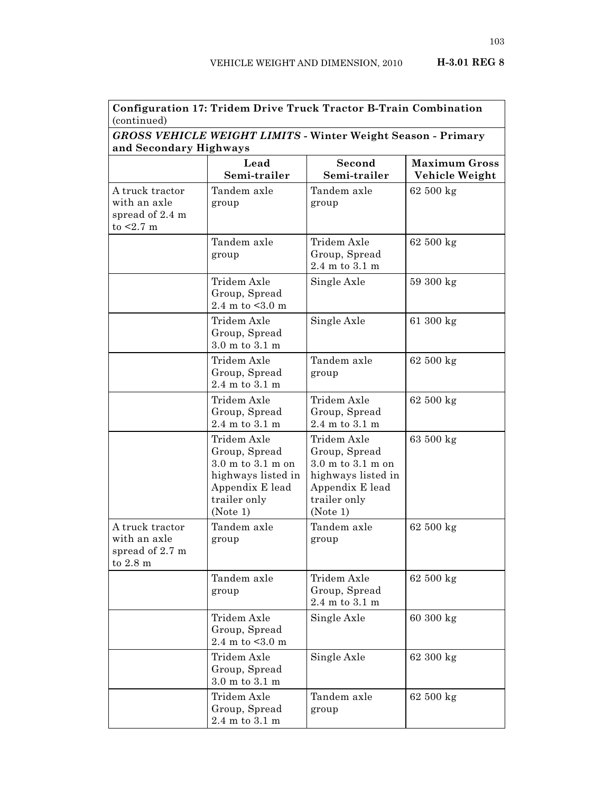| Configuration 17: Tridem Drive Truck Tractor B-Train Combination<br>(continued) |                                                                                                                                            |                                                                                                                                            |                                        |  |
|---------------------------------------------------------------------------------|--------------------------------------------------------------------------------------------------------------------------------------------|--------------------------------------------------------------------------------------------------------------------------------------------|----------------------------------------|--|
| <b>GROSS VEHICLE WEIGHT LIMITS - Winter Weight Season - Primary</b>             |                                                                                                                                            |                                                                                                                                            |                                        |  |
| and Secondary Highways                                                          |                                                                                                                                            |                                                                                                                                            |                                        |  |
|                                                                                 | Lead<br>Semi-trailer                                                                                                                       | Second<br>Semi-trailer                                                                                                                     | <b>Maximum Gross</b><br>Vehicle Weight |  |
| A truck tractor<br>with an axle<br>spread of 2.4 m<br>to $< 2.7$ m              | Tandem axle<br>group                                                                                                                       | Tandem axle<br>group                                                                                                                       | 62 500 kg                              |  |
|                                                                                 | Tandem axle<br>group                                                                                                                       | Tridem Axle<br>Group, Spread<br>$2.4$ m to $3.1$ m                                                                                         | 62 500 kg                              |  |
|                                                                                 | Tridem Axle<br>Group, Spread<br>2.4 m to $< 3.0$ m                                                                                         | Single Axle                                                                                                                                | 59 300 kg                              |  |
|                                                                                 | Tridem Axle<br>Group, Spread<br>$3.0 \text{ m}$ to $3.1 \text{ m}$                                                                         | Single Axle                                                                                                                                | 61 300 kg                              |  |
|                                                                                 | Tridem Axle<br>Group, Spread<br>$2.4 \text{ m}$ to $3.1 \text{ m}$                                                                         | Tandem axle<br>group                                                                                                                       | 62 500 kg                              |  |
|                                                                                 | Tridem Axle<br>Group, Spread<br>$2.4$ m to $3.1$ m                                                                                         | Tridem Axle<br>Group, Spread<br>$2.4$ m to $3.1$ m                                                                                         | 62 500 kg                              |  |
|                                                                                 | Tridem Axle<br>Group, Spread<br>$3.0 \text{ m}$ to $3.1 \text{ m}$ on<br>highways listed in<br>Appendix E lead<br>trailer only<br>(Note 1) | Tridem Axle<br>Group, Spread<br>$3.0 \text{ m}$ to $3.1 \text{ m}$ on<br>highways listed in<br>Appendix E lead<br>trailer only<br>(Note 1) | 63 500 kg                              |  |
| A truck tractor<br>with an axle<br>spread of 2.7 m<br>to $2.8 \text{ m}$        | Tandem axle<br>group                                                                                                                       | Tandem axle<br>group                                                                                                                       | 62 500 kg                              |  |
|                                                                                 | Tandem axle<br>group                                                                                                                       | Tridem Axle<br>Group, Spread<br>$2.4$ m to $3.1$ m                                                                                         | $62500 \text{ kg}$                     |  |
|                                                                                 | Tridem Axle<br>Group, Spread<br>2.4 m to $< 3.0$ m                                                                                         | Single Axle                                                                                                                                | 60 300 kg                              |  |
|                                                                                 | Tridem Axle<br>Group, Spread<br>$3.0$ m to $3.1$ m                                                                                         | Single Axle                                                                                                                                | 62 300 kg                              |  |
|                                                                                 | Tridem Axle<br>Group, Spread<br>$2.4~\mathrm{m}$ to $3.1~\mathrm{m}$                                                                       | Tandem axle<br>group                                                                                                                       | 62 500 kg                              |  |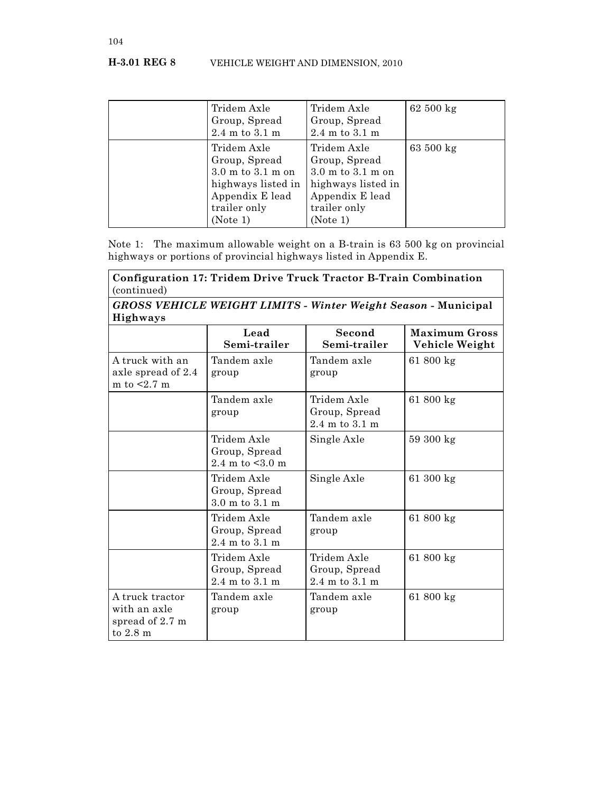| Tridem Axle<br>Group, Spread<br>$2.4$ m to $3.1$ m                                                                         | Tridem Axle<br>Group, Spread<br>$2.4$ m to $3.1$ m                                                                                         | $62500 \text{ kg}$ |
|----------------------------------------------------------------------------------------------------------------------------|--------------------------------------------------------------------------------------------------------------------------------------------|--------------------|
| Tridem Axle<br>Group, Spread<br>$3.0$ m to $3.1$ m on<br>highways listed in<br>Appendix E lead<br>trailer only<br>(Note 1) | Tridem Axle<br>Group, Spread<br>$3.0 \text{ m}$ to $3.1 \text{ m}$ on<br>highways listed in<br>Appendix E lead<br>trailer only<br>(Note 1) | 63 500 kg          |

Note 1: The maximum allowable weight on a B-train is 63 500 kg on provincial highways or portions of provincial highways listed in Appendix E.

| Configuration 17: Tridem Drive Truck Tractor B-Train Combination<br>(continued)<br>GROSS VEHICLE WEIGHT LIMITS - Winter Weight Season - Municipal<br><b>Highways</b> |                                                                    |                                                    |           |  |  |
|----------------------------------------------------------------------------------------------------------------------------------------------------------------------|--------------------------------------------------------------------|----------------------------------------------------|-----------|--|--|
|                                                                                                                                                                      |                                                                    |                                                    |           |  |  |
| A truck with an<br>axle spread of 2.4<br>m to $< 2.7$ m                                                                                                              | Tandem axle<br>group                                               | Tandem axle<br>group                               | 61 800 kg |  |  |
|                                                                                                                                                                      | Tandem axle<br>group                                               | Tridem Axle<br>Group, Spread<br>$2.4$ m to $3.1$ m | 61 800 kg |  |  |
|                                                                                                                                                                      | Tridem Axle<br>Group, Spread<br>2.4 m to $\leq 3.0$ m              | Single Axle                                        | 59 300 kg |  |  |
|                                                                                                                                                                      | Tridem Axle<br>Group, Spread<br>3.0 m to 3.1 m                     | Single Axle                                        | 61 300 kg |  |  |
|                                                                                                                                                                      | Tridem Axle<br>Group, Spread<br>$2.4 \text{ m}$ to $3.1 \text{ m}$ | Tandem axle<br>group                               | 61 800 kg |  |  |
|                                                                                                                                                                      | Tridem Axle<br>Group, Spread<br>$2.4 \text{ m}$ to $3.1 \text{ m}$ | Tridem Axle<br>Group, Spread<br>$2.4$ m to $3.1$ m | 61 800 kg |  |  |
| A truck tractor<br>with an axle<br>spread of 2.7 m<br>to $2.8 \text{ m}$                                                                                             | Tandem axle<br>group                                               | Tandem axle<br>group                               | 61 800 kg |  |  |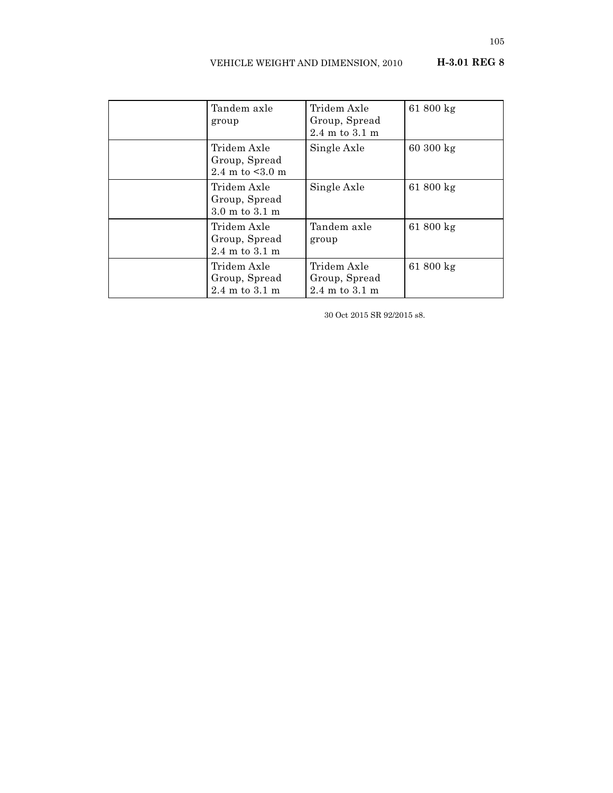| Tandem axle<br>group                                               | Tridem Axle<br>Group, Spread<br>$2.4 \text{ m}$ to $3.1 \text{ m}$ | 61 800 kg           |
|--------------------------------------------------------------------|--------------------------------------------------------------------|---------------------|
| Tridem Axle<br>Group, Spread<br>2.4 m to $< 3.0$ m                 | Single Axle                                                        | $60300 \text{ kg}$  |
| Tridem Axle<br>Group, Spread<br>$3.0 \text{ m}$ to $3.1 \text{ m}$ | Single Axle                                                        | 61 $800 \text{ kg}$ |
| Tridem Axle<br>Group, Spread<br>$2.4 \text{ m}$ to $3.1 \text{ m}$ | Tandem axle<br>group                                               | $61800 \text{ kg}$  |
| Tridem Axle<br>Group, Spread<br>$2.4 \text{ m}$ to $3.1 \text{ m}$ | Tridem Axle<br>Group, Spread<br>$2.4 \text{ m}$ to $3.1 \text{ m}$ | 61 $800 \text{ kg}$ |

30 Oct 2015 SR 92/2015 s8.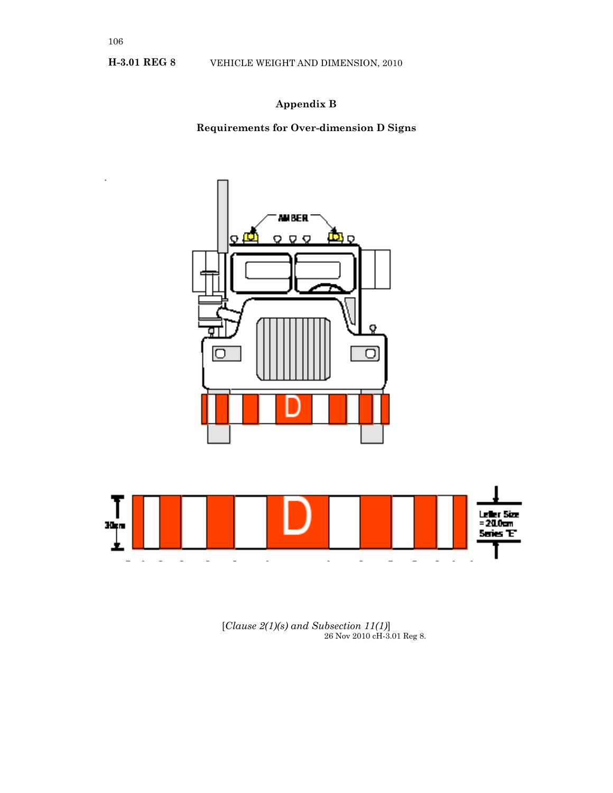## **Appendix B**

**Requirements for Over-dimension D Signs**



[*Clause 2(1)(s) and Subsection 11(1)*] 26 Nov 2010 cH-3.01 Reg 8.

 $\overline{\phantom{a}}$ 

 $\overline{\phantom{0}}$ 

 $\overline{\phantom{a}}$ 

 $\frac{1}{2}$ 

 $\overline{\phantom{a}}$  $\overline{a}$ 

┻

 $\overline{a}$ 

 $\overline{\phantom{a}}$ 

 $\overline{a}$ 

 $\overline{a}$ 

 $\overline{a}$ 

 $\overline{\phantom{a}}$ 

 $\ddot{\phantom{0}}$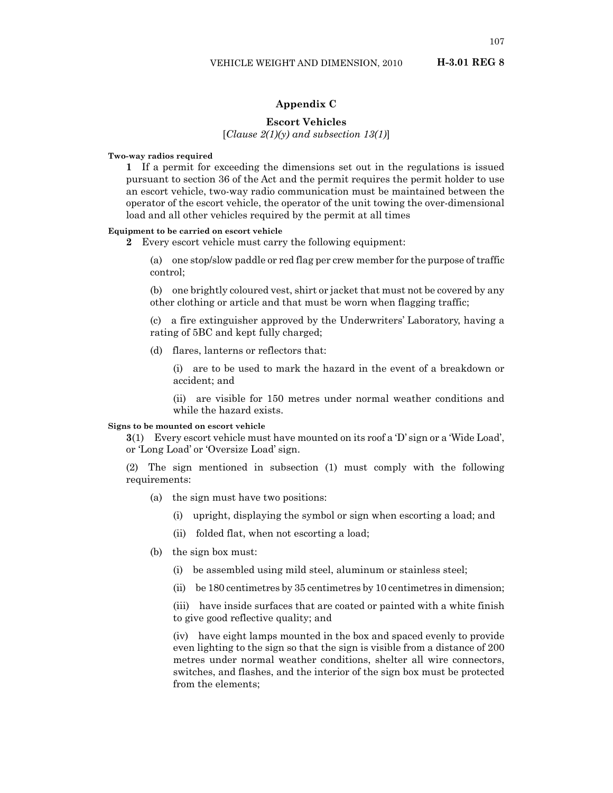#### **Appendix C**

#### **Escort Vehicles**

[*Clause 2(1)(y) and subsection 13(1)*]

**Two-way radios required**

**1** If a permit for exceeding the dimensions set out in the regulations is issued pursuant to section 36 of the Act and the permit requires the permit holder to use an escort vehicle, two-way radio communication must be maintained between the operator of the escort vehicle, the operator of the unit towing the over-dimensional load and all other vehicles required by the permit at all times

#### **Equipment to be carried on escort vehicle**

**2** Every escort vehicle must carry the following equipment:

(a) one stop/slow paddle or red flag per crew member for the purpose of traffic control;

(b) one brightly coloured vest, shirt or jacket that must not be covered by any other clothing or article and that must be worn when flagging traffic;

(c) a fire extinguisher approved by the Underwriters' Laboratory, having a rating of 5BC and kept fully charged;

(d) flares, lanterns or reflectors that:

(i) are to be used to mark the hazard in the event of a breakdown or accident; and

(ii) are visible for 150 metres under normal weather conditions and while the hazard exists.

#### **Signs to be mounted on escort vehicle**

**3**(1) Every escort vehicle must have mounted on its roof a 'D' sign or a 'Wide Load', or 'Long Load' or 'Oversize Load' sign.

(2) The sign mentioned in subsection (1) must comply with the following requirements:

- (a) the sign must have two positions:
	- (i) upright, displaying the symbol or sign when escorting a load; and
	- (ii) folded flat, when not escorting a load;
- (b) the sign box must:
	- (i) be assembled using mild steel, aluminum or stainless steel;
	- (ii) be 180 centimetres by 35 centimetres by 10 centimetres in dimension;

(iii) have inside surfaces that are coated or painted with a white finish to give good reflective quality; and

(iv) have eight lamps mounted in the box and spaced evenly to provide even lighting to the sign so that the sign is visible from a distance of 200 metres under normal weather conditions, shelter all wire connectors, switches, and flashes, and the interior of the sign box must be protected from the elements;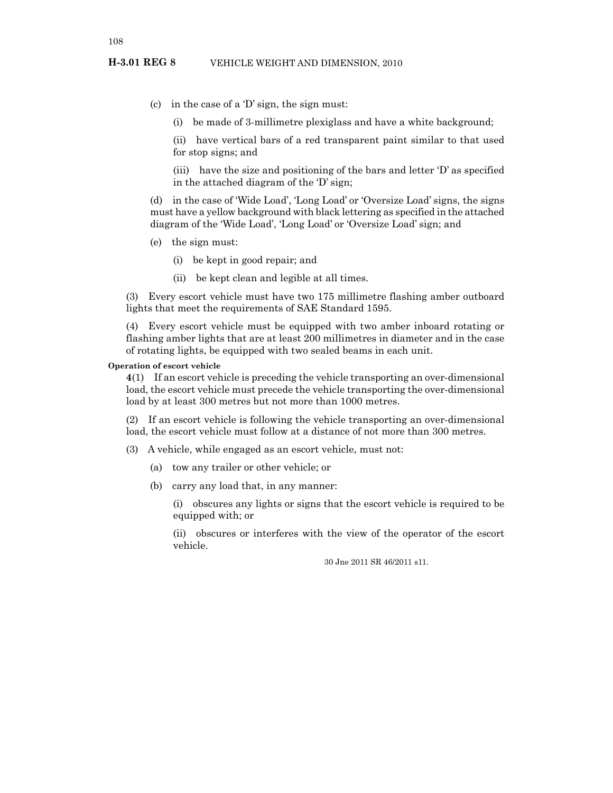- (c) in the case of a 'D' sign, the sign must:
	- (i) be made of 3-millimetre plexiglass and have a white background;

(ii) have vertical bars of a red transparent paint similar to that used for stop signs; and

(iii) have the size and positioning of the bars and letter 'D' as specified in the attached diagram of the 'D' sign;

(d) in the case of 'Wide Load', 'Long Load' or 'Oversize Load' signs, the signs must have a yellow background with black lettering as specified in the attached diagram of the 'Wide Load', 'Long Load' or 'Oversize Load' sign; and

- (e) the sign must:
	- (i) be kept in good repair; and
	- (ii) be kept clean and legible at all times.

(3) Every escort vehicle must have two 175 millimetre flashing amber outboard lights that meet the requirements of SAE Standard 1595.

(4) Every escort vehicle must be equipped with two amber inboard rotating or flashing amber lights that are at least 200 millimetres in diameter and in the case of rotating lights, be equipped with two sealed beams in each unit.

#### **Operation of escort vehicle**

**4**(1) If an escort vehicle is preceding the vehicle transporting an over-dimensional load, the escort vehicle must precede the vehicle transporting the over-dimensional load by at least 300 metres but not more than 1000 metres.

(2) If an escort vehicle is following the vehicle transporting an over-dimensional load, the escort vehicle must follow at a distance of not more than 300 metres.

(3) A vehicle, while engaged as an escort vehicle, must not:

- (a) tow any trailer or other vehicle; or
- (b) carry any load that, in any manner:

(i) obscures any lights or signs that the escort vehicle is required to be equipped with; or

(ii) obscures or interferes with the view of the operator of the escort vehicle.

30 Jne 2011 SR 46/2011 s11.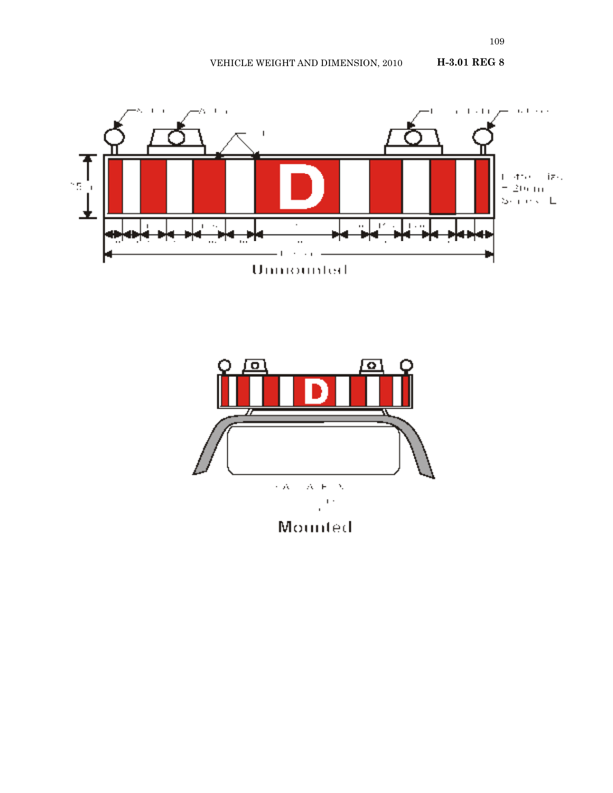VEHICLE WEIGHT AND DIMENSION, 2010 **H-3.01 REG 8**





109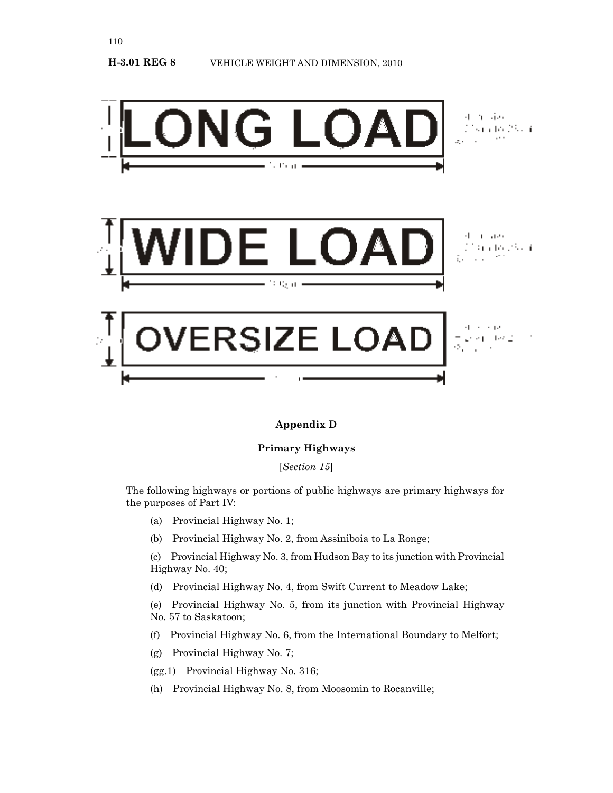

## **Appendix D**

## **Primary Highways**

[*Section 15*]

The following highways or portions of public highways are primary highways for the purposes of Part IV:

(a) Provincial Highway No. 1;

110

(b) Provincial Highway No. 2, from Assiniboia to La Ronge;

(c) Provincial Highway No. 3, from Hudson Bay to its junction with Provincial Highway No. 40;

(d) Provincial Highway No. 4, from Swift Current to Meadow Lake;

(e) Provincial Highway No. 5, from its junction with Provincial Highway No. 57 to Saskatoon;

- (f) Provincial Highway No. 6, from the International Boundary to Melfort;
- (g) Provincial Highway No. 7;
- (gg.1) Provincial Highway No. 316;
- (h) Provincial Highway No. 8, from Moosomin to Rocanville;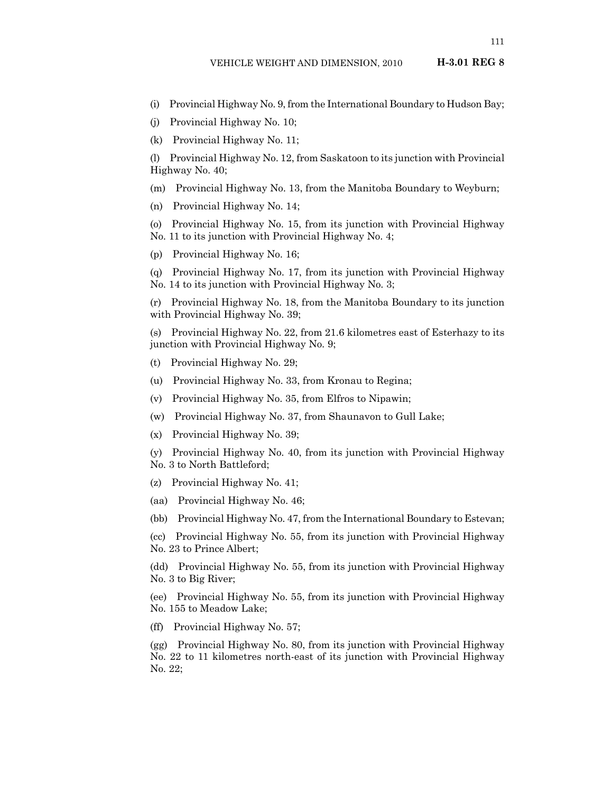- (i) Provincial Highway No. 9, from the International Boundary to Hudson Bay;
- (j) Provincial Highway No. 10;
- (k) Provincial Highway No. 11;

(l) Provincial Highway No. 12, from Saskatoon to its junction with Provincial Highway No. 40;

- (m) Provincial Highway No. 13, from the Manitoba Boundary to Weyburn;
- (n) Provincial Highway No. 14;
- (o) Provincial Highway No. 15, from its junction with Provincial Highway No. 11 to its junction with Provincial Highway No. 4;
- (p) Provincial Highway No. 16;
- (q) Provincial Highway No. 17, from its junction with Provincial Highway No. 14 to its junction with Provincial Highway No. 3;
- (r) Provincial Highway No. 18, from the Manitoba Boundary to its junction with Provincial Highway No. 39;

(s) Provincial Highway No. 22, from 21.6 kilometres east of Esterhazy to its junction with Provincial Highway No. 9;

- (t) Provincial Highway No. 29;
- (u) Provincial Highway No. 33, from Kronau to Regina;
- (v) Provincial Highway No. 35, from Elfros to Nipawin;
- (w) Provincial Highway No. 37, from Shaunavon to Gull Lake;
- (x) Provincial Highway No. 39;
- (y) Provincial Highway No. 40, from its junction with Provincial Highway No. 3 to North Battleford;
- (z) Provincial Highway No. 41;
- (aa) Provincial Highway No. 46;
- (bb) Provincial Highway No. 47, from the International Boundary to Estevan;

(cc) Provincial Highway No. 55, from its junction with Provincial Highway No. 23 to Prince Albert;

(dd) Provincial Highway No. 55, from its junction with Provincial Highway No. 3 to Big River;

(ee) Provincial Highway No. 55, from its junction with Provincial Highway No. 155 to Meadow Lake;

(ff) Provincial Highway No. 57;

(gg) Provincial Highway No. 80, from its junction with Provincial Highway No. 22 to 11 kilometres north-east of its junction with Provincial Highway No. 22;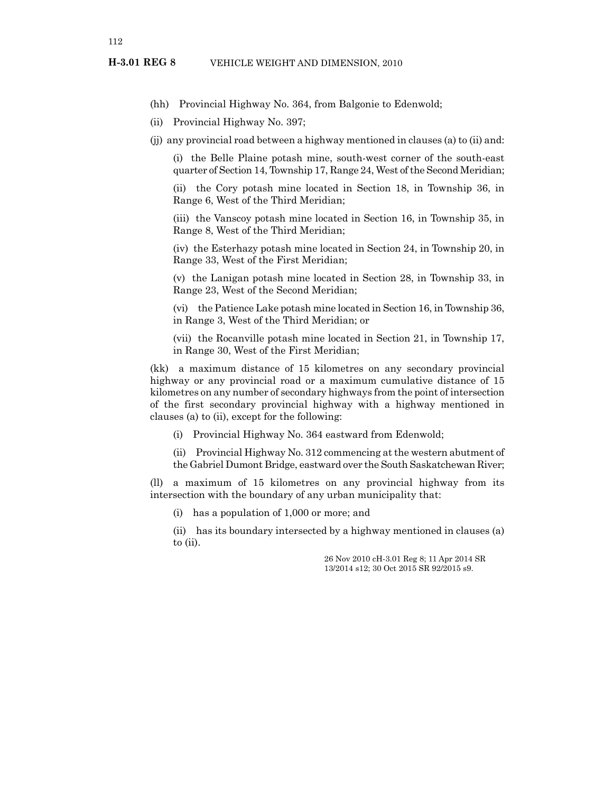(hh) Provincial Highway No. 364, from Balgonie to Edenwold;

(ii) Provincial Highway No. 397;

(jj) any provincial road between a highway mentioned in clauses (a) to (ii) and:

(i) the Belle Plaine potash mine, south-west corner of the south-east quarter of Section 14, Township 17, Range 24, West of the Second Meridian;

(ii) the Cory potash mine located in Section 18, in Township 36, in Range 6, West of the Third Meridian;

(iii) the Vanscoy potash mine located in Section 16, in Township 35, in Range 8, West of the Third Meridian;

(iv) the Esterhazy potash mine located in Section 24, in Township 20, in Range 33, West of the First Meridian;

(v) the Lanigan potash mine located in Section 28, in Township 33, in Range 23, West of the Second Meridian;

(vi) the Patience Lake potash mine located in Section 16, in Township 36, in Range 3, West of the Third Meridian; or

(vii) the Rocanville potash mine located in Section 21, in Township 17, in Range 30, West of the First Meridian;

(kk) a maximum distance of 15 kilometres on any secondary provincial highway or any provincial road or a maximum cumulative distance of 15 kilometres on any number of secondary highways from the point of intersection of the first secondary provincial highway with a highway mentioned in clauses (a) to (ii), except for the following:

(i) Provincial Highway No. 364 eastward from Edenwold;

(ii) Provincial Highway No. 312 commencing at the western abutment of the Gabriel Dumont Bridge, eastward over the South Saskatchewan River;

(ll) a maximum of 15 kilometres on any provincial highway from its intersection with the boundary of any urban municipality that:

(i) has a population of 1,000 or more; and

(ii) has its boundary intersected by a highway mentioned in clauses (a) to (ii).

> 26 Nov 2010 cH-3.01 Reg 8; 11 Apr 2014 SR 13/2014 s12; 30 Oct 2015 SR 92/2015 s9.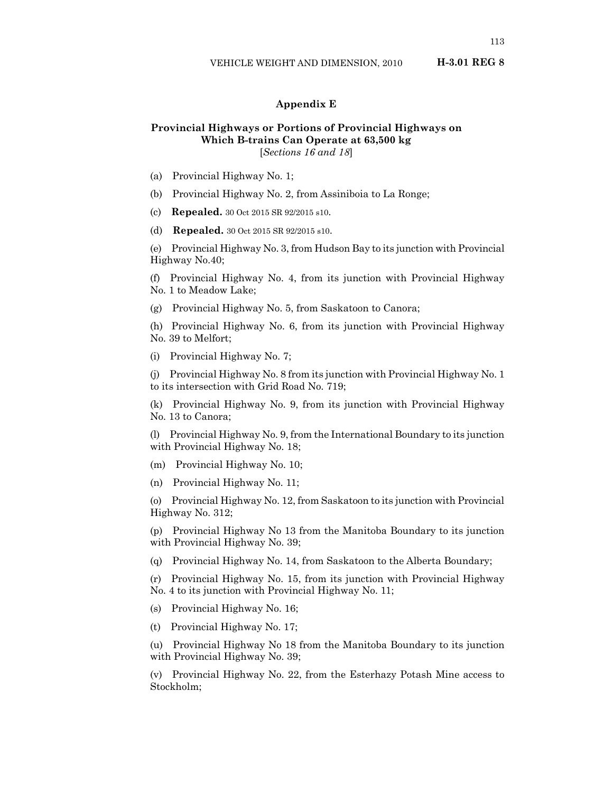## **Appendix E**

## **Provincial Highways or Portions of Provincial Highways on Which B-trains Can Operate at 63,500 kg** [*Sections 16 and 18*]

- (a) Provincial Highway No. 1;
- (b) Provincial Highway No. 2, from Assiniboia to La Ronge;
- (c) **Repealed.** 30 Oct 2015 SR 92/2015 s10.
- (d) **Repealed.** 30 Oct 2015 SR 92/2015 s10.

(e) Provincial Highway No. 3, from Hudson Bay to its junction with Provincial Highway No.40;

(f) Provincial Highway No. 4, from its junction with Provincial Highway No. 1 to Meadow Lake;

(g) Provincial Highway No. 5, from Saskatoon to Canora;

(h) Provincial Highway No. 6, from its junction with Provincial Highway No. 39 to Melfort;

(i) Provincial Highway No. 7;

(j) Provincial Highway No. 8 from its junction with Provincial Highway No. 1 to its intersection with Grid Road No. 719;

(k) Provincial Highway No. 9, from its junction with Provincial Highway No. 13 to Canora;

(l) Provincial Highway No. 9, from the International Boundary to its junction with Provincial Highway No. 18;

- (m) Provincial Highway No. 10;
- (n) Provincial Highway No. 11;

(o) Provincial Highway No. 12, from Saskatoon to its junction with Provincial Highway No. 312;

(p) Provincial Highway No 13 from the Manitoba Boundary to its junction with Provincial Highway No. 39;

(q) Provincial Highway No. 14, from Saskatoon to the Alberta Boundary;

(r) Provincial Highway No. 15, from its junction with Provincial Highway No. 4 to its junction with Provincial Highway No. 11;

(s) Provincial Highway No. 16;

(t) Provincial Highway No. 17;

(u) Provincial Highway No 18 from the Manitoba Boundary to its junction with Provincial Highway No. 39;

(v) Provincial Highway No. 22, from the Esterhazy Potash Mine access to Stockholm;